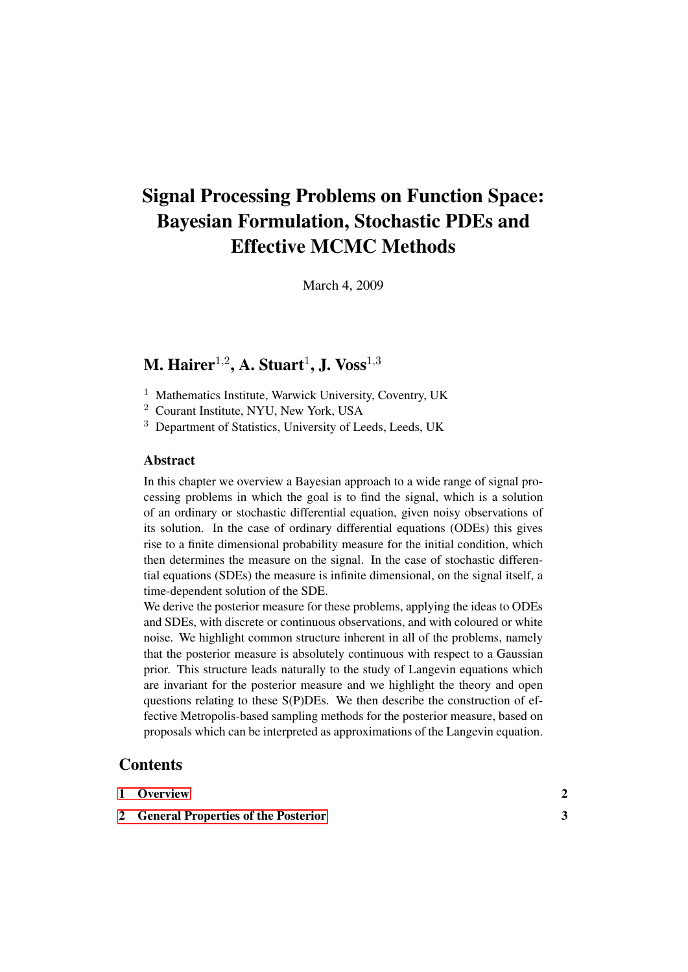# Signal Processing Problems on Function Space: Bayesian Formulation, Stochastic PDEs and Effective MCMC Methods

March 4, 2009

## M. Hairer $^{1,2}$ , A. Stuart $^{1}$ , J. Voss $^{1,3}$

- <sup>1</sup> Mathematics Institute, Warwick University, Coventry, UK
- <sup>2</sup> Courant Institute, NYU, New York, USA
- <sup>3</sup> Department of Statistics, University of Leeds, Leeds, UK

## Abstract

In this chapter we overview a Bayesian approach to a wide range of signal processing problems in which the goal is to find the signal, which is a solution of an ordinary or stochastic differential equation, given noisy observations of its solution. In the case of ordinary differential equations (ODEs) this gives rise to a finite dimensional probability measure for the initial condition, which then determines the measure on the signal. In the case of stochastic differential equations (SDEs) the measure is infinite dimensional, on the signal itself, a time-dependent solution of the SDE.

We derive the posterior measure for these problems, applying the ideas to ODEs and SDEs, with discrete or continuous observations, and with coloured or white noise. We highlight common structure inherent in all of the problems, namely that the posterior measure is absolutely continuous with respect to a Gaussian prior. This structure leads naturally to the study of Langevin equations which are invariant for the posterior measure and we highlight the theory and open questions relating to these S(P)DEs. We then describe the construction of effective Metropolis-based sampling methods for the posterior measure, based on proposals which can be interpreted as approximations of the Langevin equation.

## **Contents**

| 1 Overview |  |
|------------|--|
|            |  |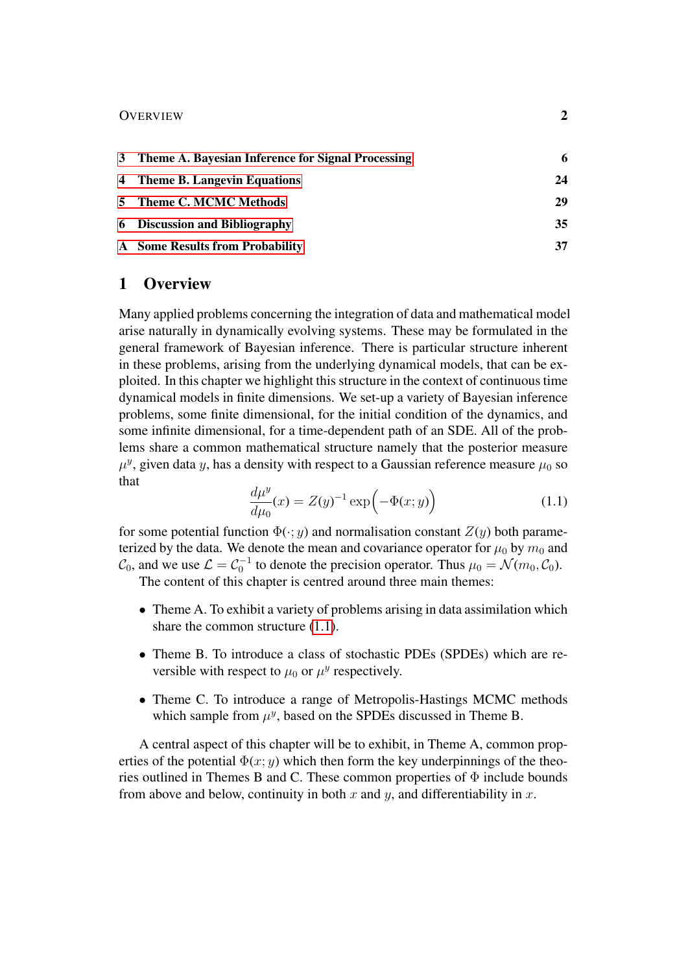#### OVERVIEW 2

| 3 Theme A. Bayesian Inference for Signal Processing |    |
|-----------------------------------------------------|----|
| 4 Theme B. Langevin Equations                       | 24 |
| 5 Theme C. MCMC Methods                             | 29 |
| <b>6</b> Discussion and Bibliography                | 35 |
| A Some Results from Probability                     | 37 |

## <span id="page-1-0"></span>1 Overview

Many applied problems concerning the integration of data and mathematical model arise naturally in dynamically evolving systems. These may be formulated in the general framework of Bayesian inference. There is particular structure inherent in these problems, arising from the underlying dynamical models, that can be exploited. In this chapter we highlight this structure in the context of continuous time dynamical models in finite dimensions. We set-up a variety of Bayesian inference problems, some finite dimensional, for the initial condition of the dynamics, and some infinite dimensional, for a time-dependent path of an SDE. All of the problems share a common mathematical structure namely that the posterior measure  $\mu^y$ , given data y, has a density with respect to a Gaussian reference measure  $\mu_0$  so that

<span id="page-1-1"></span>
$$
\frac{d\mu^y}{d\mu_0}(x) = Z(y)^{-1} \exp\left(-\Phi(x; y)\right) \tag{1.1}
$$

for some potential function  $\Phi(\cdot; y)$  and normalisation constant  $Z(y)$  both parameterized by the data. We denote the mean and covariance operator for  $\mu_0$  by  $m_0$  and  $\mathcal{C}_0$ , and we use  $\mathcal{L} = \mathcal{C}_0^{-1}$  to denote the precision operator. Thus  $\mu_0 = \mathcal{N}(m_0, \mathcal{C}_0)$ .

The content of this chapter is centred around three main themes:

- Theme A. To exhibit a variety of problems arising in data assimilation which share the common structure  $(1.1)$ .
- Theme B. To introduce a class of stochastic PDEs (SPDEs) which are reversible with respect to  $\mu_0$  or  $\mu^y$  respectively.
- Theme C. To introduce a range of Metropolis-Hastings MCMC methods which sample from  $\mu^y$ , based on the SPDEs discussed in Theme B.

A central aspect of this chapter will be to exhibit, in Theme A, common properties of the potential  $\Phi(x; y)$  which then form the key underpinnings of the theories outlined in Themes B and C. These common properties of  $\Phi$  include bounds from above and below, continuity in both x and y, and differentiability in x.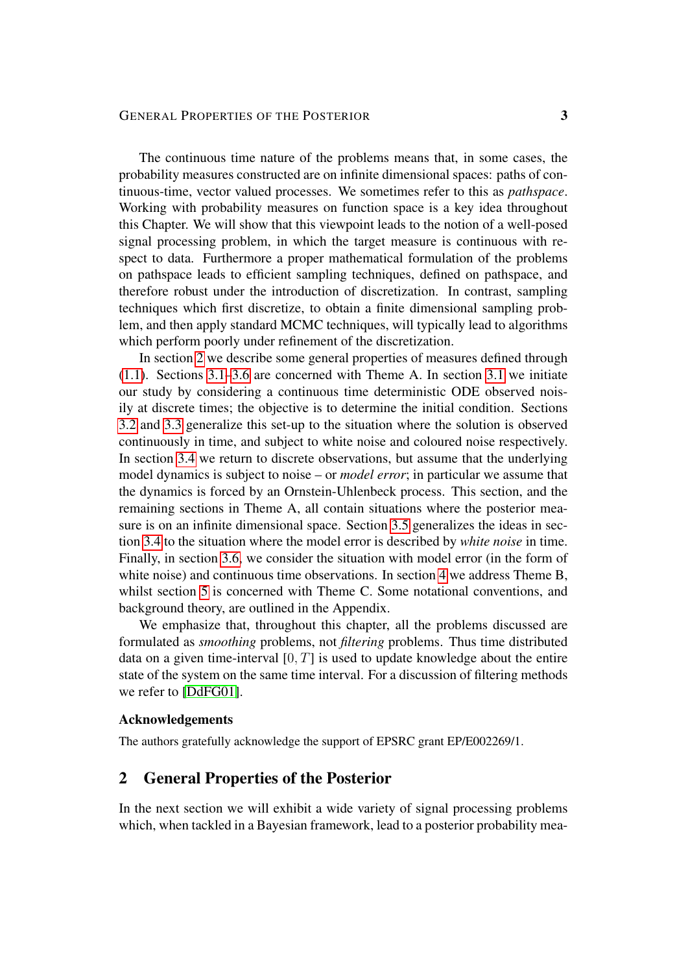## GENERAL PROPERTIES OF THE POSTERIOR 3

The continuous time nature of the problems means that, in some cases, the probability measures constructed are on infinite dimensional spaces: paths of continuous-time, vector valued processes. We sometimes refer to this as *pathspace*. Working with probability measures on function space is a key idea throughout this Chapter. We will show that this viewpoint leads to the notion of a well-posed signal processing problem, in which the target measure is continuous with respect to data. Furthermore a proper mathematical formulation of the problems on pathspace leads to efficient sampling techniques, defined on pathspace, and therefore robust under the introduction of discretization. In contrast, sampling techniques which first discretize, to obtain a finite dimensional sampling problem, and then apply standard MCMC techniques, will typically lead to algorithms which perform poorly under refinement of the discretization.

In section [2](#page-2-0) we describe some general properties of measures defined through  $(1.1)$ . Sections  $3.1-3.6$  $3.1-3.6$  are concerned with Theme A. In section [3.1](#page-5-1) we initiate our study by considering a continuous time deterministic ODE observed noisily at discrete times; the objective is to determine the initial condition. Sections [3.2](#page-8-0) and [3.3](#page-11-0) generalize this set-up to the situation where the solution is observed continuously in time, and subject to white noise and coloured noise respectively. In section [3.4](#page-13-0) we return to discrete observations, but assume that the underlying model dynamics is subject to noise – or *model error*; in particular we assume that the dynamics is forced by an Ornstein-Uhlenbeck process. This section, and the remaining sections in Theme A, all contain situations where the posterior measure is on an infinite dimensional space. Section [3.5](#page-15-0) generalizes the ideas in section [3.4](#page-13-0) to the situation where the model error is described by *white noise* in time. Finally, in section [3.6,](#page-19-0) we consider the situation with model error (in the form of white noise) and continuous time observations. In section [4](#page-23-0) we address Theme B, whilst section [5](#page-28-0) is concerned with Theme C. Some notational conventions, and background theory, are outlined in the Appendix.

We emphasize that, throughout this chapter, all the problems discussed are formulated as *smoothing* problems, not *filtering* problems. Thus time distributed data on a given time-interval  $[0, T]$  is used to update knowledge about the entire state of the system on the same time interval. For a discussion of filtering methods we refer to [\[DdFG01\]](#page-38-0).

## Acknowledgements

The authors gratefully acknowledge the support of EPSRC grant EP/E002269/1.

## <span id="page-2-0"></span>2 General Properties of the Posterior

In the next section we will exhibit a wide variety of signal processing problems which, when tackled in a Bayesian framework, lead to a posterior probability mea-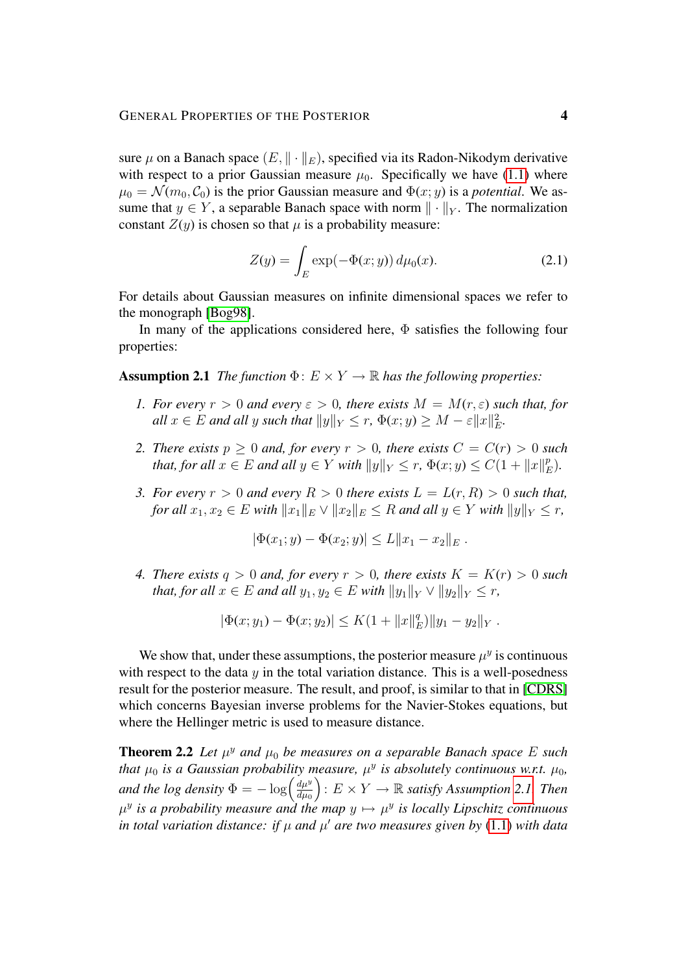sure  $\mu$  on a Banach space  $(E, \|\cdot\|_E)$ , specified via its Radon-Nikodym derivative with respect to a prior Gaussian measure  $\mu_0$ . Specifically we have [\(1.1\)](#page-1-1) where  $\mu_0 = \mathcal{N}(m_0, \mathcal{C}_0)$  is the prior Gaussian measure and  $\Phi(x; y)$  is a *potential*. We assume that  $y \in Y$ , a separable Banach space with norm  $\|\cdot\|_Y$ . The normalization constant  $Z(y)$  is chosen so that  $\mu$  is a probability measure:

$$
Z(y) = \int_{E} \exp(-\Phi(x; y)) d\mu_0(x).
$$
 (2.1)

For details about Gaussian measures on infinite dimensional spaces we refer to the monograph [\[Bog98\]](#page-38-1).

In many of the applications considered here,  $\Phi$  satisfies the following four properties:

<span id="page-3-0"></span>**Assumption 2.1** *The function*  $\Phi: E \times Y \to \mathbb{R}$  *has the following properties:* 

- *1. For every*  $r > 0$  *and every*  $\varepsilon > 0$ *, there exists*  $M = M(r, \varepsilon)$  *such that, for*  $all x \in E$  and all y such that  $||y||_Y \leq r$ ,  $\Phi(x; y) \geq M - \varepsilon ||x||_E^2$ .
- *2. There exists*  $p > 0$  *and, for every*  $r > 0$ *, there exists*  $C = C(r) > 0$  *such that, for all*  $x \in E$  *and all*  $y \in Y$  *with*  $||y||_Y \leq r$ ,  $\Phi(x; y) \leq C(1 + ||x||_F^p)$ E )*.*
- *3. For every*  $r > 0$  *and every*  $R > 0$  *there exists*  $L = L(r, R) > 0$  *such that, for all*  $x_1, x_2 \in E$  *with*  $||x_1||_E \vee ||x_2||_E \leq R$  *and all*  $y \in Y$  *with*  $||y||_Y \leq r$ ,

$$
|\Phi(x_1; y) - \Phi(x_2; y)| \le L \|x_1 - x_2\|_E.
$$

*4. There exists*  $q > 0$  *and, for every*  $r > 0$ *, there exists*  $K = K(r) > 0$  *such that, for all*  $x \in E$  *and all*  $y_1, y_2 \in E$  *with*  $||y_1||_Y \vee ||y_2||_Y \leq r$ ,

$$
|\Phi(x; y_1) - \Phi(x; y_2)| \leq K(1 + ||x||_E^q) ||y_1 - y_2||_Y.
$$

We show that, under these assumptions, the posterior measure  $\mu^y$  is continuous with respect to the data  $y$  in the total variation distance. This is a well-posedness result for the posterior measure. The result, and proof, is similar to that in [\[CDRS\]](#page-38-2) which concerns Bayesian inverse problems for the Navier-Stokes equations, but where the Hellinger metric is used to measure distance.

<span id="page-3-1"></span>**Theorem 2.2** Let  $\mu^y$  and  $\mu_0$  be measures on a separable Banach space E such *that*  $\mu_0$  *is a Gaussian probability measure,*  $\mu^y$  *is absolutely continuous w.r.t.*  $\mu_0$ *, and the log density*  $\Phi = -\log \left( \frac{d\mu^y}{d\mu^y} \right)$  $d\mu_0$  $\bigg\}$ :  $E \times Y \rightarrow \mathbb{R}$  *satisfy Assumption [2.1.](#page-3-0) Then*  $\mu^y$  is a probability measure and the map  $y \mapsto \mu^y$  is locally Lipschitz continuous *in total variation distance: if*  $\mu$  *and*  $\mu'$  *are two measures given by* [\(1.1\)](#page-1-1) *with data*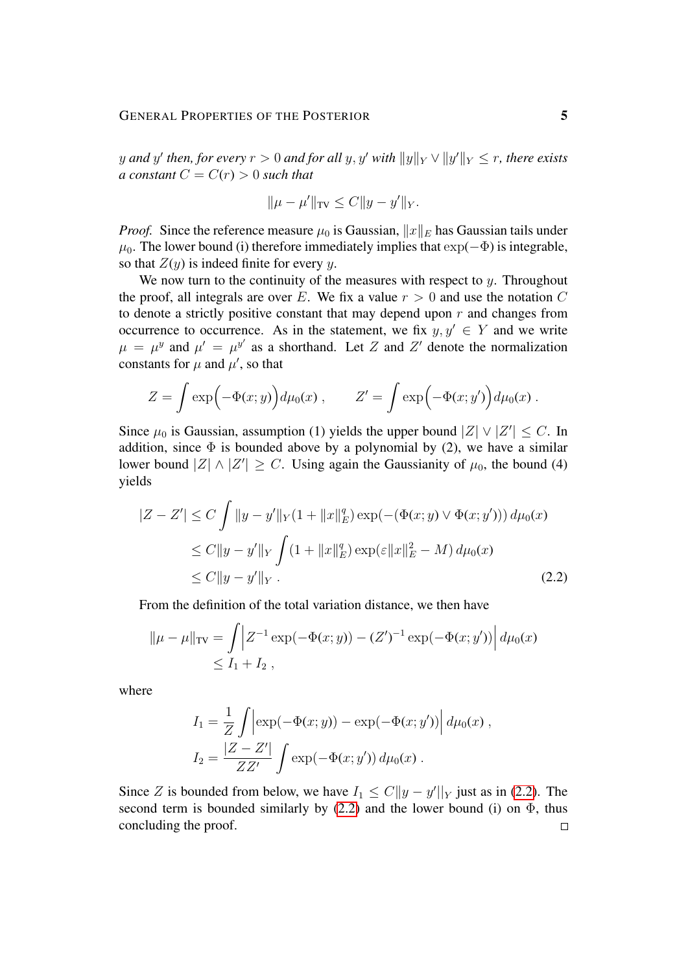$y$  and  $y'$  then, for every  $r > 0$  and for all  $y, y'$  with  $\|y\|_Y \vee \|y'\|_Y \leq r$ , there exists *a constant*  $C = C(r) > 0$  *such that* 

$$
\|\mu - \mu'\|_{TV} \le C \|y - y'\|_Y.
$$

*Proof.* Since the reference measure  $\mu_0$  is Gaussian,  $||x||_E$  has Gaussian tails under  $\mu_0$ . The lower bound (i) therefore immediately implies that  $\exp(-\Phi)$  is integrable, so that  $Z(y)$  is indeed finite for every y.

We now turn to the continuity of the measures with respect to  $y$ . Throughout the proof, all integrals are over E. We fix a value  $r > 0$  and use the notation C to denote a strictly positive constant that may depend upon  $r$  and changes from occurrence to occurrence. As in the statement, we fix  $y, y' \in Y$  and we write  $\mu = \mu^{y}$  and  $\mu' = \mu^{y'}$  as a shorthand. Let Z and Z' denote the normalization constants for  $\mu$  and  $\mu'$ , so that

$$
Z = \int \exp\Bigl(-\Phi(x;y)\Bigr)d\mu_0(x) , \qquad Z' = \int \exp\Bigl(-\Phi(x;y')\Bigr)d\mu_0(x) .
$$

Since  $\mu_0$  is Gaussian, assumption (1) yields the upper bound  $|Z| \vee |Z'| \leq C$ . In addition, since  $\Phi$  is bounded above by a polynomial by (2), we have a similar lower bound  $|Z| \wedge |Z'| \geq C$ . Using again the Gaussianity of  $\mu_0$ , the bound (4) yields

$$
|Z - Z'| \le C \int \|y - y'\|_{Y} (1 + \|x\|_{E}^{q}) \exp(-(\Phi(x; y) \vee \Phi(x; y'))) d\mu_{0}(x)
$$
  
\n
$$
\le C \|y - y'\|_{Y} \int (1 + \|x\|_{E}^{q}) \exp(\varepsilon \|x\|_{E}^{2} - M) d\mu_{0}(x)
$$
  
\n
$$
\le C \|y - y'\|_{Y}. \tag{2.2}
$$

From the definition of the total variation distance, we then have

$$
\|\mu - \mu\|_{TV} = \int \left| Z^{-1} \exp(-\Phi(x; y)) - (Z')^{-1} \exp(-\Phi(x; y')) \right| d\mu_0(x)
$$
  
\$\leq I\_1 + I\_2\$,

where

<span id="page-4-0"></span>
$$
I_1 = \frac{1}{Z} \int \left| \exp(-\Phi(x; y)) - \exp(-\Phi(x; y')) \right| d\mu_0(x) ,
$$
  

$$
I_2 = \frac{|Z - Z'|}{ZZ'} \int \exp(-\Phi(x; y')) d\mu_0(x) .
$$

Since Z is bounded from below, we have  $I_1 \leq C ||y - y'||_Y$  just as in [\(2.2\)](#page-4-0). The second term is bounded similarly by  $(2.2)$  and the lower bound (i) on  $\Phi$ , thus concluding the proof. $\Box$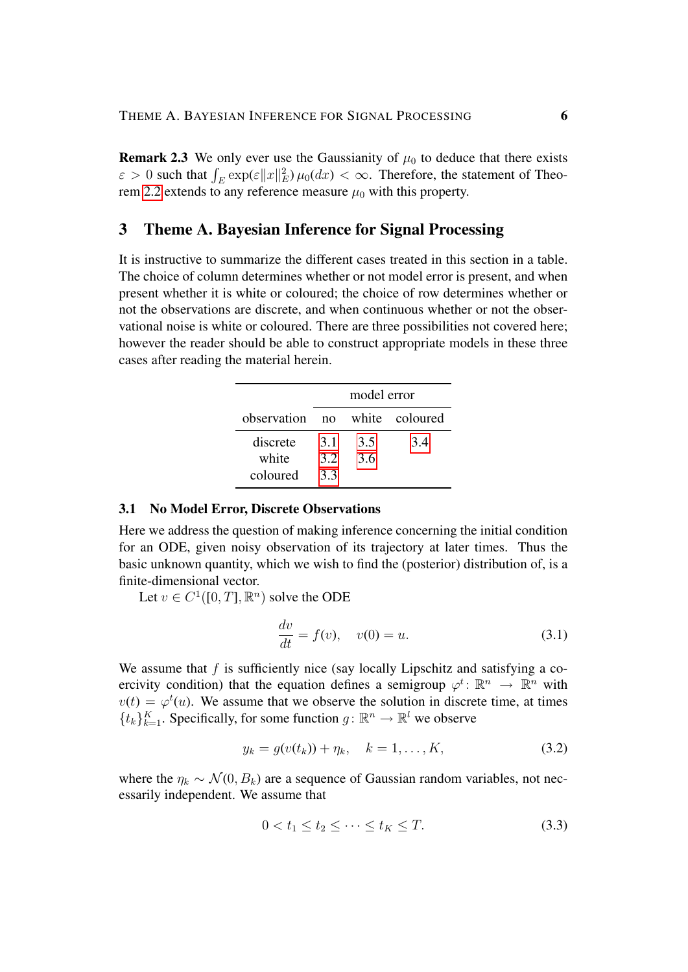<span id="page-5-2"></span>**Remark 2.3** We only ever use the Gaussianity of  $\mu_0$  to deduce that there exists  $\varepsilon > 0$  such that  $\int_E \exp(\varepsilon ||x||_E^2) \mu_0(dx) < \infty$ . Therefore, the statement of Theo-rem [2.2](#page-3-1) extends to any reference measure  $\mu_0$  with this property.

## <span id="page-5-0"></span>3 Theme A. Bayesian Inference for Signal Processing

It is instructive to summarize the different cases treated in this section in a table. The choice of column determines whether or not model error is present, and when present whether it is white or coloured; the choice of row determines whether or not the observations are discrete, and when continuous whether or not the observational noise is white or coloured. There are three possibilities not covered here; however the reader should be able to construct appropriate models in these three cases after reading the material herein.

|             | model error    |     |                |
|-------------|----------------|-----|----------------|
| observation | n <sub>O</sub> |     | white coloured |
| discrete    | 3.1            | 3.5 | 3.4            |
| white       | 3.2            | 3.6 |                |
| coloured    | 3.3            |     |                |

#### <span id="page-5-1"></span>3.1 No Model Error, Discrete Observations

Here we address the question of making inference concerning the initial condition for an ODE, given noisy observation of its trajectory at later times. Thus the basic unknown quantity, which we wish to find the (posterior) distribution of, is a finite-dimensional vector.

Let  $v \in C^1([0, T], \mathbb{R}^n)$  solve the ODE

<span id="page-5-3"></span>
$$
\frac{dv}{dt} = f(v), \quad v(0) = u.
$$
 (3.1)

We assume that  $f$  is sufficiently nice (say locally Lipschitz and satisfying a coercivity condition) that the equation defines a semigroup  $\varphi^t \colon \mathbb{R}^n \to \mathbb{R}^n$  with  $v(t) = \varphi^t(u)$ . We assume that we observe the solution in discrete time, at times  $\{t_k\}_{k=1}^K$ . Specifically, for some function  $g: \mathbb{R}^n \to \mathbb{R}^l$  we observe

<span id="page-5-5"></span>
$$
y_k = g(v(t_k)) + \eta_k, \quad k = 1, ..., K,
$$
 (3.2)

where the  $\eta_k \sim \mathcal{N}(0, B_k)$  are a sequence of Gaussian random variables, not necessarily independent. We assume that

<span id="page-5-4"></span>
$$
0 < t_1 \le t_2 \le \dots \le t_K \le T. \tag{3.3}
$$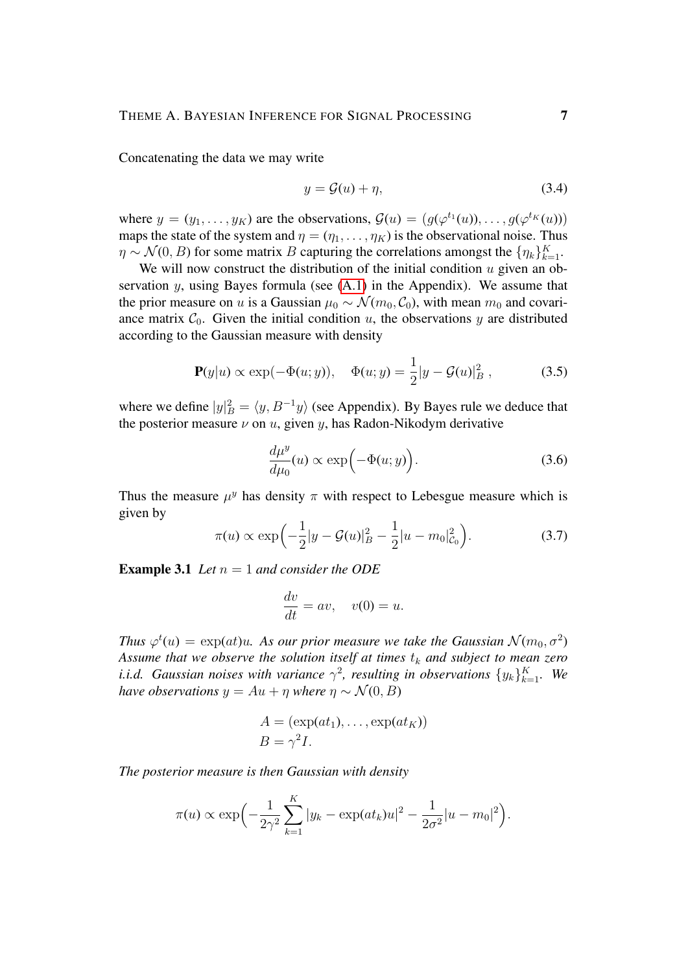Concatenating the data we may write

<span id="page-6-1"></span>
$$
y = \mathcal{G}(u) + \eta,\tag{3.4}
$$

where  $y = (y_1, \dots, y_K)$  are the observations,  $\mathcal{G}(u) = (g(\varphi^{t_1}(u)), \dots, g(\varphi^{t_K}(u)))$ maps the state of the system and  $\eta = (\eta_1, \dots, \eta_K)$  is the observational noise. Thus  $\eta \sim \mathcal{N}(0, B)$  for some matrix B capturing the correlations amongst the  $\{\eta_k\}_{k=1}^K$ .

We will now construct the distribution of the initial condition  $u$  given an observation  $y$ , using Bayes formula (see  $(A.1)$  in the Appendix). We assume that the prior measure on u is a Gaussian  $\mu_0 \sim \mathcal{N}(m_0, \mathcal{C}_0)$ , with mean  $m_0$  and covariance matrix  $C_0$ . Given the initial condition u, the observations y are distributed according to the Gaussian measure with density

<span id="page-6-0"></span>
$$
\mathbf{P}(y|u) \propto \exp(-\Phi(u; y)), \quad \Phi(u; y) = \frac{1}{2}|y - \mathcal{G}(u)|_B^2, \quad (3.5)
$$

where we define  $|y|_B^2 = \langle y, B^{-1}y \rangle$  (see Appendix). By Bayes rule we deduce that the posterior measure  $\nu$  on  $u$ , given  $y$ , has Radon-Nikodym derivative

$$
\frac{d\mu^y}{d\mu_0}(u) \propto \exp\left(-\Phi(u; y)\right). \tag{3.6}
$$

Thus the measure  $\mu^y$  has density  $\pi$  with respect to Lebesgue measure which is given by

$$
\pi(u) \propto \exp\left(-\frac{1}{2}|y - \mathcal{G}(u)|_B^2 - \frac{1}{2}|u - m_0|_{\mathcal{C}_0}^2\right).
$$
 (3.7)

**Example 3.1** *Let*  $n = 1$  *and consider the ODE* 

$$
\frac{dv}{dt} = av, \quad v(0) = u.
$$

Thus  $\varphi^t(u) = \exp(at)u$ . As our prior measure we take the Gaussian  $\mathcal{N}(m_0, \sigma^2)$ Assume that we observe the solution itself at times  $t_k$  and subject to mean zero *i.i.d.* Gaussian noises with variance  $\gamma^2$ , resulting in observations  $\{y_k\}_{k=1}^K$ . We *have observations*  $y = Au + \eta$  *where*  $\eta \sim \mathcal{N}(0, B)$ 

$$
A = (\exp(at_1), \dots, \exp(at_K))
$$
  

$$
B = \gamma^2 I.
$$

*The posterior measure is then Gaussian with density*

$$
\pi(u) \propto \exp\left(-\frac{1}{2\gamma^2} \sum_{k=1}^K |y_k - \exp(at_k)u|^2 - \frac{1}{2\sigma^2}|u - m_0|^2\right).
$$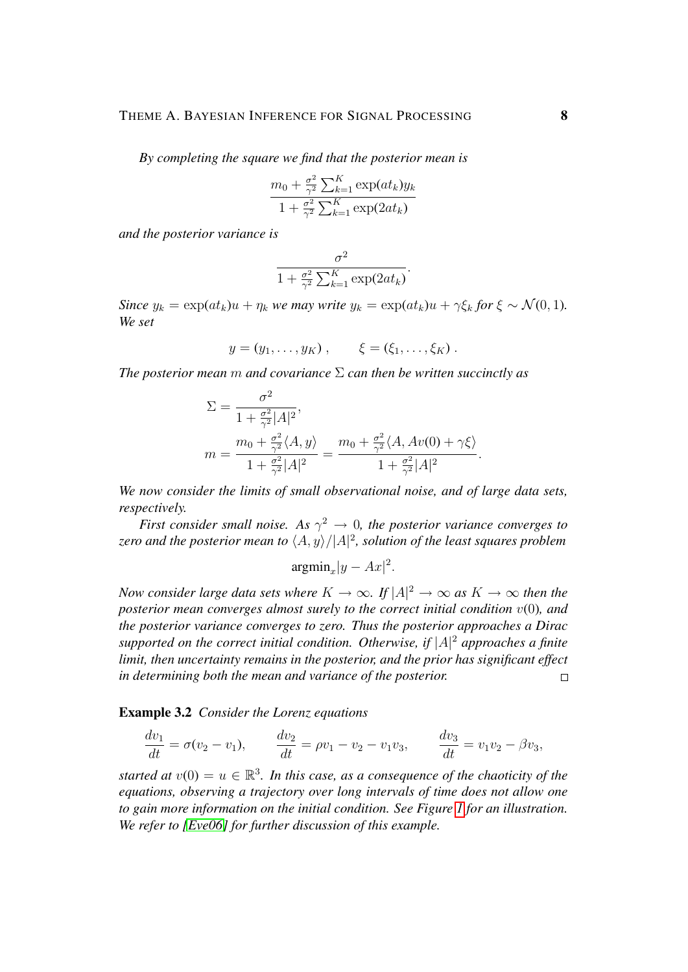*By completing the square we find that the posterior mean is*

$$
\frac{m_0 + \frac{\sigma^2}{\gamma^2} \sum_{k=1}^{K} \exp(at_k) y_k}{1 + \frac{\sigma^2}{\gamma^2} \sum_{k=1}^{K} \exp(2at_k)}
$$

*and the posterior variance is*

$$
\frac{\sigma^2}{1 + \frac{\sigma^2}{\gamma^2} \sum_{k=1}^K \exp(2at_k)}.
$$

*Since*  $y_k = \exp(at_k)u + \eta_k$  *we may write*  $y_k = \exp(at_k)u + \gamma \xi_k$  *for*  $\xi \sim \mathcal{N}(0, 1)$ *. We set*

$$
y = (y_1, \ldots, y_K), \qquad \xi = (\xi_1, \ldots, \xi_K).
$$

*The posterior mean* m *and covariance* Σ *can then be written succinctly as*

$$
\Sigma = \frac{\sigma^2}{1 + \frac{\sigma^2}{\gamma^2} |A|^2},
$$
  
\n
$$
m = \frac{m_0 + \frac{\sigma^2}{\gamma^2} \langle A, y \rangle}{1 + \frac{\sigma^2}{\gamma^2} |A|^2} = \frac{m_0 + \frac{\sigma^2}{\gamma^2} \langle A, Av(0) + \gamma \xi \rangle}{1 + \frac{\sigma^2}{\gamma^2} |A|^2}.
$$

*We now consider the limits of small observational noise, and of large data sets, respectively.*

*First consider small noise. As*  $\gamma^2 \to 0$ , the posterior variance converges to zero and the posterior mean to  $\langle A, y \rangle / |A|^2$ , solution of the least squares problem

$$
\mathrm{argmin}_x |y - Ax|^2.
$$

*Now consider large data sets where*  $K \to \infty$ *. If*  $|A|^2 \to \infty$  *as*  $K \to \infty$  *then the posterior mean converges almost surely to the correct initial condition* v(0)*, and the posterior variance converges to zero. Thus the posterior approaches a Dirac supported on the correct initial condition. Otherwise, if* |A| <sup>2</sup> *approaches a finite limit, then uncertainty remains in the posterior, and the prior has significant effect in determining both the mean and variance of the posterior.*  $\Box$ 

Example 3.2 *Consider the Lorenz equations*

$$
\frac{dv_1}{dt} = \sigma(v_2 - v_1), \qquad \frac{dv_2}{dt} = \rho v_1 - v_2 - v_1 v_3, \qquad \frac{dv_3}{dt} = v_1 v_2 - \beta v_3,
$$

*started at*  $v(0) = u \in \mathbb{R}^3$ . In this case, as a consequence of the chaoticity of the *equations, observing a trajectory over long intervals of time does not allow one to gain more information on the initial condition. See Figure [1](#page-41-0) for an illustration. We refer to [\[Eve06\]](#page-38-3) for further discussion of this example.*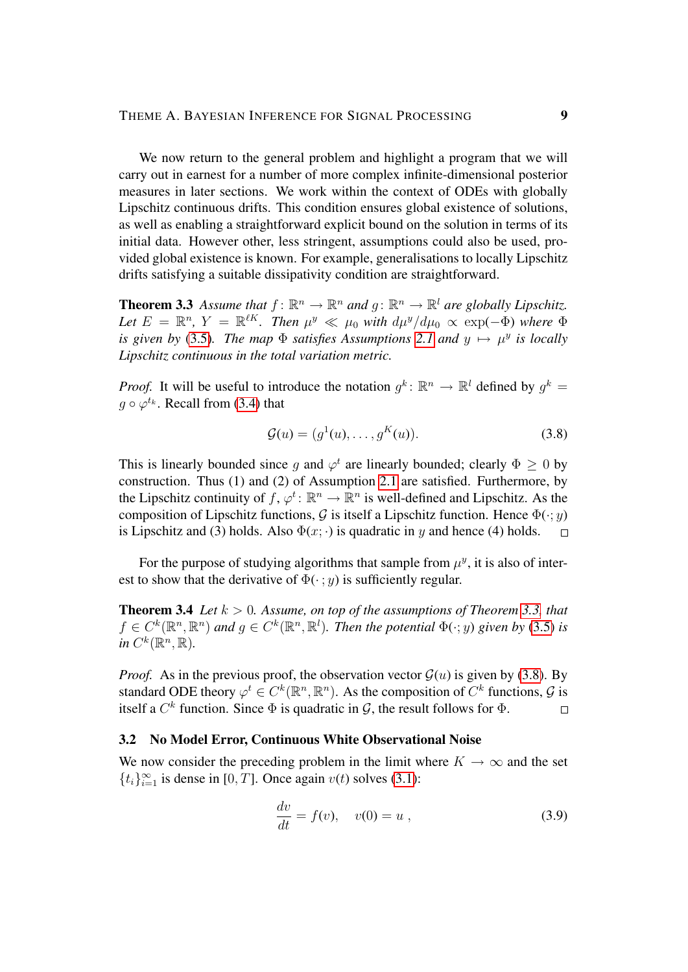We now return to the general problem and highlight a program that we will carry out in earnest for a number of more complex infinite-dimensional posterior measures in later sections. We work within the context of ODEs with globally Lipschitz continuous drifts. This condition ensures global existence of solutions, as well as enabling a straightforward explicit bound on the solution in terms of its initial data. However other, less stringent, assumptions could also be used, provided global existence is known. For example, generalisations to locally Lipschitz drifts satisfying a suitable dissipativity condition are straightforward.

**Theorem 3.3** Assume that  $f: \mathbb{R}^n \to \mathbb{R}^n$  and  $g: \mathbb{R}^n \to \mathbb{R}^l$  are globally Lipschitz. Let  $E = \mathbb{R}^n$ ,  $Y = \mathbb{R}^{\ell K}$ . Then  $\mu^y \ll \mu_0$  with  $d\mu^y/d\mu_0 \propto \exp(-\Phi)$  where  $\Phi$ *is given by* [\(3.5\)](#page-6-0). The map  $\Phi$  *satisfies Assumptions* [2.1](#page-3-0) and  $y \mapsto \mu^y$  *is locally Lipschitz continuous in the total variation metric.*

*Proof.* It will be useful to introduce the notation  $g^k$ :  $\mathbb{R}^n \to \mathbb{R}^l$  defined by  $g^k$  $g \circ \varphi^{t_k}$ . Recall from [\(3.4\)](#page-6-1) that

<span id="page-8-1"></span>
$$
\mathcal{G}(u) = (g^1(u), \dots, g^K(u)).
$$
\n(3.8)

This is linearly bounded since g and  $\varphi^t$  are linearly bounded; clearly  $\Phi \geq 0$  by construction. Thus (1) and (2) of Assumption [2.1](#page-3-0) are satisfied. Furthermore, by the Lipschitz continuity of  $f, \varphi^t \colon \mathbb{R}^n \to \mathbb{R}^n$  is well-defined and Lipschitz. As the composition of Lipschitz functions, G is itself a Lipschitz function. Hence  $\Phi(\cdot; y)$ is Lipschitz and (3) holds. Also  $\Phi(x; \cdot)$  is quadratic in y and hence (4) holds.  $\Box$ 

For the purpose of studying algorithms that sample from  $\mu^y$ , it is also of interest to show that the derivative of  $\Phi(\cdot; y)$  is sufficiently regular.

<span id="page-8-3"></span>**Theorem 3.4** *Let*  $k > 0$ *. Assume, on top of the assumptions of Theorem [3.3,](#page-5-2) that*  $f \in C^k(\mathbb{R}^n, \mathbb{R}^n)$  and  $g \in C^k(\mathbb{R}^n, \mathbb{R}^l)$ . Then the potential  $\Phi(\cdot; y)$  given by [\(3.5\)](#page-6-0) is  $in C^k(\mathbb{R}^n, \mathbb{R})$ .

*Proof.* As in the previous proof, the observation vector  $\mathcal{G}(u)$  is given by [\(3.8\)](#page-8-1). By standard ODE theory  $\varphi^t \in C^k(\mathbb{R}^n, \mathbb{R}^n)$ . As the composition of  $C^k$  functions,  $\mathcal{G}$  is itself a  $C^k$  function. Since  $\Phi$  is quadratic in  $\mathcal{G}$ , the result follows for  $\Phi$ .  $\Box$ 

## <span id="page-8-0"></span>3.2 No Model Error, Continuous White Observational Noise

We now consider the preceding problem in the limit where  $K \to \infty$  and the set  $\{t_i\}_{i=1}^{\infty}$  is dense in [0, T]. Once again  $v(t)$  solves [\(3.1\)](#page-5-3):

<span id="page-8-2"></span>
$$
\frac{dv}{dt} = f(v), \quad v(0) = u \tag{3.9}
$$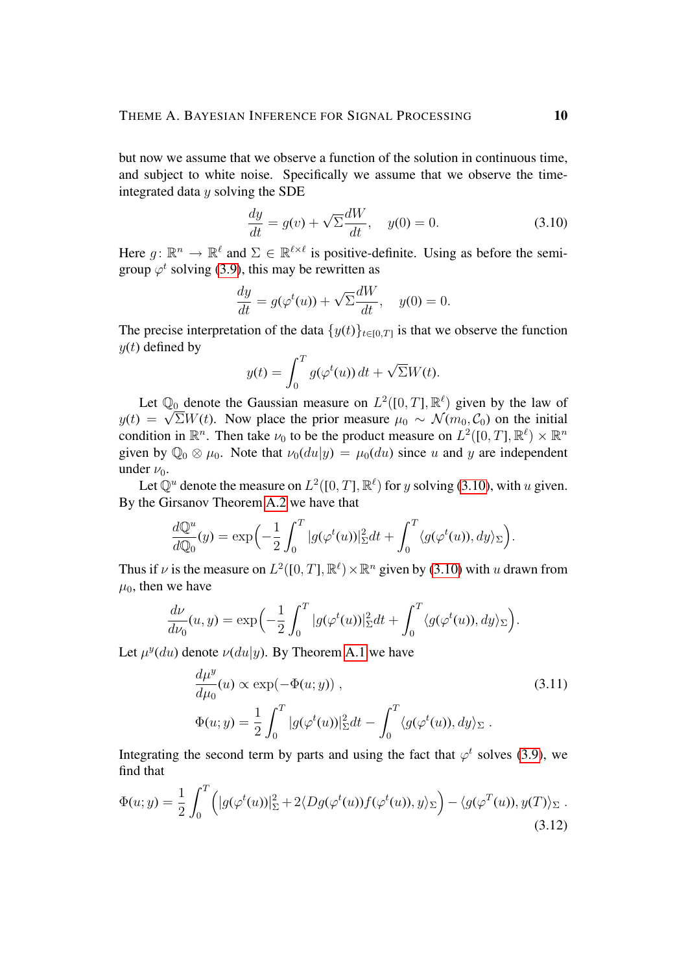but now we assume that we observe a function of the solution in continuous time, and subject to white noise. Specifically we assume that we observe the timeintegrated data  $y$  solving the SDE

<span id="page-9-0"></span>
$$
\frac{dy}{dt} = g(v) + \sqrt{\Sigma} \frac{dW}{dt}, \quad y(0) = 0.
$$
\n(3.10)

Here  $g: \mathbb{R}^n \to \mathbb{R}^\ell$  and  $\Sigma \in \mathbb{R}^{\ell \times \ell}$  is positive-definite. Using as before the semigroup  $\varphi^t$  solving [\(3.9\)](#page-8-2), this may be rewritten as

$$
\frac{dy}{dt} = g(\varphi^t(u)) + \sqrt{\Sigma} \frac{dW}{dt}, \quad y(0) = 0.
$$

The precise interpretation of the data  $\{y(t)\}_{t\in[0,T]}$  is that we observe the function  $y(t)$  defined by

$$
y(t) = \int_0^T g(\varphi^t(u)) dt + \sqrt{\Sigma} W(t).
$$

Let  $\mathbb{Q}_0$  denote the Gaussian measure on  $L^2([0,T], \mathbb{R}^{\ell})$  given by the law of  $y(t) = \sqrt{\Sigma W(t)}$ . Now place the prior measure  $\mu_0 \sim \mathcal{N}(m_0, C_0)$  on the initial condition in  $\mathbb{R}^n$ . Then take  $\nu_0$  to be the product measure on  $L^2([0,T], \mathbb{R}^\ell) \times \mathbb{R}^n$ given by  $\mathbb{Q}_0 \otimes \mu_0$ . Note that  $\nu_0(du|y) = \mu_0(du)$  since u and y are independent under  $\nu_0$ .

Let  $\mathbb{Q}^u$  denote the measure on  $L^2([0,T], \mathbb{R}^\ell)$  for y solving [\(3.10\)](#page-9-0), with u given. By the Girsanov Theorem [A.2](#page-3-1) we have that

$$
\frac{d\mathbb{Q}^u}{d\mathbb{Q}_0}(y) = \exp\left(-\frac{1}{2}\int_0^T |g(\varphi^t(u))|_{\Sigma}^2 dt + \int_0^T \langle g(\varphi^t(u)), dy \rangle_{\Sigma}\right).
$$

Thus if  $\nu$  is the measure on  $L^2([0,T], \mathbb{R}^\ell) \times \mathbb{R}^n$  given by [\(3.10\)](#page-9-0) with u drawn from  $\mu_0$ , then we have

$$
\frac{d\nu}{d\nu_0}(u,y) = \exp\left(-\frac{1}{2}\int_0^T |g(\varphi^t(u))|_{\Sigma}^2 dt + \int_0^T \langle g(\varphi^t(u)), dy \rangle_{\Sigma}\right).
$$

Let  $\mu^y(du)$  denote  $\nu(du|y)$ . By Theorem [A.1](#page-3-0) we have

<span id="page-9-2"></span><span id="page-9-1"></span>
$$
\frac{d\mu^y}{d\mu_0}(u) \propto \exp(-\Phi(u; y)),
$$
\n
$$
\Phi(u; y) = \frac{1}{2} \int_0^T |g(\varphi^t(u))|_{\Sigma}^2 dt - \int_0^T \langle g(\varphi^t(u)), dy \rangle_{\Sigma}.
$$
\n(3.11)

Integrating the second term by parts and using the fact that  $\varphi^t$  solves [\(3.9\)](#page-8-2), we find that

<span id="page-9-3"></span>
$$
\Phi(u; y) = \frac{1}{2} \int_0^T \left( |g(\varphi^t(u))|_{\Sigma}^2 + 2 \langle Dg(\varphi^t(u)) f(\varphi^t(u)), y \rangle_{\Sigma} \right) - \langle g(\varphi^T(u)), y(T) \rangle_{\Sigma} .
$$
\n(3.12)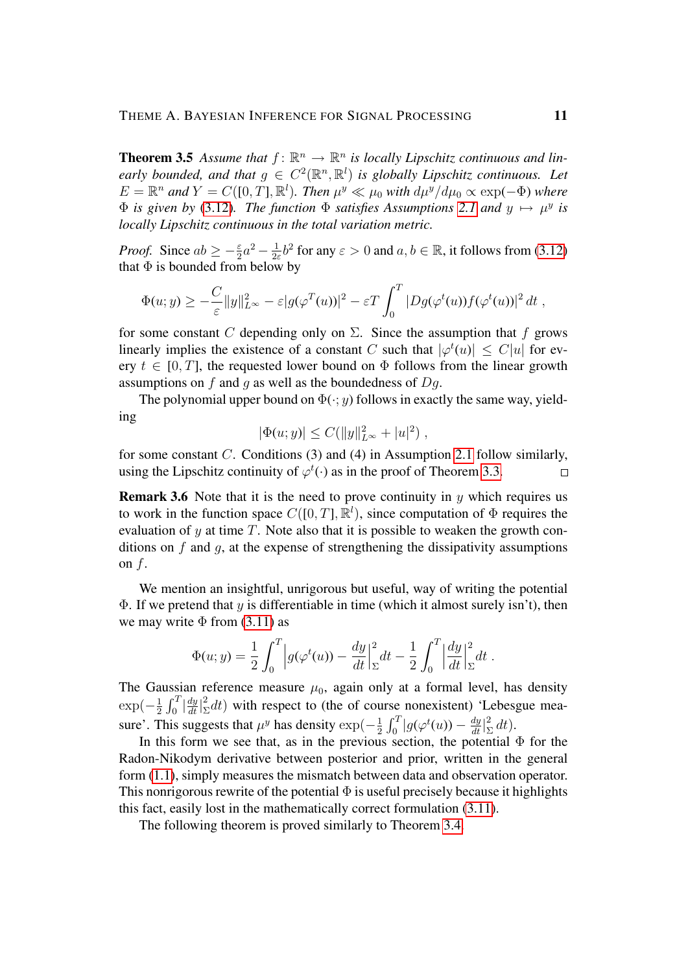**Theorem 3.5** Assume that  $f: \mathbb{R}^n \to \mathbb{R}^n$  is locally Lipschitz continuous and linearly bounded, and that  $g \in C^2(\mathbb{R}^n, \mathbb{R}^l)$  is globally Lipschitz continuous. Let  $E = \mathbb{R}^n$  and  $Y = C([0, T], \mathbb{R}^l)$ . Then  $\mu^y \ll \mu_0$  with  $d\mu^y/d\mu_0 \propto \exp(-\Phi)$  where  $\Phi$  *is given by* [\(3.12\)](#page-9-1)*. The function*  $\Phi$  *satisfies Assumptions* [2.1](#page-3-0) *and*  $y \mapsto \mu^y$  *is locally Lipschitz continuous in the total variation metric.*

*Proof.* Since  $ab \geq -\frac{\varepsilon}{2}a^2 - \frac{1}{2\varepsilon}$  $\frac{1}{2\varepsilon}b^2$  for any  $\varepsilon > 0$  and  $a, b \in \mathbb{R}$ , it follows from [\(3.12\)](#page-9-1) that  $\Phi$  is bounded from below by

$$
\Phi(u; y) \geq -\frac{C}{\varepsilon} \|y\|_{L^\infty}^2 - \varepsilon |g(\varphi^T(u))|^2 - \varepsilon T \int_0^T |Dg(\varphi^t(u))f(\varphi^t(u))|^2 dt,
$$

for some constant C depending only on  $\Sigma$ . Since the assumption that f grows linearly implies the existence of a constant C such that  $|\varphi^t(u)| \leq C|u|$  for every  $t \in [0, T]$ , the requested lower bound on  $\Phi$  follows from the linear growth assumptions on  $f$  and  $g$  as well as the boundedness of  $Dg$ .

The polynomial upper bound on  $\Phi(\cdot; y)$  follows in exactly the same way, yielding

$$
|\Phi(u; y)| \le C(||y||_{L^{\infty}}^2 + |u|^2) ,
$$

for some constant C. Conditions (3) and (4) in Assumption [2.1](#page-3-0) follow similarly, using the Lipschitz continuity of  $\varphi^t(\cdot)$  as in the proof of Theorem [3.3.](#page-5-2)  $\Box$ 

**Remark 3.6** Note that it is the need to prove continuity in  $y$  which requires us to work in the function space  $C([0, T], \mathbb{R}^l)$ , since computation of  $\Phi$  requires the evaluation of  $y$  at time  $T$ . Note also that it is possible to weaken the growth conditions on f and q, at the expense of strengthening the dissipativity assumptions on  $f$ .

We mention an insightful, unrigorous but useful, way of writing the potential  $\Phi$ . If we pretend that y is differentiable in time (which it almost surely isn't), then we may write  $\Phi$  from [\(3.11\)](#page-9-2) as

$$
\Phi(u; y) = \frac{1}{2} \int_0^T \left| g(\varphi^t(u)) - \frac{dy}{dt} \right|_{\Sigma}^2 dt - \frac{1}{2} \int_0^T \left| \frac{dy}{dt} \right|_{\Sigma}^2 dt.
$$

The Gaussian reference measure  $\mu_0$ , again only at a formal level, has density  $\exp(-\frac{1}{2})$  $\frac{1}{2} \int_0^T \left| \frac{dy}{dt} \right|_{\Sigma}^2$  $\sum_{i=1}^{2} dt$ ) with respect to (the of course nonexistent) 'Lebesgue measure'. This suggests that  $\mu^y$  has density  $\exp(-\frac{1}{2})$  $\frac{1}{2}\int_0^T\bigl|g(\varphi^t(u))-\frac{dy}{dt}\bigr|_2^2$  $\frac{2}{\Sigma} dt$ ).

In this form we see that, as in the previous section, the potential  $\Phi$  for the Radon-Nikodym derivative between posterior and prior, written in the general form [\(1.1\)](#page-1-1), simply measures the mismatch between data and observation operator. This nonrigorous rewrite of the potential  $\Phi$  is useful precisely because it highlights this fact, easily lost in the mathematically correct formulation [\(3.11\)](#page-9-2).

<span id="page-10-0"></span>The following theorem is proved similarly to Theorem [3.4.](#page-8-3)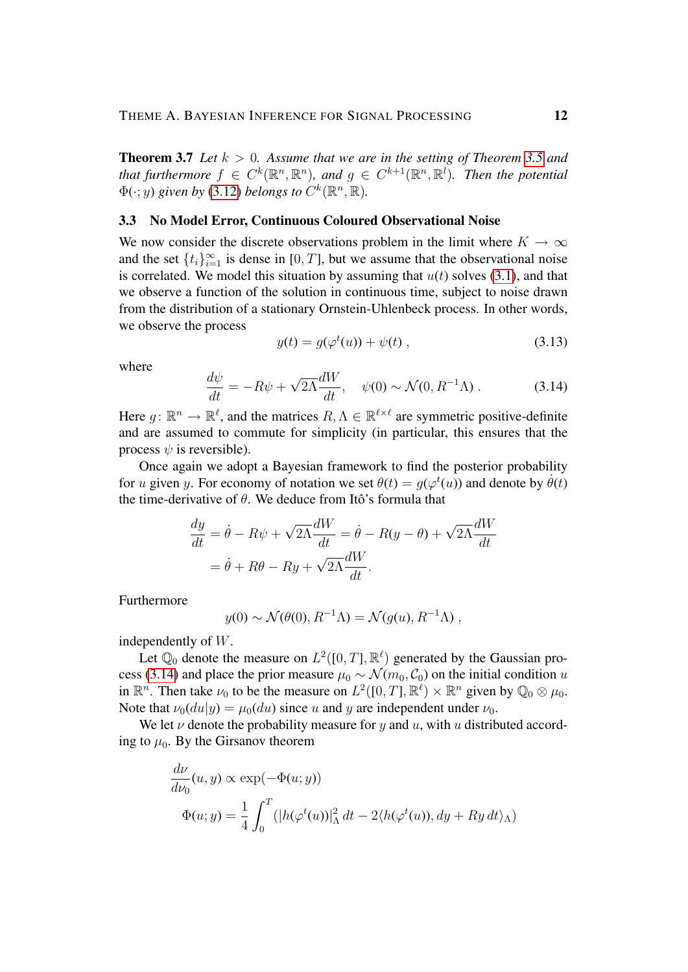**Theorem 3.7** Let  $k > 0$ . Assume that we are in the setting of Theorem [3.5](#page-9-3) and that furthermore  $f \in C^k(\mathbb{R}^n, \mathbb{R}^n)$ , and  $g \in C^{k+1}(\mathbb{R}^n, \mathbb{R}^l)$ . Then the potential  $\Phi(\cdot; y)$  given by [\(3.12\)](#page-9-1) belongs to  $C^k(\mathbb{R}^n, \mathbb{R})$ .

## <span id="page-11-0"></span>3.3 No Model Error, Continuous Coloured Observational Noise

We now consider the discrete observations problem in the limit where  $K \to \infty$ and the set  $\{t_i\}_{i=1}^{\infty}$  is dense in [0, T], but we assume that the observational noise is correlated. We model this situation by assuming that  $u(t)$  solves [\(3.1\)](#page-5-3), and that we observe a function of the solution in continuous time, subject to noise drawn from the distribution of a stationary Ornstein-Uhlenbeck process. In other words, we observe the process

<span id="page-11-2"></span>
$$
y(t) = g(\varphi^t(u)) + \psi(t) , \qquad (3.13)
$$

where

<span id="page-11-1"></span>
$$
\frac{d\psi}{dt} = -R\psi + \sqrt{2\Lambda} \frac{dW}{dt}, \quad \psi(0) \sim \mathcal{N}(0, R^{-1}\Lambda) \,. \tag{3.14}
$$

Here  $g: \mathbb{R}^n \to \mathbb{R}^\ell$ , and the matrices  $R, \Lambda \in \mathbb{R}^{\ell \times \ell}$  are symmetric positive-definite and are assumed to commute for simplicity (in particular, this ensures that the process  $\psi$  is reversible).

Once again we adopt a Bayesian framework to find the posterior probability for u given y. For economy of notation we set  $\theta(t) = g(\varphi^t(u))$  and denote by  $\dot{\theta}(t)$ the time-derivative of  $\theta$ . We deduce from Itô's formula that

$$
\frac{dy}{dt} = \dot{\theta} - R\psi + \sqrt{2\Lambda} \frac{dW}{dt} = \dot{\theta} - R(y - \theta) + \sqrt{2\Lambda} \frac{dW}{dt}
$$

$$
= \dot{\theta} + R\theta - Ry + \sqrt{2\Lambda} \frac{dW}{dt}.
$$

Furthermore

$$
y(0) \sim \mathcal{N}(\theta(0), R^{-1}\Lambda) = \mathcal{N}(g(u), R^{-1}\Lambda) ,
$$

independently of W.

Let  $\mathbb{Q}_0$  denote the measure on  $L^2([0,T], \mathbb{R}^{\ell})$  generated by the Gaussian pro-cess [\(3.14\)](#page-11-1) and place the prior measure  $\mu_0 \sim \mathcal{N}(m_0, \mathcal{C}_0)$  on the initial condition u in  $\mathbb{R}^n$ . Then take  $\nu_0$  to be the measure on  $L^2([0,T], \mathbb{R}^\ell) \times \mathbb{R}^n$  given by  $\mathbb{Q}_0 \otimes \mu_0$ . Note that  $\nu_0(du|y) = \mu_0(du)$  since u and y are independent under  $\nu_0$ .

We let  $\nu$  denote the probability measure for y and u, with u distributed according to  $\mu_0$ . By the Girsanov theorem

$$
\frac{d\nu}{d\nu_0}(u, y) \propto \exp(-\Phi(u; y))
$$
  

$$
\Phi(u; y) = \frac{1}{4} \int_0^T (|h(\varphi^t(u))|_{\Lambda}^2 dt - 2\langle h(\varphi^t(u)), dy + Ry dt \rangle_{\Lambda})
$$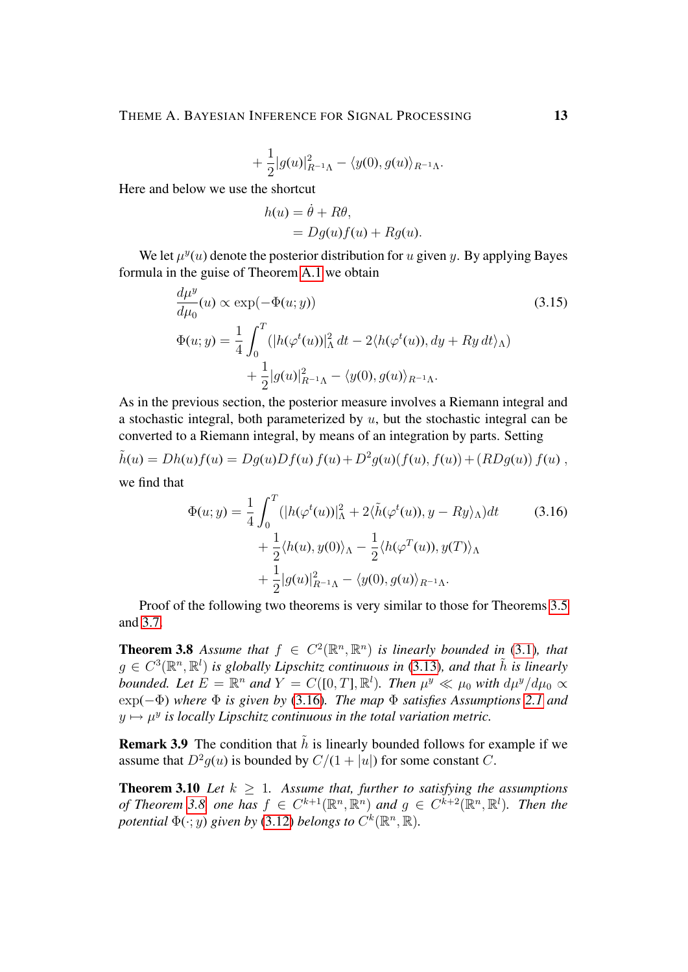$$
+\frac{1}{2}|g(u)|^2_{R^{-1}\Lambda}-\langle y(0),g(u)\rangle_{R^{-1}\Lambda}.
$$

Here and below we use the shortcut

$$
h(u) = \dot{\theta} + R\theta,
$$
  
=  $Dg(u)f(u) + Rg(u).$ 

We let  $\mu^{y}(u)$  denote the posterior distribution for u given y. By applying Bayes formula in the guise of Theorem [A.1](#page-3-0) we obtain

$$
\frac{d\mu^y}{d\mu_0}(u) \propto \exp(-\Phi(u; y))\tag{3.15}
$$
\n
$$
\Phi(u; y) = \frac{1}{4} \int_0^T (|h(\varphi^t(u))|_{\Lambda}^2 dt - 2\langle h(\varphi^t(u)), dy + Ry dt \rangle_{\Lambda})
$$
\n
$$
+ \frac{1}{2} |g(u)|_{R^{-1}\Lambda}^2 - \langle y(0), g(u) \rangle_{R^{-1}\Lambda}.
$$

As in the previous section, the posterior measure involves a Riemann integral and a stochastic integral, both parameterized by  $u$ , but the stochastic integral can be converted to a Riemann integral, by means of an integration by parts. Setting

$$
\tilde{h}(u) = Dh(u)f(u) = Dg(u)Df(u) f(u) + D^2g(u)(f(u), f(u)) + (RDg(u)) f(u),
$$

we find that

<span id="page-12-0"></span>
$$
\Phi(u; y) = \frac{1}{4} \int_0^T (|h(\varphi^t(u))|_{\Lambda}^2 + 2\langle \tilde{h}(\varphi^t(u)), y - Ry \rangle_{\Lambda}) dt
$$
\n
$$
+ \frac{1}{2} \langle h(u), y(0) \rangle_{\Lambda} - \frac{1}{2} \langle h(\varphi^T(u)), y(T) \rangle_{\Lambda}
$$
\n
$$
+ \frac{1}{2} |g(u)|_{R^{-1}\Lambda}^2 - \langle y(0), g(u) \rangle_{R^{-1}\Lambda}.
$$
\n(3.16)

Proof of the following two theorems is very similar to those for Theorems [3.5](#page-9-3) and [3.7.](#page-10-0)

<span id="page-12-1"></span>**Theorem 3.8** Assume that  $f \in C^2(\mathbb{R}^n, \mathbb{R}^n)$  is linearly bounded in [\(3.1\)](#page-5-3), that  $g \in C^3(\mathbb{R}^n, \mathbb{R}^l)$  is globally Lipschitz continuous in [\(3.13\)](#page-11-2), and that  $\tilde{h}$  is linearly *bounded.* Let  $E = \mathbb{R}^n$  and  $Y = C([0, T], \mathbb{R}^l)$ . Then  $\mu^y \ll \mu_0$  with  $d\mu^y/d\mu_0 \propto$ exp(−Φ) *where* Φ *is given by* [\(3.16\)](#page-12-0)*. The map* Φ *satisfies Assumptions [2.1](#page-3-0) and*  $y \mapsto \mu^y$  is locally Lipschitz continuous in the total variation metric.

**Remark 3.9** The condition that  $\tilde{h}$  is linearly bounded follows for example if we assume that  $D^2 g(u)$  is bounded by  $C/(1+|u|)$  for some constant C.

**Theorem 3.10** *Let*  $k \geq 1$ *. Assume that, further to satisfying the assumptions of Theorem [3.8,](#page-12-1) one has*  $f \in C^{k+1}(\mathbb{R}^n, \mathbb{R}^n)$  and  $g \in C^{k+2}(\mathbb{R}^n, \mathbb{R}^l)$ *. Then the potential*  $\Phi(\cdot; y)$  given by [\(3.12\)](#page-9-1) *belongs to*  $C^k(\mathbb{R}^n, \mathbb{R})$ .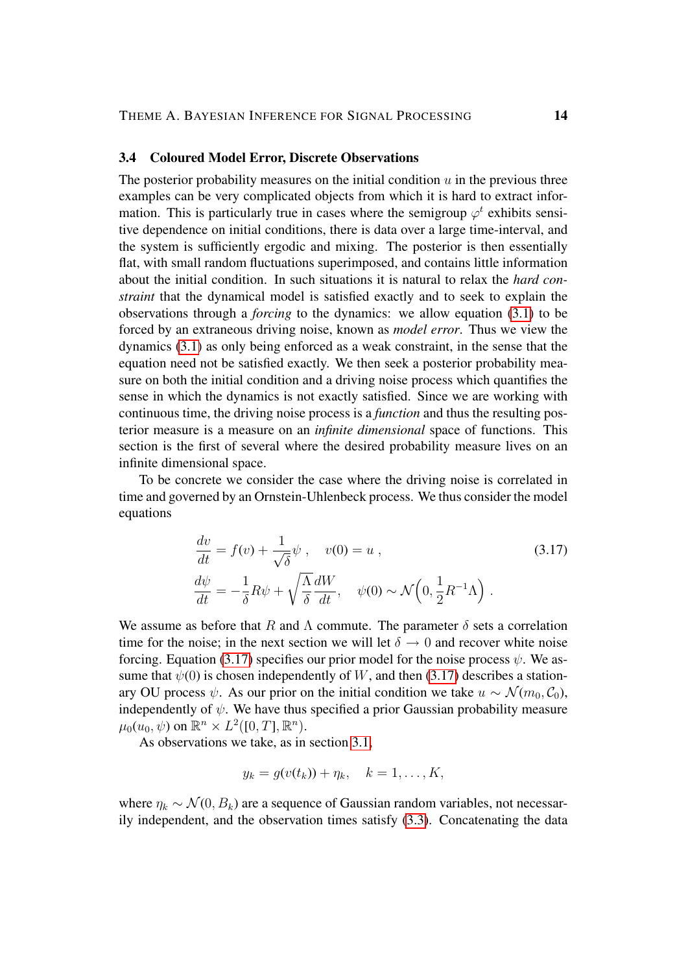## <span id="page-13-0"></span>3.4 Coloured Model Error, Discrete Observations

The posterior probability measures on the initial condition  $u$  in the previous three examples can be very complicated objects from which it is hard to extract information. This is particularly true in cases where the semigroup  $\varphi^t$  exhibits sensitive dependence on initial conditions, there is data over a large time-interval, and the system is sufficiently ergodic and mixing. The posterior is then essentially flat, with small random fluctuations superimposed, and contains little information about the initial condition. In such situations it is natural to relax the *hard constraint* that the dynamical model is satisfied exactly and to seek to explain the observations through a *forcing* to the dynamics: we allow equation [\(3.1\)](#page-5-3) to be forced by an extraneous driving noise, known as *model error*. Thus we view the dynamics [\(3.1\)](#page-5-3) as only being enforced as a weak constraint, in the sense that the equation need not be satisfied exactly. We then seek a posterior probability measure on both the initial condition and a driving noise process which quantifies the sense in which the dynamics is not exactly satisfied. Since we are working with continuous time, the driving noise process is a *function* and thus the resulting posterior measure is a measure on an *infinite dimensional* space of functions. This section is the first of several where the desired probability measure lives on an infinite dimensional space.

To be concrete we consider the case where the driving noise is correlated in time and governed by an Ornstein-Uhlenbeck process. We thus consider the model equations

<span id="page-13-1"></span>
$$
\begin{aligned}\n\frac{dv}{dt} &= f(v) + \frac{1}{\sqrt{\delta}} \psi, \quad v(0) = u, \\
\frac{d\psi}{dt} &= -\frac{1}{\delta} R \psi + \sqrt{\frac{\Lambda}{\delta}} \frac{dW}{dt}, \quad \psi(0) \sim \mathcal{N}\left(0, \frac{1}{2} R^{-1} \Lambda\right).\n\end{aligned} \tag{3.17}
$$

We assume as before that R and  $\Lambda$  commute. The parameter  $\delta$  sets a correlation time for the noise; in the next section we will let  $\delta \rightarrow 0$  and recover white noise forcing. Equation [\(3.17\)](#page-13-1) specifies our prior model for the noise process  $\psi$ . We assume that  $\psi(0)$  is chosen independently of W, and then [\(3.17\)](#page-13-1) describes a stationary OU process  $\psi$ . As our prior on the initial condition we take  $u \sim \mathcal{N}(m_0, \mathcal{C}_0)$ , independently of  $\psi$ . We have thus specified a prior Gaussian probability measure  $\mu_0(u_0, \psi)$  on  $\mathbb{R}^n \times L^2([0, T], \mathbb{R}^n)$ .

As observations we take, as in section [3.1,](#page-5-1)

$$
y_k = g(v(t_k)) + \eta_k, \quad k = 1, \dots, K,
$$

where  $\eta_k \sim \mathcal{N}(0, B_k)$  are a sequence of Gaussian random variables, not necessarily independent, and the observation times satisfy [\(3.3\)](#page-5-4). Concatenating the data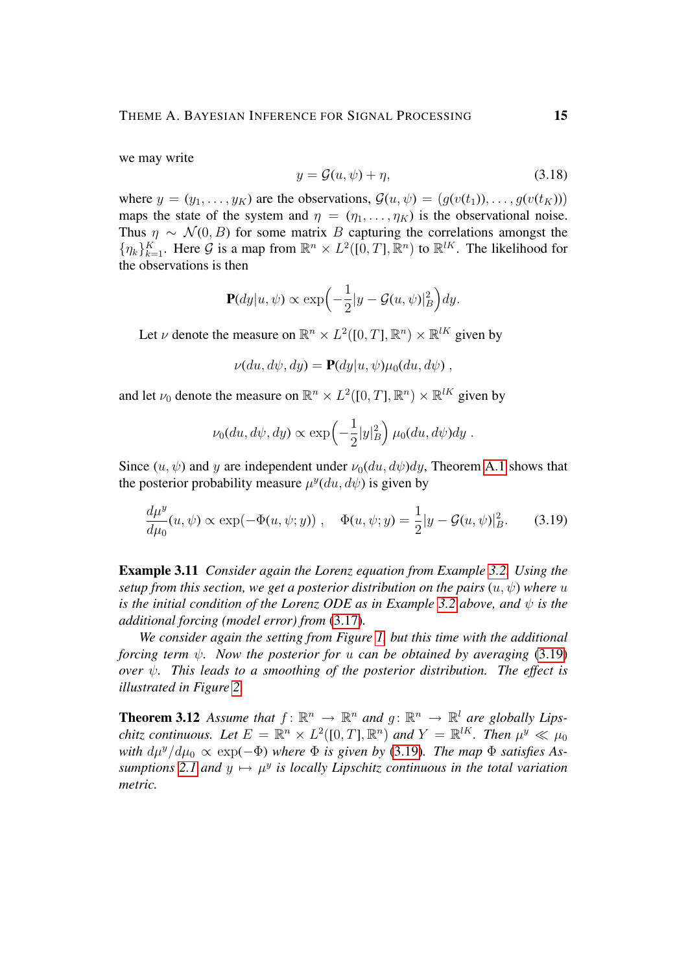we may write

<span id="page-14-1"></span>
$$
y = \mathcal{G}(u, \psi) + \eta,\tag{3.18}
$$

where  $y = (y_1, \ldots, y_K)$  are the observations,  $\mathcal{G}(u, \psi) = (q(v(t_1)), \ldots, q(v(t_K)))$ maps the state of the system and  $\eta = (\eta_1, \dots, \eta_K)$  is the observational noise. Thus  $\eta \sim \mathcal{N}(0, B)$  for some matrix B capturing the correlations amongst the  $\{\eta_k\}_{k=1}^K$ . Here G is a map from  $\mathbb{R}^n \times L^2([0,T], \mathbb{R}^n)$  to  $\mathbb{R}^{lK}$ . The likelihood for the observations is then

$$
\mathbf{P}(dy|u,\psi) \propto \exp\left(-\frac{1}{2}|y-\mathcal{G}(u,\psi)|_B^2\right)dy.
$$

Let  $\nu$  denote the measure on  $\mathbb{R}^n \times L^2([0,T], \mathbb{R}^n) \times \mathbb{R}^{lK}$  given by

$$
\nu(du, d\psi, dy) = \mathbf{P}(dy|u, \psi)\mu_0(du, d\psi) ,
$$

and let  $\nu_0$  denote the measure on  $\mathbb{R}^n \times L^2([0,T], \mathbb{R}^n) \times \mathbb{R}^{lK}$  given by

<span id="page-14-0"></span>
$$
\nu_0(du, d\psi, dy) \propto \exp\left(-\frac{1}{2}|y|_B^2\right) \mu_0(du, d\psi) dy.
$$

Since  $(u, \psi)$  and y are independent under  $\nu_0(du, d\psi)dy$ , Theorem [A.1](#page-3-0) shows that the posterior probability measure  $\mu^y(du, d\psi)$  is given by

$$
\frac{d\mu^y}{d\mu_0}(u,\psi) \propto \exp(-\Phi(u,\psi;y)), \quad \Phi(u,\psi;y) = \frac{1}{2}|y - \mathcal{G}(u,\psi)|_B^2. \tag{3.19}
$$

<span id="page-14-2"></span>Example 3.11 *Consider again the Lorenz equation from Example [3.2.](#page-3-1) Using the setup from this section, we get a posterior distribution on the pairs*  $(u, \psi)$  *where* u *is the initial condition of the Lorenz ODE as in Example [3.2](#page-3-1) above, and* ψ *is the additional forcing (model error) from* [\(3.17\)](#page-13-1)*.*

*We consider again the setting from Figure [1,](#page-41-0) but this time with the additional forcing term* ψ*. Now the posterior for* u *can be obtained by averaging* [\(3.19\)](#page-14-0) *over* ψ*. This leads to a smoothing of the posterior distribution. The effect is illustrated in Figure [2.](#page-42-0)*

**Theorem 3.12** Assume that  $f: \mathbb{R}^n \to \mathbb{R}^n$  and  $g: \mathbb{R}^n \to \mathbb{R}^l$  are globally Lips*chitz continuous.* Let  $E = \mathbb{R}^n \times L^2([0,T],\mathbb{R}^n)$  and  $Y = \mathbb{R}^{lK}$ . Then  $\mu^y \ll \mu_0$ *with*  $d\mu^y/d\mu_0 \propto \exp(-\Phi)$  *where*  $\Phi$  *is given by* [\(3.19\)](#page-14-0)*. The map*  $\Phi$  *satisfies* As $sumptions$  [2.1](#page-3-0) and  $y \mapsto \mu^y$  is locally Lipschitz continuous in the total variation *metric.*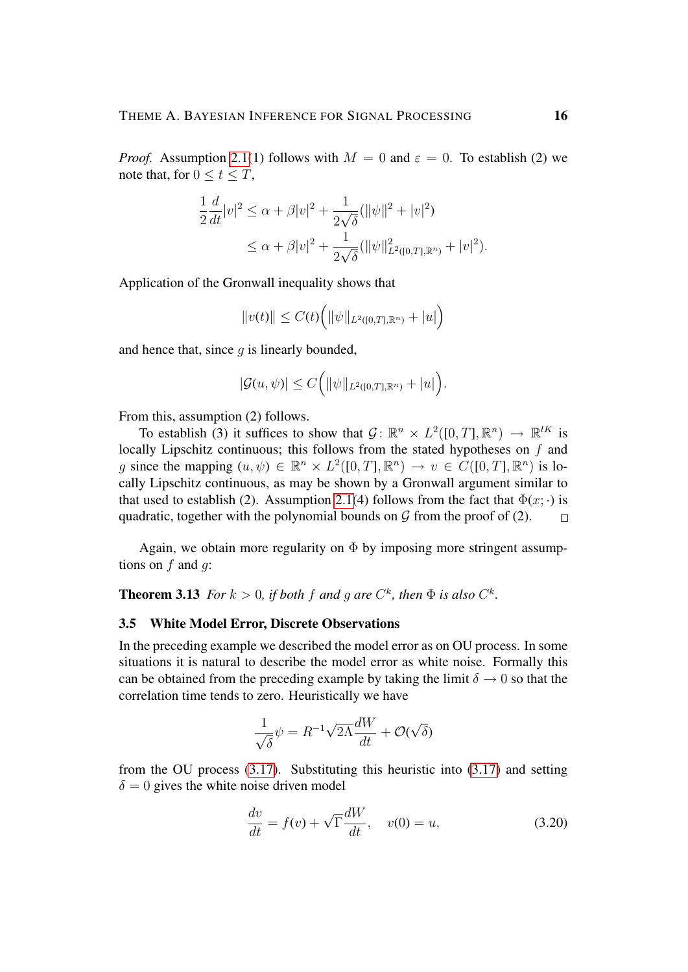*Proof.* Assumption [2.1\(](#page-3-0)1) follows with  $M = 0$  and  $\varepsilon = 0$ . To establish (2) we note that, for  $0 \le t \le T$ ,

$$
\frac{1}{2}\frac{d}{dt}|v|^2 \le \alpha + \beta|v|^2 + \frac{1}{2\sqrt{\delta}}(\|\psi\|^2 + |v|^2)
$$
  
 
$$
\le \alpha + \beta|v|^2 + \frac{1}{2\sqrt{\delta}}(\|\psi\|^2_{L^2([0,T],\mathbb{R}^n)} + |v|^2).
$$

Application of the Gronwall inequality shows that

$$
||v(t)|| \leq C(t) \Big( ||\psi||_{L^2([0,T],\mathbb{R}^n)} + |u| \Big)
$$

and hence that, since  $q$  is linearly bounded,

$$
|\mathcal{G}(u,\psi)| \leq C\Big(\|\psi\|_{L^2([0,T],\mathbb{R}^n)}+|u|\Big).
$$

From this, assumption (2) follows.

To establish (3) it suffices to show that  $\mathcal{G} \colon \mathbb{R}^n \times L^2([0,T], \mathbb{R}^n) \to \mathbb{R}^{lK}$  is locally Lipschitz continuous; this follows from the stated hypotheses on f and g since the mapping  $(u, \psi) \in \mathbb{R}^n \times L^2([0, T], \mathbb{R}^n) \to v \in C([0, T], \mathbb{R}^n)$  is locally Lipschitz continuous, as may be shown by a Gronwall argument similar to that used to establish (2). Assumption [2.1\(](#page-3-0)4) follows from the fact that  $\Phi(x; \cdot)$  is quadratic, together with the polynomial bounds on  $\mathcal G$  from the proof of (2).  $\Box$ 

Again, we obtain more regularity on  $\Phi$  by imposing more stringent assumptions on  $f$  and  $q$ :

**Theorem 3.13** *For*  $k > 0$ *, if both*  $f$  *and*  $g$  *are*  $C<sup>k</sup>$ *, then*  $\Phi$  *is also*  $C<sup>k</sup>$ *.* 

#### <span id="page-15-0"></span>3.5 White Model Error, Discrete Observations

In the preceding example we described the model error as on OU process. In some situations it is natural to describe the model error as white noise. Formally this can be obtained from the preceding example by taking the limit  $\delta \to 0$  so that the correlation time tends to zero. Heuristically we have

$$
\frac{1}{\sqrt{\delta}}\psi = R^{-1}\sqrt{2\Lambda}\frac{dW}{dt} + \mathcal{O}(\sqrt{\delta})
$$

from the OU process [\(3.17\)](#page-13-1). Substituting this heuristic into [\(3.17\)](#page-13-1) and setting  $\delta = 0$  gives the white noise driven model

<span id="page-15-1"></span>
$$
\frac{dv}{dt} = f(v) + \sqrt{\Gamma} \frac{dW}{dt}, \quad v(0) = u,\tag{3.20}
$$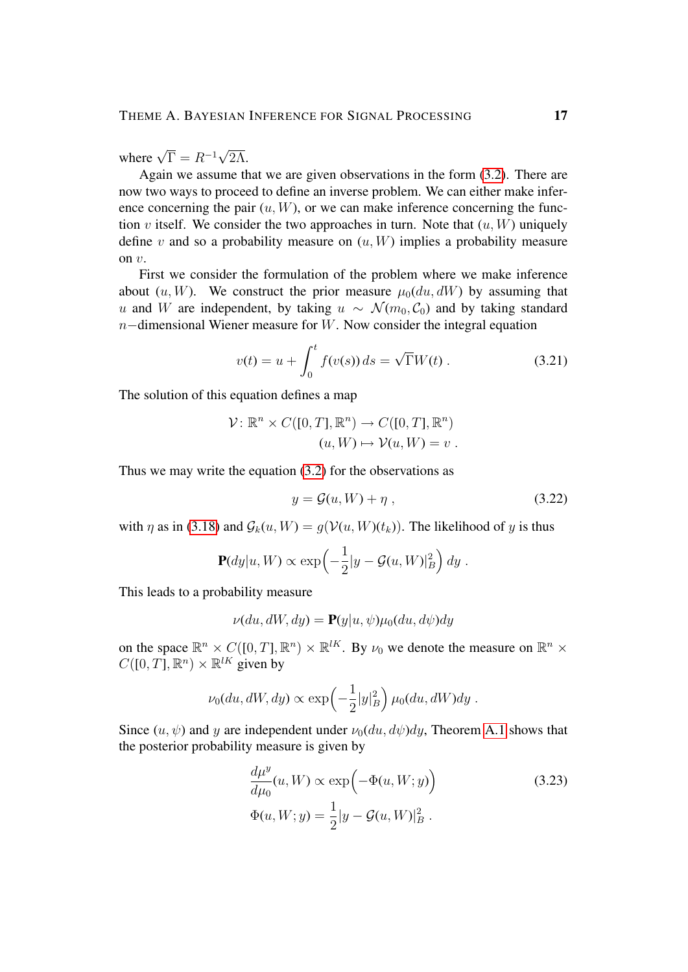where  $\sqrt{\Gamma} = R^{-1}$ √ 2Λ.

Again we assume that we are given observations in the form [\(3.2\)](#page-5-5). There are now two ways to proceed to define an inverse problem. We can either make inference concerning the pair  $(u, W)$ , or we can make inference concerning the function v itself. We consider the two approaches in turn. Note that  $(u, W)$  uniquely define v and so a probability measure on  $(u, W)$  implies a probability measure on v.

First we consider the formulation of the problem where we make inference about  $(u, W)$ . We construct the prior measure  $\mu_0(du, dW)$  by assuming that u and W are independent, by taking  $u \sim \mathcal{N}(m_0, \mathcal{C}_0)$  and by taking standard  $n$ −dimensional Wiener measure for W. Now consider the integral equation

$$
v(t) = u + \int_0^t f(v(s)) ds = \sqrt{\Gamma} W(t).
$$
 (3.21)

The solution of this equation defines a map

$$
\mathcal{V}: \mathbb{R}^n \times C([0, T], \mathbb{R}^n) \to C([0, T], \mathbb{R}^n)
$$

$$
(u, W) \mapsto \mathcal{V}(u, W) = v.
$$

Thus we may write the equation [\(3.2\)](#page-5-5) for the observations as

<span id="page-16-1"></span>
$$
y = \mathcal{G}(u, W) + \eta \tag{3.22}
$$

with  $\eta$  as in [\(3.18\)](#page-14-1) and  $\mathcal{G}_k(u, W) = q(\mathcal{V}(u, W)(t_k))$ . The likelihood of y is thus

$$
\mathbf{P}(dy|u, W) \propto \exp\left(-\frac{1}{2}|y - \mathcal{G}(u, W)|_B^2\right) dy.
$$

This leads to a probability measure

$$
\nu(du, dW, dy) = \mathbf{P}(y|u, \psi)\mu_0(du, d\psi)dy
$$

on the space  $\mathbb{R}^n \times C([0,T], \mathbb{R}^n) \times \mathbb{R}^{lK}$ . By  $\nu_0$  we denote the measure on  $\mathbb{R}^n \times$  $C([0, T], \mathbb{R}^n) \times \mathbb{R}^{lK}$  given by

$$
\nu_0(du, dW, dy) \propto \exp\left(-\frac{1}{2}|y|_B^2\right) \mu_0(du, dW) dy.
$$

Since  $(u, \psi)$  and y are independent under  $\nu_0(du, d\psi)dy$ , Theorem [A.1](#page-3-0) shows that the posterior probability measure is given by

<span id="page-16-0"></span>
$$
\frac{d\mu^y}{d\mu_0}(u, W) \propto \exp\left(-\Phi(u, W; y)\right)
$$
\n
$$
\Phi(u, W; y) = \frac{1}{2}|y - \mathcal{G}(u, W)|_B^2.
$$
\n(3.23)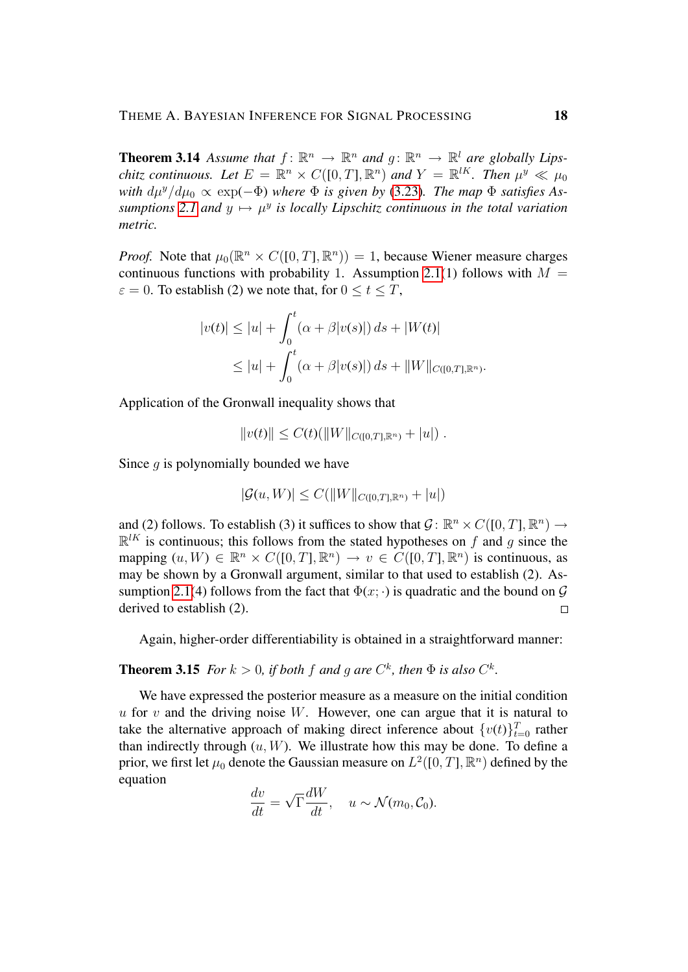**Theorem 3.14** Assume that  $f: \mathbb{R}^n \to \mathbb{R}^n$  and  $g: \mathbb{R}^n \to \mathbb{R}^l$  are globally Lips*chitz continuous.* Let  $E = \mathbb{R}^n \times C([0,T], \mathbb{R}^n)$  and  $Y = \mathbb{R}^{lK}$ . Then  $\mu^y \ll \mu_0$ *with*  $d\mu^y/d\mu_0 \propto \exp(-\Phi)$  *where*  $\Phi$  *is given by* [\(3.23\)](#page-16-0)*. The map*  $\Phi$  *satisfies* As $sumptions$  [2.1](#page-3-0) and  $y \mapsto \mu^y$  is locally Lipschitz continuous in the total variation *metric.*

*Proof.* Note that  $\mu_0(\mathbb{R}^n \times C([0, T], \mathbb{R}^n)) = 1$ , because Wiener measure charges continuous functions with probability 1. Assumption [2.1\(](#page-3-0)1) follows with  $M =$  $\varepsilon = 0$ . To establish (2) we note that, for  $0 \le t \le T$ ,

$$
|v(t)| \le |u| + \int_0^t (\alpha + \beta |v(s)|) ds + |W(t)|
$$
  
\n
$$
\le |u| + \int_0^t (\alpha + \beta |v(s)|) ds + ||W||_{C([0,T], \mathbb{R}^n)}.
$$

Application of the Gronwall inequality shows that

$$
||v(t)|| \leq C(t)(||W||_{C([0,T],\mathbb{R}^n)} + |u|).
$$

Since  $q$  is polynomially bounded we have

$$
|\mathcal{G}(u, W)| \le C(||W||_{C([0,T], \mathbb{R}^n)} + |u|)
$$

and (2) follows. To establish (3) it suffices to show that  $\mathcal{G} \colon \mathbb{R}^n \times C([0, T], \mathbb{R}^n) \to$  $\mathbb{R}^{lK}$  is continuous; this follows from the stated hypotheses on f and g since the mapping  $(u, W) \in \mathbb{R}^n \times C([0, T], \mathbb{R}^n) \to v \in C([0, T], \mathbb{R}^n)$  is continuous, as may be shown by a Gronwall argument, similar to that used to establish (2). As-sumption [2.1\(](#page-3-0)4) follows from the fact that  $\Phi(x; \cdot)$  is quadratic and the bound on  $\mathcal G$ derived to establish (2).  $\Box$ 

Again, higher-order differentiability is obtained in a straightforward manner:

## **Theorem 3.15** *For*  $k > 0$ *, if both*  $f$  *and*  $g$  *are*  $C<sup>k</sup>$ *, then*  $\Phi$  *is also*  $C<sup>k</sup>$ *.*

We have expressed the posterior measure as a measure on the initial condition  $u$  for  $v$  and the driving noise  $W$ . However, one can argue that it is natural to take the alternative approach of making direct inference about  $\{v(t)\}_{t=0}^T$  rather than indirectly through  $(u, W)$ . We illustrate how this may be done. To define a prior, we first let  $\mu_0$  denote the Gaussian measure on  $L^2([0,T],\mathbb{R}^n)$  defined by the equation

$$
\frac{dv}{dt} = \sqrt{\Gamma} \frac{dW}{dt}, \quad u \sim \mathcal{N}(m_0, \mathcal{C}_0).
$$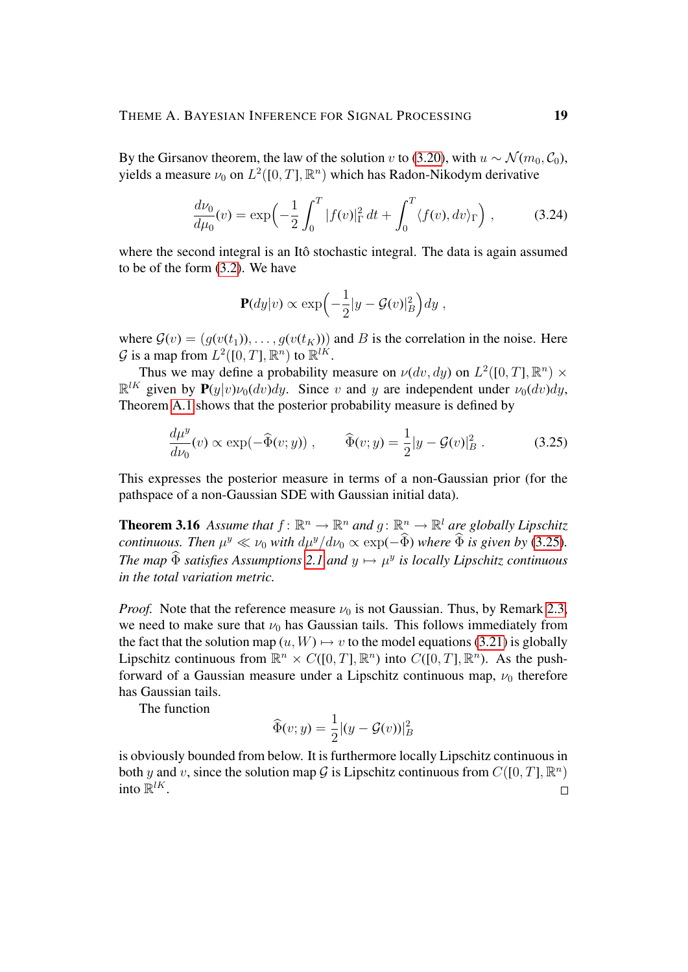By the Girsanov theorem, the law of the solution v to [\(3.20\)](#page-15-1), with  $u \sim \mathcal{N}(m_0, \mathcal{C}_0)$ , yields a measure  $\nu_0$  on  $L^2([0,T],\mathbb{R}^n)$  which has Radon-Nikodym derivative

<span id="page-18-1"></span>
$$
\frac{d\nu_0}{d\mu_0}(v) = \exp\left(-\frac{1}{2}\int_0^T |f(v)|_{\Gamma}^2 dt + \int_0^T \langle f(v), dv \rangle_{\Gamma}\right),\tag{3.24}
$$

where the second integral is an Itô stochastic integral. The data is again assumed to be of the form [\(3.2\)](#page-5-5). We have

<span id="page-18-0"></span>
$$
\mathbf{P}(dy|v) \propto \exp\left(-\frac{1}{2}|y-\mathcal{G}(v)|_B^2\right)dy,
$$

where  $G(v) = (g(v(t_1)), \ldots, g(v(t_K)))$  and B is the correlation in the noise. Here  $\mathcal G$  is a map from  $L^2([0,T],\mathbb R^n)$  to  $\mathbb R^{lK}.$ 

Thus we may define a probability measure on  $\nu(dv, dy)$  on  $L^2([0, T], \mathbb{R}^n) \times$  $\mathbb{R}^{lK}$  given by  $\mathbf{P}(y|v)\nu_0(dv)dy$ . Since v and y are independent under  $\nu_0(dv)dy$ , Theorem [A.1](#page-3-0) shows that the posterior probability measure is defined by

$$
\frac{d\mu^y}{d\nu_0}(v) \propto \exp(-\widehat{\Phi}(v; y)), \qquad \widehat{\Phi}(v; y) = \frac{1}{2}|y - \mathcal{G}(v)|_B^2. \tag{3.25}
$$

This expresses the posterior measure in terms of a non-Gaussian prior (for the pathspace of a non-Gaussian SDE with Gaussian initial data).

**Theorem 3.16** Assume that  $f: \mathbb{R}^n \to \mathbb{R}^n$  and  $g: \mathbb{R}^n \to \mathbb{R}^l$  are globally Lipschitz *continuous. Then*  $\mu^y \ll \nu_0$  *with*  $d\mu^y/d\nu_0 \propto \exp(-\Phi)$  *where*  $\Phi$  *is given by* [\(3.25\)](#page-18-0). *The map*  $\widehat{\Phi}$  *satisfies Assumptions* [2.1](#page-3-0) *and*  $y \mapsto \mu^y$  *is locally Lipschitz continuous in the total variation metric.*

*Proof.* Note that the reference measure  $\nu_0$  is not Gaussian. Thus, by Remark [2.3,](#page-5-2) we need to make sure that  $\nu_0$  has Gaussian tails. This follows immediately from the fact that the solution map  $(u, W) \mapsto v$  to the model equations [\(3.21\)](#page-16-1) is globally Lipschitz continuous from  $\mathbb{R}^n \times C([0,T], \mathbb{R}^n)$  into  $C([0,T], \mathbb{R}^n)$ . As the pushforward of a Gaussian measure under a Lipschitz continuous map,  $\nu_0$  therefore has Gaussian tails.

The function

$$
\widehat{\Phi}(v; y) = \frac{1}{2} |(y - \mathcal{G}(v))|_B^2
$$

is obviously bounded from below. It is furthermore locally Lipschitz continuous in both y and v, since the solution map G is Lipschitz continuous from  $C([0, T], \mathbb{R}^n)$ into  $\mathbb{R}^{lK}$ .  $\Box$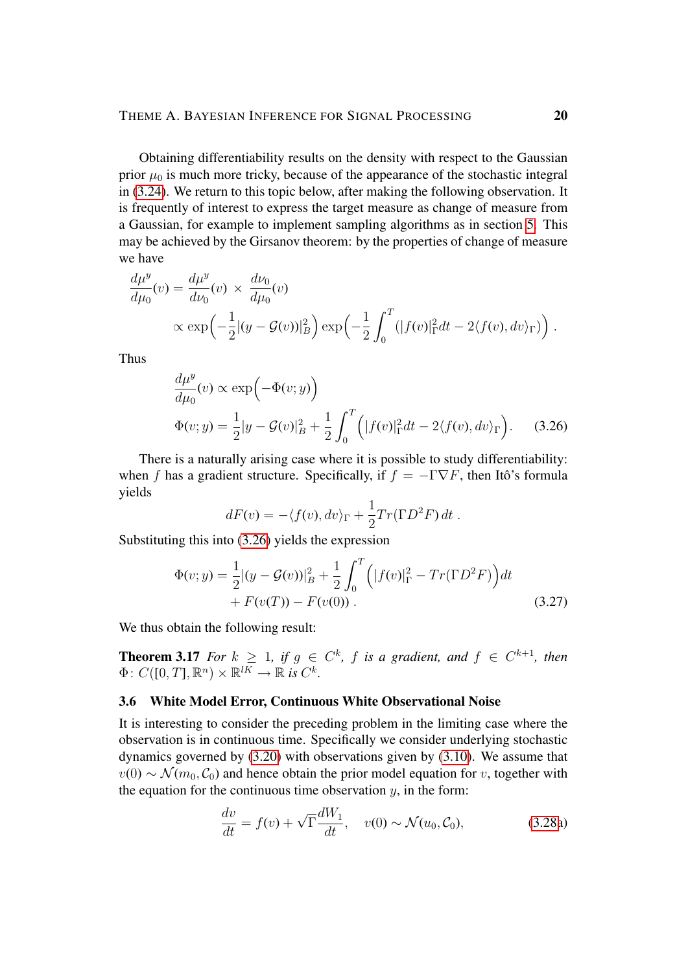Obtaining differentiability results on the density with respect to the Gaussian prior  $\mu_0$  is much more tricky, because of the appearance of the stochastic integral in [\(3.24\)](#page-18-1). We return to this topic below, after making the following observation. It is frequently of interest to express the target measure as change of measure from a Gaussian, for example to implement sampling algorithms as in section [5.](#page-28-0) This may be achieved by the Girsanov theorem: by the properties of change of measure we have

$$
\frac{d\mu^y}{d\mu_0}(v) = \frac{d\mu^y}{d\nu_0}(v) \times \frac{d\nu_0}{d\mu_0}(v)
$$
  
 
$$
\propto \exp\left(-\frac{1}{2}|(y - \mathcal{G}(v))|_B^2\right) \exp\left(-\frac{1}{2}\int_0^T (|f(v)|_{\Gamma}^2 dt - 2\langle f(v), dv \rangle_{\Gamma})\right).
$$

Thus

$$
\frac{d\mu^y}{d\mu_0}(v) \propto \exp\left(-\Phi(v; y)\right)
$$
  

$$
\Phi(v; y) = \frac{1}{2}|y - \mathcal{G}(v)|_B^2 + \frac{1}{2}\int_0^T \left(|f(v)|_\Gamma^2 dt - 2\langle f(v), dv \rangle_\Gamma\right).
$$
 (3.26)

There is a naturally arising case where it is possible to study differentiability: when f has a gradient structure. Specifically, if  $f = -\Gamma \nabla F$ , then Itô's formula yields

<span id="page-19-1"></span>
$$
dF(v) = -\langle f(v), dv \rangle_{\Gamma} + \frac{1}{2} Tr(\Gamma D^2 F) dt.
$$

Substituting this into [\(3.26\)](#page-19-1) yields the expression

$$
\Phi(v; y) = \frac{1}{2} |(y - \mathcal{G}(v))|_B^2 + \frac{1}{2} \int_0^T \left( |f(v)|_{\Gamma}^2 - Tr(\Gamma D^2 F) \right) dt
$$
  
+  $F(v(T)) - F(v(0)).$  (3.27)

We thus obtain the following result:

**Theorem 3.17** For  $k \geq 1$ , if  $g \in C^k$ , f is a gradient, and  $f \in C^{k+1}$ , then  $\Phi\colon C([0,T],\mathbb{R}^n)\times\mathbb{R}^{lK}\to\mathbb{R}$  is  $C^k$ .

#### <span id="page-19-0"></span>3.6 White Model Error, Continuous White Observational Noise

It is interesting to consider the preceding problem in the limiting case where the observation is in continuous time. Specifically we consider underlying stochastic dynamics governed by [\(3.20\)](#page-15-1) with observations given by [\(3.10\)](#page-9-0). We assume that  $v(0) \sim \mathcal{N}(m_0, \mathcal{C}_0)$  and hence obtain the prior model equation for v, together with the equation for the continuous time observation  $y$ , in the form:

<span id="page-19-2"></span>
$$
\frac{dv}{dt} = f(v) + \sqrt{\Gamma} \frac{dW_1}{dt}, \quad v(0) \sim \mathcal{N}(u_0, \mathcal{C}_0),
$$
\n(3.28a)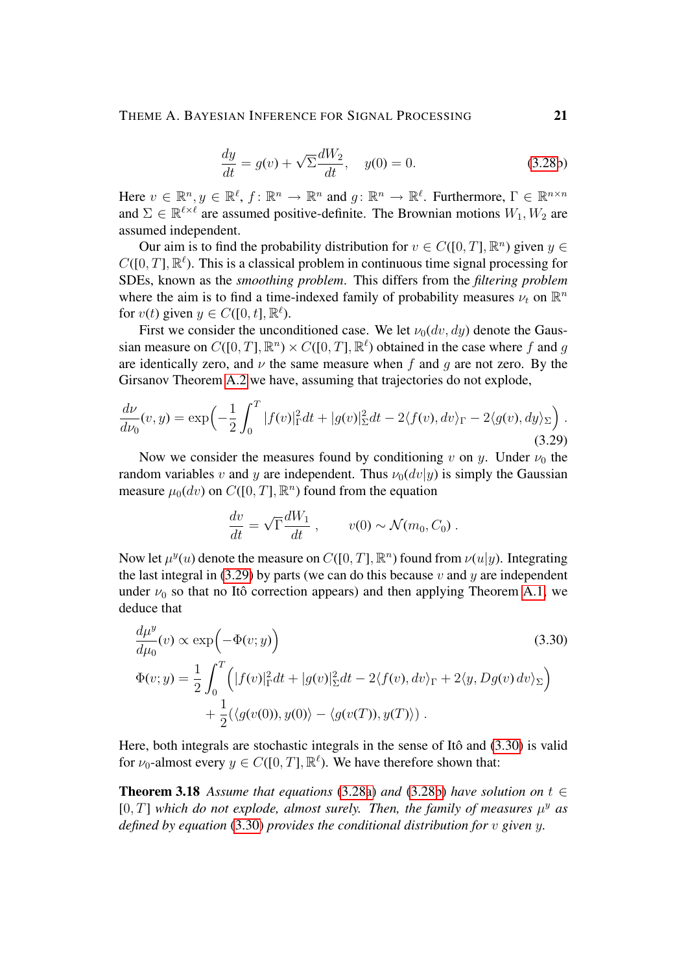## THEME A. BAYESIAN INFERENCE FOR SIGNAL PROCESSING 21

<span id="page-20-2"></span>
$$
\frac{dy}{dt} = g(v) + \sqrt{\Sigma} \frac{dW_2}{dt}, \quad y(0) = 0.
$$
 (3.28b)

Here  $v \in \mathbb{R}^n, y \in \mathbb{R}^\ell, f \colon \mathbb{R}^n \to \mathbb{R}^n$  and  $g \colon \mathbb{R}^n \to \mathbb{R}^\ell$ . Furthermore,  $\Gamma \in \mathbb{R}^{n \times n}$ and  $\Sigma \in \mathbb{R}^{\ell \times \ell}$  are assumed positive-definite. The Brownian motions  $W_1, W_2$  are assumed independent.

Our aim is to find the probability distribution for  $v \in C([0, T], \mathbb{R}^n)$  given  $y \in$  $C([0,T], \mathbb{R}^{\ell})$ . This is a classical problem in continuous time signal processing for SDEs, known as the *smoothing problem*. This differs from the *filtering problem* where the aim is to find a time-indexed family of probability measures  $\nu_t$  on  $\mathbb{R}^n$ for  $v(t)$  given  $y \in C([0, t], \mathbb{R}^{\ell})$ .

First we consider the unconditioned case. We let  $\nu_0(dv, dy)$  denote the Gaussian measure on  $C([0, T], \mathbb{R}^n) \times C([0, T], \mathbb{R}^{\ell})$  obtained in the case where f and g are identically zero, and  $\nu$  the same measure when f and q are not zero. By the Girsanov Theorem [A.2](#page-3-1) we have, assuming that trajectories do not explode,

$$
\frac{d\nu}{d\nu_0}(v,y) = \exp\left(-\frac{1}{2}\int_0^T |f(v)|^2_{\Gamma}dt + |g(v)|^2_{\Sigma}dt - 2\langle f(v), dv \rangle_{\Gamma} - 2\langle g(v), dy \rangle_{\Sigma}\right).
$$
\n(3.29)

Now we consider the measures found by conditioning v on y. Under  $\nu_0$  the random variables v and y are independent. Thus  $\nu_0(dv|y)$  is simply the Gaussian measure  $\mu_0(dv)$  on  $C([0, T], \mathbb{R}^n)$  found from the equation

<span id="page-20-1"></span><span id="page-20-0"></span>
$$
\frac{dv}{dt} = \sqrt{\Gamma} \frac{dW_1}{dt} , \qquad v(0) \sim \mathcal{N}(m_0, C_0) .
$$

Now let  $\mu^y(u)$  denote the measure on  $C([0, T], \mathbb{R}^n)$  found from  $\nu(u|y)$ . Integrating the last integral in [\(3.29\)](#page-20-0) by parts (we can do this because v and y are independent under  $\nu_0$  so that no Itô correction appears) and then applying Theorem [A.1,](#page-3-0) we deduce that

$$
\frac{d\mu^{y}}{d\mu_{0}}(v) \propto \exp\left(-\Phi(v; y)\right)
$$
\n
$$
\Phi(v; y) = \frac{1}{2} \int_{0}^{T} \left(|f(v)|_{\Gamma}^{2} dt + |g(v)|_{\Sigma}^{2} dt - 2\langle f(v), dv \rangle_{\Gamma} + 2\langle y, Dg(v) dv \rangle_{\Sigma}\right)
$$
\n
$$
+ \frac{1}{2} (\langle g(v(0)), y(0) \rangle - \langle g(v(T)), y(T) \rangle).
$$
\n(3.30)

Here, both integrals are stochastic integrals in the sense of Itô and  $(3.30)$  is valid for  $\nu_0$ -almost every  $y \in C([0, T], \mathbb{R}^{\ell})$ . We have therefore shown that:

<span id="page-20-3"></span>**Theorem 3.18** Assume that equations [\(3.28a\)](#page-19-2) and [\(3.28b\)](#page-20-2) have solution on  $t \in$  $[0, T]$  which do not explode, almost surely. Then, the family of measures  $\mu^y$  as *defined by equation* [\(3.30\)](#page-20-1) *provides the conditional distribution for* v *given* y*.*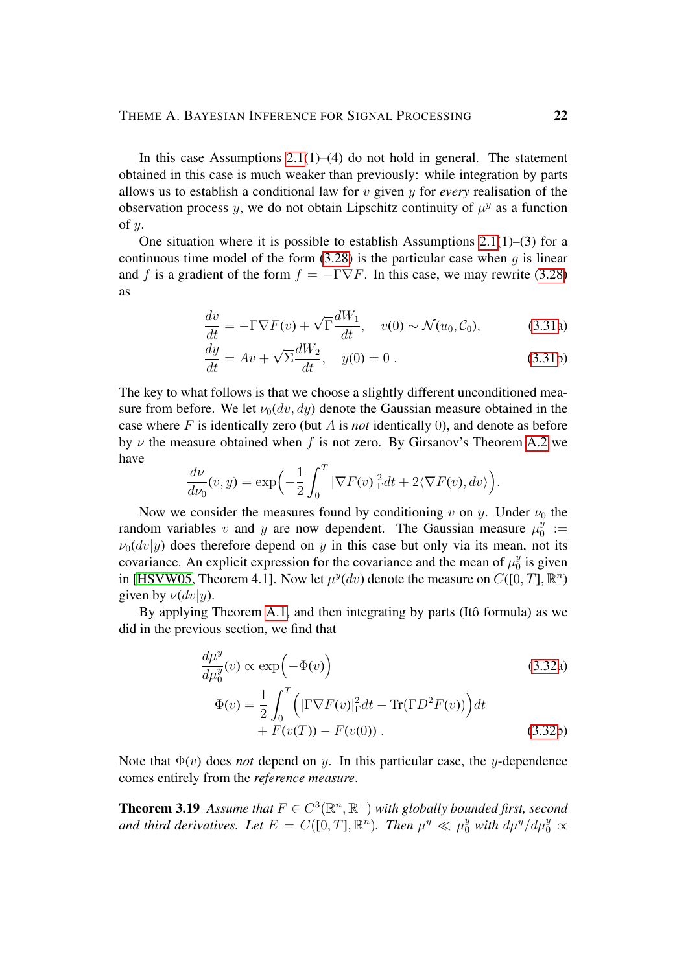In this case Assumptions  $2.1(1)$ –(4) do not hold in general. The statement obtained in this case is much weaker than previously: while integration by parts allows us to establish a conditional law for v given y for *every* realisation of the observation process y, we do not obtain Lipschitz continuity of  $\mu^y$  as a function of  $y$ .

One situation where it is possible to establish Assumptions  $2.1(1)$ –(3) for a continuous time model of the form  $(3.28)$  is the particular case when q is linear and f is a gradient of the form  $f = -\Gamma \nabla F$ . In this case, we may rewrite [\(3.28\)](#page-19-0) as

$$
\frac{dv}{dt} = -\Gamma \nabla F(v) + \sqrt{\Gamma} \frac{dW_1}{dt}, \quad v(0) \sim \mathcal{N}(u_0, \mathcal{C}_0), \tag{3.31a}
$$

$$
\frac{dy}{dt} = Av + \sqrt{\Sigma} \frac{dW_2}{dt}, \quad y(0) = 0.
$$
\n(3.31b)

The key to what follows is that we choose a slightly different unconditioned measure from before. We let  $\nu_0(dv, dy)$  denote the Gaussian measure obtained in the case where  $F$  is identically zero (but  $\tilde{A}$  is *not* identically 0), and denote as before by  $\nu$  the measure obtained when f is not zero. By Girsanov's Theorem [A.2](#page-3-1) we have

$$
\frac{d\nu}{d\nu_0}(v,y) = \exp\left(-\frac{1}{2}\int_0^T |\nabla F(v)|^2_{\Gamma} dt + 2\langle \nabla F(v), dv \rangle\right).
$$

Now we consider the measures found by conditioning v on y. Under  $\nu_0$  the random variables v and y are now dependent. The Gaussian measure  $\mu_0^y$  $\begin{array}{c} y \\ 0 \end{array} :=$  $\nu_0(dv|y)$  does therefore depend on y in this case but only via its mean, not its covariance. An explicit expression for the covariance and the mean of  $\mu_0^y$  $\frac{y}{0}$  is given in [\[HSVW05,](#page-39-0) Theorem 4.1]. Now let  $\mu^y(dv)$  denote the measure on  $C([0, T], \mathbb{R}^n)$ given by  $\nu(dv|y)$ .

By applying Theorem [A.1,](#page-3-0) and then integrating by parts (Itô formula) as we did in the previous section, we find that

$$
\frac{d\mu_y^y}{d\mu_0^y}(v) \propto \exp\left(-\Phi(v)\right)
$$
\n(3.32a)  
\n
$$
\Phi(v) = \frac{1}{2} \int_0^T \left( |\Gamma \nabla F(v)|_{\Gamma}^2 dt - \text{Tr}(\Gamma D^2 F(v)) \right) dt + F(v(T)) - F(v(0)).
$$
\n(3.32b)

Note that  $\Phi(v)$  does *not* depend on y. In this particular case, the y-dependence comes entirely from the *reference measure*.

<span id="page-21-0"></span>**Theorem 3.19** Assume that  $F \in C^3(\mathbb{R}^n, \mathbb{R}^+)$  with globally bounded first, second and third derivatives. Let  $E = C([0, T], \mathbb{R}^n)$ . Then  $\mu^y \ll \mu_0^y$  with  $d\mu^y/d\mu_0^y \propto$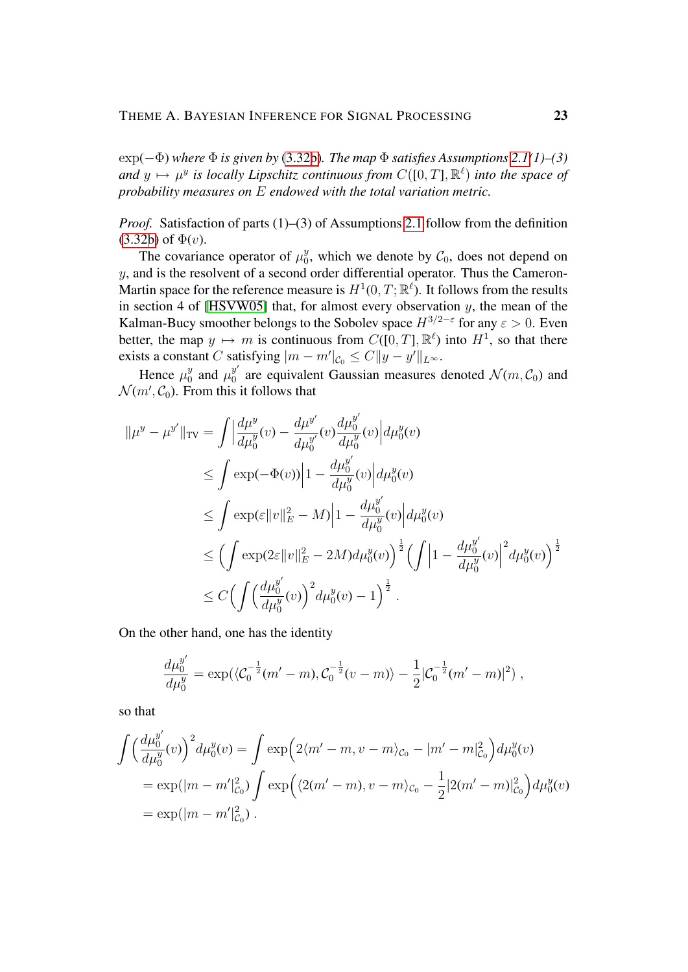exp(−Φ) *where* Φ *is given by* [\(3.32b\)](#page-20-2)*. The map* Φ *satisfies Assumptions [2.1\(](#page-3-0)1)–(3)* and  $y \mapsto \mu^y$  is locally Lipschitz continuous from  $C([0, T], \mathbb{R}^{\ell})$  into the space of *probability measures on* E *endowed with the total variation metric.*

*Proof.* Satisfaction of parts (1)–(3) of Assumptions [2.1](#page-3-0) follow from the definition  $(3.32b)$  of  $\Phi(v)$ .

The covariance operator of  $\mu_0^y$  $\mathcal{C}_0$ , which we denote by  $\mathcal{C}_0$ , does not depend on  $y$ , and is the resolvent of a second order differential operator. Thus the Cameron-Martin space for the reference measure is  $H^1(0,T;\mathbb{R}^{\ell})$ . It follows from the results in section 4 of [\[HSVW05\]](#page-39-0) that, for almost every observation  $y$ , the mean of the Kalman-Bucy smoother belongs to the Sobolev space  $H^{3/2-\epsilon}$  for any  $\varepsilon > 0$ . Even better, the map  $y \mapsto m$  is continuous from  $C([0, T], \mathbb{R}^{\ell})$  into  $H^1$ , so that there exists a constant C satisfying  $|m - m'|_{C_0} \leq C ||y - y'||_{L^{\infty}}$ .

Hence  $\mu_0^y$  $y_0^y$  and  $\mu_0^{y'}$  $\int_0^y$  are equivalent Gaussian measures denoted  $\mathcal{N}(m, \mathcal{C}_0)$  and  $\mathcal{N}(m', \mathcal{C}_0)$ . From this it follows that

$$
\| \mu^{y} - \mu^{y'} \|_{TV} = \int \left| \frac{d\mu^{y}}{d\mu^{y}}(v) - \frac{d\mu^{y'}}{d\mu^{y'}}(v) \frac{d\mu^{y'}}{d\mu^{y}}(v) \right| d\mu^{y}(v)
$$
  
\n
$$
\leq \int \exp(-\Phi(v)) \left| 1 - \frac{d\mu^{y'}}{d\mu^{y'}}(v) \right| d\mu^{y}(v)
$$
  
\n
$$
\leq \int \exp(\varepsilon \|v\|_{E}^{2} - M) \left| 1 - \frac{d\mu^{y'}}{d\mu^{y'}}(v) \right| d\mu^{y}(v)
$$
  
\n
$$
\leq \left( \int \exp(2\varepsilon \|v\|_{E}^{2} - 2M) d\mu^{y}(v) \right)^{\frac{1}{2}} \left( \int \left| 1 - \frac{d\mu^{y'}}{d\mu^{y'}}(v) \right|^{2} d\mu^{y}(v) \right)^{\frac{1}{2}}
$$
  
\n
$$
\leq C \left( \int \left( \frac{d\mu^{y'}}{d\mu^{y'}}(v) \right)^{2} d\mu^{y}(v) - 1 \right)^{\frac{1}{2}}.
$$

On the other hand, one has the identity

$$
\frac{d\mu_0^{y'}}{d\mu_0^y} = \exp(\langle \mathcal{C}_0^{-\frac{1}{2}}(m'-m), \mathcal{C}_0^{-\frac{1}{2}}(v-m) \rangle - \frac{1}{2} |\mathcal{C}_0^{-\frac{1}{2}}(m'-m)|^2 \rangle ,
$$

so that

$$
\int \left(\frac{d\mu_0^{y'}}{d\mu_0^y}(v)\right)^2 d\mu_0^y(v) = \int \exp\left(2\langle m'-m, v-m\rangle_{\mathcal{C}_0} - |m'-m|_{\mathcal{C}_0}^2\right) d\mu_0^y(v)
$$
  
=  $\exp(|m-m'|_{\mathcal{C}_0}^2) \int \exp\left(\langle 2(m'-m), v-m\rangle_{\mathcal{C}_0} - \frac{1}{2}|2(m'-m)|_{\mathcal{C}_0}^2\right) d\mu_0^y(v)$   
=  $\exp(|m-m'|_{\mathcal{C}_0}^2)$ .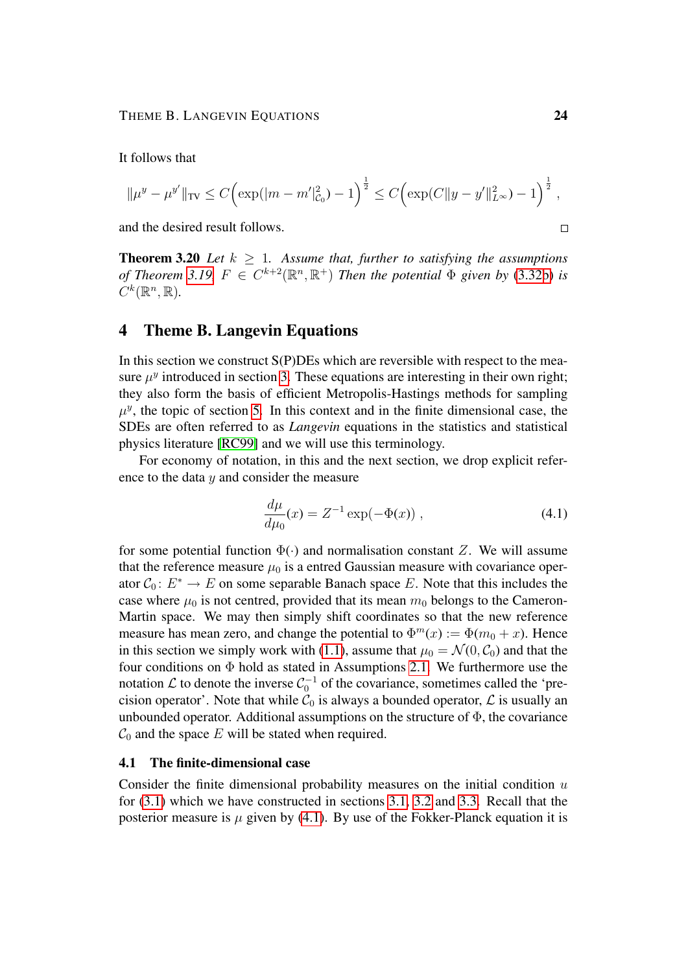It follows that

$$
\|\mu^y - \mu^{y'}\|_{TV} \le C \Big(\exp(|m - m'|_{C_0}^2) - 1\Big)^{\frac{1}{2}} \le C \Big(\exp(C\|y - y'\|_{L^\infty}^2) - 1\Big)^{\frac{1}{2}},
$$

and the desired result follows.

**Theorem 3.20** *Let*  $k > 1$ *. Assume that, further to satisfying the assumptions of Theorem* [3.19,](#page-21-0)  $F \in C^{k+2}(\mathbb{R}^n, \mathbb{R}^+)$  *Then the potential*  $\Phi$  *given by* [\(3.32b\)](#page-20-2) *is*  $C^k(\mathbb{R}^n,\mathbb{R})$ .

## <span id="page-23-0"></span>4 Theme B. Langevin Equations

In this section we construct  $S(P)$ DEs which are reversible with respect to the measure  $\mu^y$  introduced in section [3.](#page-5-0) These equations are interesting in their own right; they also form the basis of efficient Metropolis-Hastings methods for sampling  $\mu^{y}$ , the topic of section [5.](#page-28-0) In this context and in the finite dimensional case, the SDEs are often referred to as *Langevin* equations in the statistics and statistical physics literature [\[RC99\]](#page-40-0) and we will use this terminology.

For economy of notation, in this and the next section, we drop explicit reference to the data  $y$  and consider the measure

<span id="page-23-1"></span>
$$
\frac{d\mu}{d\mu_0}(x) = Z^{-1} \exp(-\Phi(x)),
$$
\n(4.1)

for some potential function  $\Phi(\cdot)$  and normalisation constant Z. We will assume that the reference measure  $\mu_0$  is a entred Gaussian measure with covariance operator  $C_0: E^* \to E$  on some separable Banach space E. Note that this includes the case where  $\mu_0$  is not centred, provided that its mean  $m_0$  belongs to the Cameron-Martin space. We may then simply shift coordinates so that the new reference measure has mean zero, and change the potential to  $\Phi^m(x) := \Phi(m_0 + x)$ . Hence in this section we simply work with [\(1.1\)](#page-1-1), assume that  $\mu_0 = \mathcal{N}(0, \mathcal{C}_0)$  and that the four conditions on  $\Phi$  hold as stated in Assumptions [2.1.](#page-3-0) We furthermore use the notation  $\mathcal L$  to denote the inverse  $\mathcal C_0^{-1}$  of the covariance, sometimes called the 'precision operator'. Note that while  $\mathcal{C}_0$  is always a bounded operator,  $\mathcal L$  is usually an unbounded operator. Additional assumptions on the structure of  $\Phi$ , the covariance  $\mathcal{C}_0$  and the space E will be stated when required.

## 4.1 The finite-dimensional case

Consider the finite dimensional probability measures on the initial condition  $u$ for [\(3.1\)](#page-5-3) which we have constructed in sections [3.1,](#page-5-1) [3.2](#page-8-0) and [3.3.](#page-11-0) Recall that the posterior measure is  $\mu$  given by [\(4.1\)](#page-23-1). By use of the Fokker-Planck equation it is

 $\Box$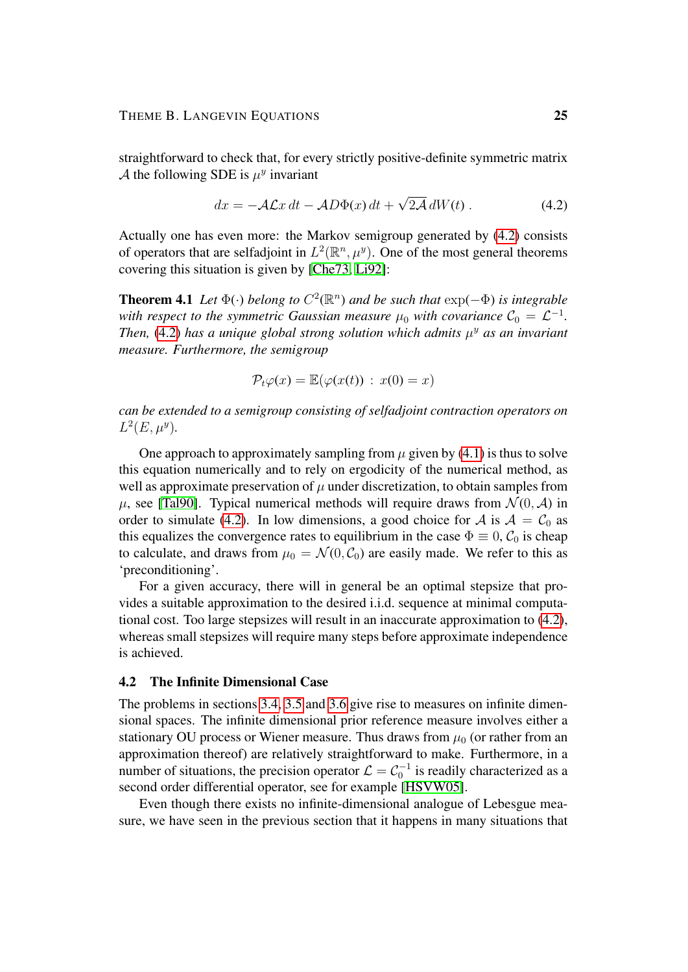straightforward to check that, for every strictly positive-definite symmetric matrix A the following SDE is  $\mu^y$  invariant

<span id="page-24-0"></span>
$$
dx = -\mathcal{A}\mathcal{L}x dt - \mathcal{A}D\Phi(x) dt + \sqrt{2\mathcal{A}} dW(t).
$$
 (4.2)

Actually one has even more: the Markov semigroup generated by [\(4.2\)](#page-24-0) consists of operators that are selfadjoint in  $L^2(\mathbb{R}^n, \mu^y)$ . One of the most general theorems covering this situation is given by [\[Che73,](#page-38-4) [Li92\]](#page-39-1):

**Theorem 4.1** Let  $\Phi(\cdot)$  belong to  $C^2(\mathbb{R}^n)$  and be such that  $\exp(-\Phi)$  is integrable with respect to the symmetric Gaussian measure  $\mu_0$  with covariance  $\mathcal{C}_0 = \mathcal{L}^{-1}$ . Then,  $(4.2)$  has a unique global strong solution which admits  $\mu^y$  as an invariant *measure. Furthermore, the semigroup*

$$
\mathcal{P}_t\varphi(x)=\mathbb{E}(\varphi(x(t))\,:\,x(0)=x)
$$

*can be extended to a semigroup consisting of selfadjoint contraction operators on*  $L^2(E, \mu^y)$ .

One approach to approximately sampling from  $\mu$  given by [\(4.1\)](#page-23-1) is thus to solve this equation numerically and to rely on ergodicity of the numerical method, as well as approximate preservation of  $\mu$  under discretization, to obtain samples from  $\mu$ , see [\[Tal90\]](#page-40-1). Typical numerical methods will require draws from  $\mathcal{N}(0, \mathcal{A})$  in order to simulate [\(4.2\)](#page-24-0). In low dimensions, a good choice for A is  $A = C_0$  as this equalizes the convergence rates to equilibrium in the case  $\Phi \equiv 0$ ,  $\mathcal{C}_0$  is cheap to calculate, and draws from  $\mu_0 = \mathcal{N}(0, \mathcal{C}_0)$  are easily made. We refer to this as 'preconditioning'.

For a given accuracy, there will in general be an optimal stepsize that provides a suitable approximation to the desired i.i.d. sequence at minimal computational cost. Too large stepsizes will result in an inaccurate approximation to [\(4.2\)](#page-24-0), whereas small stepsizes will require many steps before approximate independence is achieved.

#### 4.2 The Infinite Dimensional Case

The problems in sections [3.4,](#page-13-0) [3.5](#page-15-0) and [3.6](#page-19-0) give rise to measures on infinite dimensional spaces. The infinite dimensional prior reference measure involves either a stationary OU process or Wiener measure. Thus draws from  $\mu_0$  (or rather from an approximation thereof) are relatively straightforward to make. Furthermore, in a number of situations, the precision operator  $\mathcal{L} = \mathcal{C}_0^{-1}$  is readily characterized as a second order differential operator, see for example [\[HSVW05\]](#page-39-0).

Even though there exists no infinite-dimensional analogue of Lebesgue measure, we have seen in the previous section that it happens in many situations that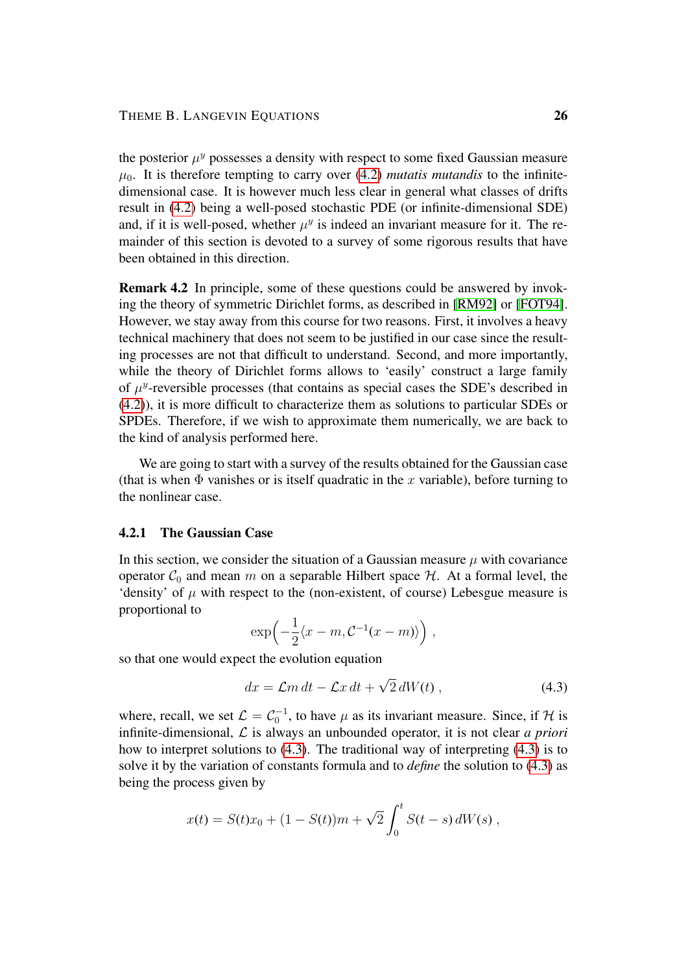the posterior  $\mu^y$  possesses a density with respect to some fixed Gaussian measure  $\mu_0$ . It is therefore tempting to carry over [\(4.2\)](#page-24-0) *mutatis mutandis* to the infinitedimensional case. It is however much less clear in general what classes of drifts result in [\(4.2\)](#page-24-0) being a well-posed stochastic PDE (or infinite-dimensional SDE) and, if it is well-posed, whether  $\mu^y$  is indeed an invariant measure for it. The remainder of this section is devoted to a survey of some rigorous results that have been obtained in this direction.

Remark 4.2 In principle, some of these questions could be answered by invoking the theory of symmetric Dirichlet forms, as described in [\[RM92\]](#page-40-2) or [\[FOT94\]](#page-39-2). However, we stay away from this course for two reasons. First, it involves a heavy technical machinery that does not seem to be justified in our case since the resulting processes are not that difficult to understand. Second, and more importantly, while the theory of Dirichlet forms allows to 'easily' construct a large family of  $\mu^y$ -reversible processes (that contains as special cases the SDE's described in [\(4.2\)](#page-24-0)), it is more difficult to characterize them as solutions to particular SDEs or SPDEs. Therefore, if we wish to approximate them numerically, we are back to the kind of analysis performed here.

We are going to start with a survey of the results obtained for the Gaussian case (that is when  $\Phi$  vanishes or is itself quadratic in the x variable), before turning to the nonlinear case.

## 4.2.1 The Gaussian Case

In this section, we consider the situation of a Gaussian measure  $\mu$  with covariance operator  $C_0$  and mean m on a separable Hilbert space  $H$ . At a formal level, the 'density' of  $\mu$  with respect to the (non-existent, of course) Lebesgue measure is proportional to

$$
\exp\left(-\frac{1}{2}\langle x-m, C^{-1}(x-m)\rangle\right),\,
$$

so that one would expect the evolution equation

<span id="page-25-0"></span>
$$
dx = \mathcal{L}m dt - \mathcal{L}x dt + \sqrt{2} dW(t) , \qquad (4.3)
$$

where, recall, we set  $\mathcal{L} = \mathcal{C}_0^{-1}$ , to have  $\mu$  as its invariant measure. Since, if H is infinite-dimensional, L is always an unbounded operator, it is not clear *a priori* how to interpret solutions to [\(4.3\)](#page-25-0). The traditional way of interpreting [\(4.3\)](#page-25-0) is to solve it by the variation of constants formula and to *define* the solution to [\(4.3\)](#page-25-0) as being the process given by

$$
x(t) = S(t)x_0 + (1 - S(t))m + \sqrt{2} \int_0^t S(t - s) dW(s) ,
$$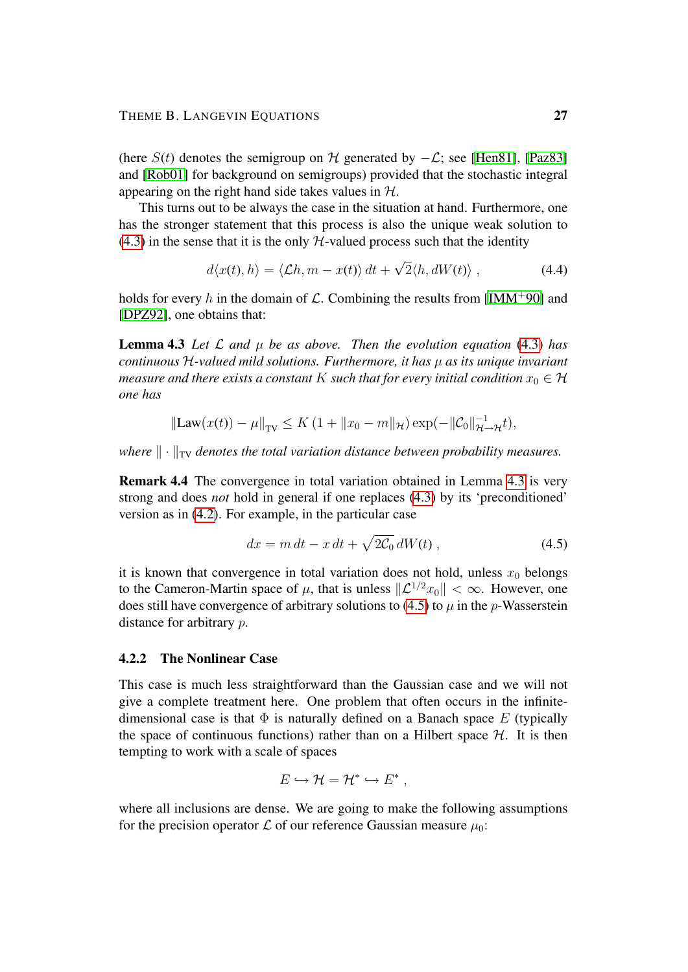(here  $S(t)$  denotes the semigroup on H generated by  $-\mathcal{L}$ ; see [\[Hen81\]](#page-39-3), [\[Paz83\]](#page-40-3) and [\[Rob01\]](#page-40-4) for background on semigroups) provided that the stochastic integral appearing on the right hand side takes values in  $H$ .

This turns out to be always the case in the situation at hand. Furthermore, one has the stronger statement that this process is also the unique weak solution to  $(4.3)$  in the sense that it is the only  $H$ -valued process such that the identity

$$
d\langle x(t), h\rangle = \langle \mathcal{L}h, m - x(t)\rangle dt + \sqrt{2}\langle h, dW(t)\rangle , \qquad (4.4)
$$

holds for every h in the domain of  $\mathcal{L}$ . Combining the results from [\[IMM](#page-39-4)+90] and [\[DPZ92\]](#page-38-5), one obtains that:

**Lemma 4.3** Let  $\mathcal L$  and  $\mu$  be as above. Then the evolution equation [\(4.3\)](#page-25-0) has *continuous* H*-valued mild solutions. Furthermore, it has* µ *as its unique invariant measure and there exists a constant* K *such that for every initial condition*  $x_0 \in H$ *one has*

$$
\|\text{Law}(x(t)) - \mu\|_{\text{TV}} \le K \left(1 + \|x_0 - m\|_{\mathcal{H}}\right) \exp(-\|\mathcal{C}_0\|_{\mathcal{H} \to \mathcal{H}}^{-1}),
$$

*where*  $\|\cdot\|_{TV}$  *denotes the total variation distance between probability measures.* 

Remark 4.4 The convergence in total variation obtained in Lemma [4.3](#page-5-2) is very strong and does *not* hold in general if one replaces [\(4.3\)](#page-25-0) by its 'preconditioned' version as in [\(4.2\)](#page-24-0). For example, in the particular case

<span id="page-26-0"></span>
$$
dx = m dt - x dt + \sqrt{2C_0} dW(t) , \qquad (4.5)
$$

it is known that convergence in total variation does not hold, unless  $x_0$  belongs to the Cameron-Martin space of  $\mu$ , that is unless  $\|\mathcal{L}^{1/2}x_0\| < \infty$ . However, one does still have convergence of arbitrary solutions to [\(4.5\)](#page-26-0) to  $\mu$  in the *p*-Wasserstein distance for arbitrary p.

## 4.2.2 The Nonlinear Case

This case is much less straightforward than the Gaussian case and we will not give a complete treatment here. One problem that often occurs in the infinitedimensional case is that  $\Phi$  is naturally defined on a Banach space E (typically the space of continuous functions) rather than on a Hilbert space  $H$ . It is then tempting to work with a scale of spaces

$$
E \hookrightarrow \mathcal{H} = \mathcal{H}^* \hookrightarrow E^*,
$$

where all inclusions are dense. We are going to make the following assumptions for the precision operator  $\mathcal L$  of our reference Gaussian measure  $\mu_0$ :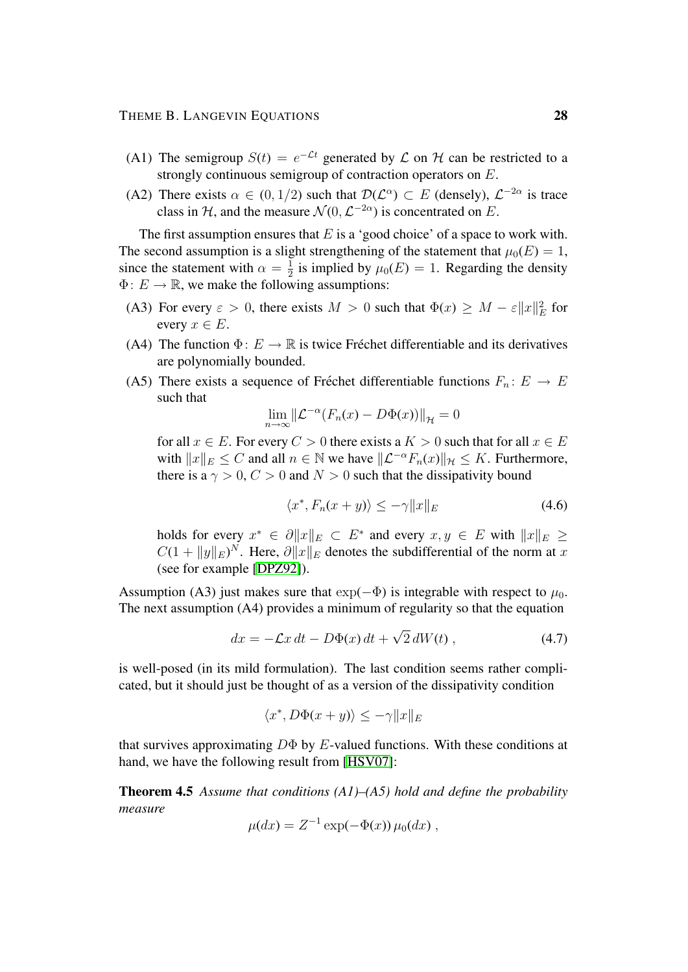- (A1) The semigroup  $S(t) = e^{-\mathcal{L}t}$  generated by  $\mathcal L$  on  $\mathcal H$  can be restricted to a strongly continuous semigroup of contraction operators on E.
- (A2) There exists  $\alpha \in (0, 1/2)$  such that  $\mathcal{D}(\mathcal{L}^{\alpha}) \subset E$  (densely),  $\mathcal{L}^{-2\alpha}$  is trace class in H, and the measure  $\mathcal{N}(0, \mathcal{L}^{-2\alpha})$  is concentrated on E.

The first assumption ensures that  $E$  is a 'good choice' of a space to work with. The second assumption is a slight strengthening of the statement that  $\mu_0(E) = 1$ , since the statement with  $\alpha = \frac{1}{2}$  $\frac{1}{2}$  is implied by  $\mu_0(E) = 1$ . Regarding the density  $\Phi: E \to \mathbb{R}$ , we make the following assumptions:

- (A3) For every  $\varepsilon > 0$ , there exists  $M > 0$  such that  $\Phi(x) \geq M \varepsilon ||x||^2$  for every  $x \in E$ .
- (A4) The function  $\Phi: E \to \mathbb{R}$  is twice Fréchet differentiable and its derivatives are polynomially bounded.
- (A5) There exists a sequence of Fréchet differentiable functions  $F_n : E \to E$ such that

$$
\lim_{n \to \infty} \left\| \mathcal{L}^{-\alpha} (F_n(x) - D\Phi(x)) \right\|_{\mathcal{H}} = 0
$$

for all  $x \in E$ . For every  $C > 0$  there exists a  $K > 0$  such that for all  $x \in E$ with  $||x||_E \leq C$  and all  $n \in \mathbb{N}$  we have  $||\mathcal{L}^{-\alpha}F_n(x)||_{\mathcal{H}} \leq K$ . Furthermore, there is a  $\gamma > 0$ ,  $C > 0$  and  $N > 0$  such that the dissipativity bound

<span id="page-27-0"></span>
$$
\langle x^*, F_n(x+y) \rangle \le -\gamma \|x\|_E \tag{4.6}
$$

holds for every  $x^* \in \partial ||x||_E \subset E^*$  and every  $x, y \in E$  with  $||x||_E \ge$  $C(1 + ||y||_E)^N$ . Here,  $\partial ||x||_E$  denotes the subdifferential of the norm at x (see for example [\[DPZ92\]](#page-38-5)).

Assumption (A3) just makes sure that  $\exp(-\Phi)$  is integrable with respect to  $\mu_0$ . The next assumption (A4) provides a minimum of regularity so that the equation

$$
dx = -\mathcal{L}x dt - D\Phi(x) dt + \sqrt{2} dW(t) , \qquad (4.7)
$$

is well-posed (in its mild formulation). The last condition seems rather complicated, but it should just be thought of as a version of the dissipativity condition

$$
\langle x^*, D\Phi(x+y) \rangle \le -\gamma \|x\|_E
$$

that survives approximating  $D\Phi$  by E-valued functions. With these conditions at hand, we have the following result from [\[HSV07\]](#page-39-5):

Theorem 4.5 *Assume that conditions (A1)–(A5) hold and define the probability measure*

$$
\mu(dx) = Z^{-1} \exp(-\Phi(x)) \mu_0(dx) ,
$$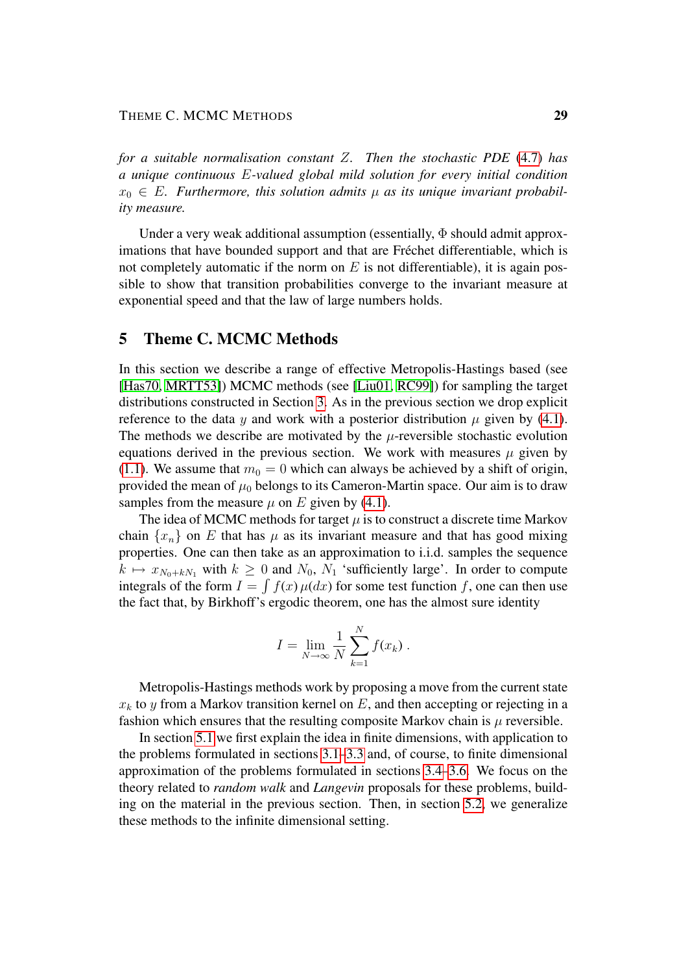*for a suitable normalisation constant* Z*. Then the stochastic PDE* [\(4.7\)](#page-27-0) *has a unique continuous* E*-valued global mild solution for every initial condition*  $x_0 \in E$ . Furthermore, this solution admits  $\mu$  as its unique invariant probabil*ity measure.*

Under a very weak additional assumption (essentially,  $\Phi$  should admit approximations that have bounded support and that are Fréchet differentiable, which is not completely automatic if the norm on  $E$  is not differentiable), it is again possible to show that transition probabilities converge to the invariant measure at exponential speed and that the law of large numbers holds.

## <span id="page-28-0"></span>5 Theme C. MCMC Methods

In this section we describe a range of effective Metropolis-Hastings based (see [\[Has70,](#page-39-6) [MRTT53\]](#page-39-7)) MCMC methods (see [\[Liu01,](#page-39-8) [RC99\]](#page-40-0)) for sampling the target distributions constructed in Section [3.](#page-5-0) As in the previous section we drop explicit reference to the data y and work with a posterior distribution  $\mu$  given by [\(4.1\)](#page-23-1). The methods we describe are motivated by the  $\mu$ -reversible stochastic evolution equations derived in the previous section. We work with measures  $\mu$  given by [\(1.1\)](#page-1-1). We assume that  $m_0 = 0$  which can always be achieved by a shift of origin, provided the mean of  $\mu_0$  belongs to its Cameron-Martin space. Our aim is to draw samples from the measure  $\mu$  on E given by [\(4.1\)](#page-23-1).

The idea of MCMC methods for target  $\mu$  is to construct a discrete time Markov chain  $\{x_n\}$  on E that has  $\mu$  as its invariant measure and that has good mixing properties. One can then take as an approximation to i.i.d. samples the sequence  $k \mapsto x_{N_0+kN_1}$  with  $k \ge 0$  and  $N_0$ ,  $N_1$  'sufficiently large'. In order to compute integrals of the form  $I = \int f(x) \mu(dx)$  for some test function f, one can then use the fact that, by Birkhoff's ergodic theorem, one has the almost sure identity

$$
I = \lim_{N \to \infty} \frac{1}{N} \sum_{k=1}^{N} f(x_k) .
$$

Metropolis-Hastings methods work by proposing a move from the current state  $x_k$  to y from a Markov transition kernel on E, and then accepting or rejecting in a fashion which ensures that the resulting composite Markov chain is  $\mu$  reversible.

In section [5.1](#page-29-0) we first explain the idea in finite dimensions, with application to the problems formulated in sections [3.1–](#page-5-1)[3.3](#page-11-0) and, of course, to finite dimensional approximation of the problems formulated in sections [3.4–](#page-13-0)[3.6.](#page-19-0) We focus on the theory related to *random walk* and *Langevin* proposals for these problems, building on the material in the previous section. Then, in section [5.2,](#page-32-0) we generalize these methods to the infinite dimensional setting.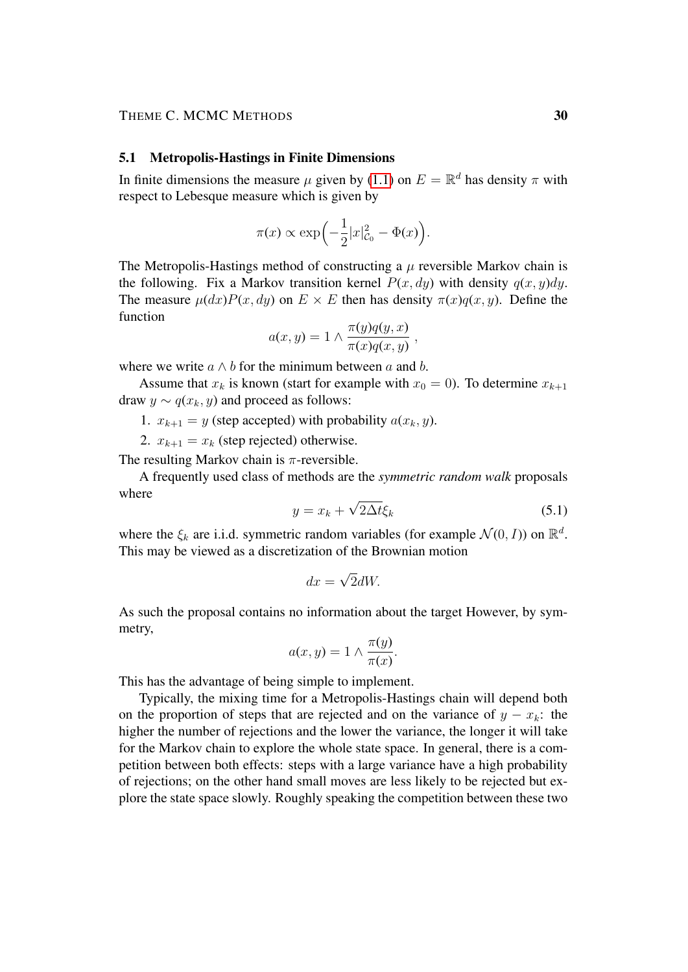## THEME C. MCMC METHODS 30

#### <span id="page-29-0"></span>5.1 Metropolis-Hastings in Finite Dimensions

In finite dimensions the measure  $\mu$  given by [\(1.1\)](#page-1-1) on  $E = \mathbb{R}^d$  has density  $\pi$  with respect to Lebesque measure which is given by

$$
\pi(x) \propto \exp\left(-\frac{1}{2}|x|_{\mathcal{C}_0}^2 - \Phi(x)\right).
$$

The Metropolis-Hastings method of constructing a  $\mu$  reversible Markov chain is the following. Fix a Markov transition kernel  $P(x, dy)$  with density  $q(x, y)dy$ . The measure  $\mu(dx)P(x, dy)$  on  $E \times E$  then has density  $\pi(x)q(x, y)$ . Define the function

$$
a(x, y) = 1 \wedge \frac{\pi(y)q(y, x)}{\pi(x)q(x, y)},
$$

where we write  $a \wedge b$  for the minimum between a and b.

Assume that  $x_k$  is known (start for example with  $x_0 = 0$ ). To determine  $x_{k+1}$ draw  $y \sim q(x_k, y)$  and proceed as follows:

- 1.  $x_{k+1} = y$  (step accepted) with probability  $a(x_k, y)$ .
- 2.  $x_{k+1} = x_k$  (step rejected) otherwise.

The resulting Markov chain is  $\pi$ -reversible.

A frequently used class of methods are the *symmetric random walk* proposals where √

$$
y = x_k + \sqrt{2\Delta t} \xi_k \tag{5.1}
$$

where the  $\xi_k$  are i.i.d. symmetric random variables (for example  $\mathcal{N}(0, I)$ ) on  $\mathbb{R}^d$ . This may be viewed as a discretization of the Brownian motion

<span id="page-29-1"></span>
$$
dx = \sqrt{2}dW.
$$

As such the proposal contains no information about the target However, by symmetry,

$$
a(x, y) = 1 \wedge \frac{\pi(y)}{\pi(x)}.
$$

This has the advantage of being simple to implement.

Typically, the mixing time for a Metropolis-Hastings chain will depend both on the proportion of steps that are rejected and on the variance of  $y - x_k$ : the higher the number of rejections and the lower the variance, the longer it will take for the Markov chain to explore the whole state space. In general, there is a competition between both effects: steps with a large variance have a high probability of rejections; on the other hand small moves are less likely to be rejected but explore the state space slowly. Roughly speaking the competition between these two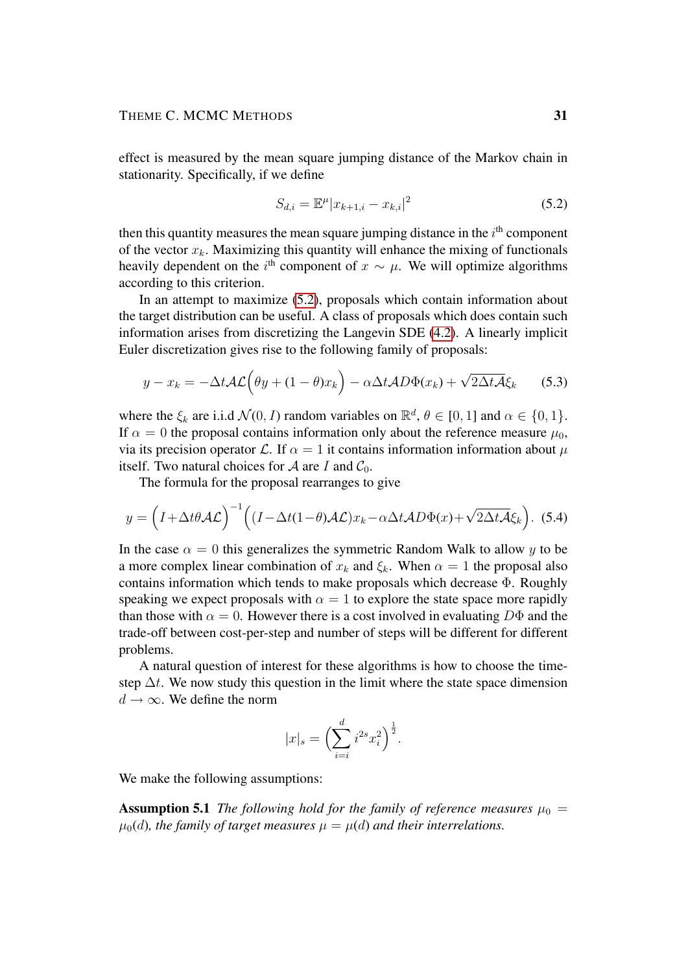effect is measured by the mean square jumping distance of the Markov chain in stationarity. Specifically, if we define

<span id="page-30-0"></span>
$$
S_{d,i} = \mathbb{E}^{\mu} |x_{k+1,i} - x_{k,i}|^2
$$
 (5.2)

then this quantity measures the mean square jumping distance in the  $i<sup>th</sup>$  component of the vector  $x_k$ . Maximizing this quantity will enhance the mixing of functionals heavily dependent on the i<sup>th</sup> component of  $x \sim \mu$ . We will optimize algorithms according to this criterion.

In an attempt to maximize [\(5.2\)](#page-30-0), proposals which contain information about the target distribution can be useful. A class of proposals which does contain such information arises from discretizing the Langevin SDE [\(4.2\)](#page-24-0). A linearly implicit Euler discretization gives rise to the following family of proposals:

$$
y - x_k = -\Delta t \mathcal{A} \mathcal{L} \left( \theta y + (1 - \theta) x_k \right) - \alpha \Delta t \mathcal{A} D \Phi(x_k) + \sqrt{2 \Delta t \mathcal{A}} \xi_k \tag{5.3}
$$

where the  $\xi_k$  are i.i.d  $\mathcal{N}(0, I)$  random variables on  $\mathbb{R}^d$ ,  $\theta \in [0, 1]$  and  $\alpha \in \{0, 1\}$ . If  $\alpha = 0$  the proposal contains information only about the reference measure  $\mu_0$ , via its precision operator L. If  $\alpha = 1$  it contains information information about  $\mu$ itself. Two natural choices for A are I and  $C_0$ .

The formula for the proposal rearranges to give

$$
y = \left(I + \Delta t \theta \mathcal{A} \mathcal{L}\right)^{-1} \left( \left(I - \Delta t (1 - \theta) \mathcal{A} \mathcal{L}\right) x_k - \alpha \Delta t \mathcal{A} D \Phi(x) + \sqrt{2 \Delta t \mathcal{A}} \xi_k \right). \tag{5.4}
$$

In the case  $\alpha = 0$  this generalizes the symmetric Random Walk to allow y to be a more complex linear combination of  $x_k$  and  $\xi_k$ . When  $\alpha = 1$  the proposal also contains information which tends to make proposals which decrease Φ. Roughly speaking we expect proposals with  $\alpha = 1$  to explore the state space more rapidly than those with  $\alpha = 0$ . However there is a cost involved in evaluating  $D\Phi$  and the trade-off between cost-per-step and number of steps will be different for different problems.

A natural question of interest for these algorithms is how to choose the timestep  $\Delta t$ . We now study this question in the limit where the state space dimension  $d \rightarrow \infty$ . We define the norm

<span id="page-30-1"></span>
$$
|x|_{s} = \left(\sum_{i=i}^{d} i^{2s} x_i^2\right)^{\frac{1}{2}}.
$$

We make the following assumptions:

**Assumption 5.1** *The following hold for the family of reference measures*  $\mu_0 =$  $\mu_0(d)$ , the family of target measures  $\mu = \mu(d)$  and their interrelations.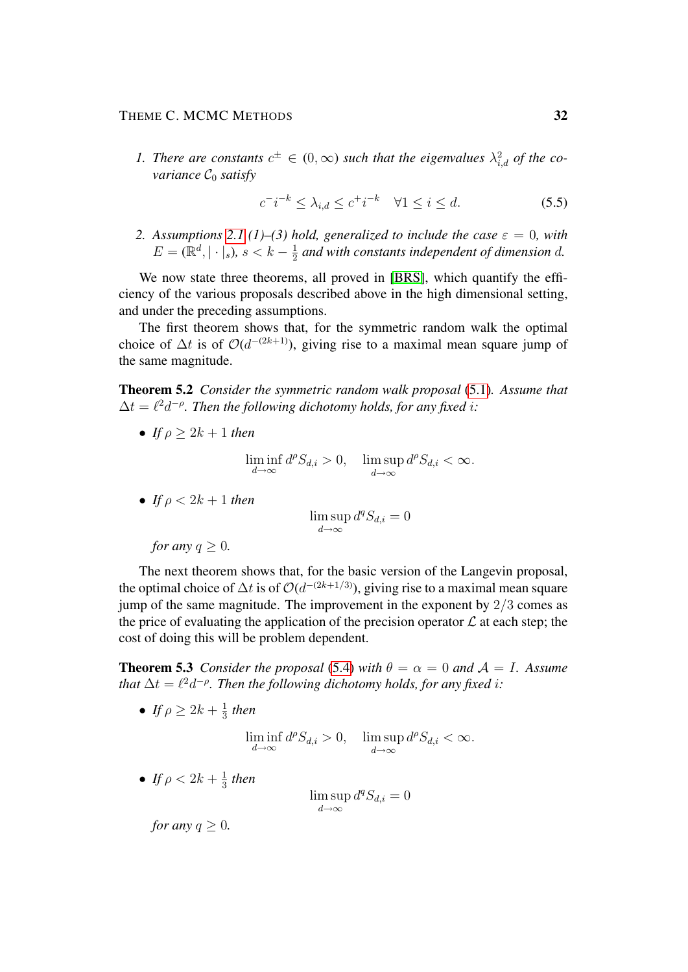## THEME C. MCMC METHODS 32

1. There are constants  $c^{\pm} \in (0, \infty)$  such that the eigenvalues  $\lambda_{i,d}^2$  of the co*variance*  $C_0$  *satisfy* 

$$
c^-i^{-k} \le \lambda_{i,d} \le c^+i^{-k} \quad \forall 1 \le i \le d. \tag{5.5}
$$

*2. Assumptions* [2.1](#page-3-0) (1)–(3) hold, generalized to include the case  $\varepsilon = 0$ , with  $E = \overline{(\mathbb{R}^d, |\cdot|_s)}$ *, s* < k -  $\frac{1}{2}$  $\frac{1}{2}$  and with constants independent of dimension  $d$ .

We now state three theorems, all proved in [\[BRS\]](#page-38-6), which quantify the efficiency of the various proposals described above in the high dimensional setting, and under the preceding assumptions.

The first theorem shows that, for the symmetric random walk the optimal choice of  $\Delta t$  is of  $O(d^{-(2k+1)})$ , giving rise to a maximal mean square jump of the same magnitude.

Theorem 5.2 *Consider the symmetric random walk proposal* [\(5.1\)](#page-29-1)*. Assume that*  $\Delta t = \ell^2 d^{-\rho}$ . Then the following dichotomy holds, for any fixed *i*:

• *If*  $\rho > 2k + 1$  *then* 

$$
\liminf_{d \to \infty} d^{\rho} S_{d,i} > 0, \quad \limsup_{d \to \infty} d^{\rho} S_{d,i} < \infty.
$$

• If 
$$
\rho < 2k + 1
$$
 then

$$
\limsup_{d\to\infty}d^qS_{d,i}=0
$$

*for any*  $q > 0$ *.* 

The next theorem shows that, for the basic version of the Langevin proposal, the optimal choice of  $\Delta t$  is of  $\mathcal{O}(d^{-(2k+1/3)})$ , giving rise to a maximal mean square jump of the same magnitude. The improvement in the exponent by  $2/3$  comes as the price of evaluating the application of the precision operator  $\mathcal L$  at each step; the cost of doing this will be problem dependent.

**Theorem 5.3** *Consider the proposal* [\(5.4\)](#page-30-1) *with*  $\theta = \alpha = 0$  *and*  $\mathcal{A} = I$ *. Assume that*  $\Delta t = \ell^2 d^{-\rho}$ . Then the following dichotomy holds, for any fixed i:

• *If*  $\rho \geq 2k + \frac{1}{3}$  $rac{1}{3}$  then

$$
\liminf_{d \to \infty} d^{\rho} S_{d,i} > 0, \quad \limsup_{d \to \infty} d^{\rho} S_{d,i} < \infty.
$$

• *If*  $\rho < 2k + \frac{1}{3}$  $rac{1}{3}$  then

lim sup  $d \rightarrow \infty$  $d^qS_{d,i}=0$ 

*for any*  $q \geq 0$ *.*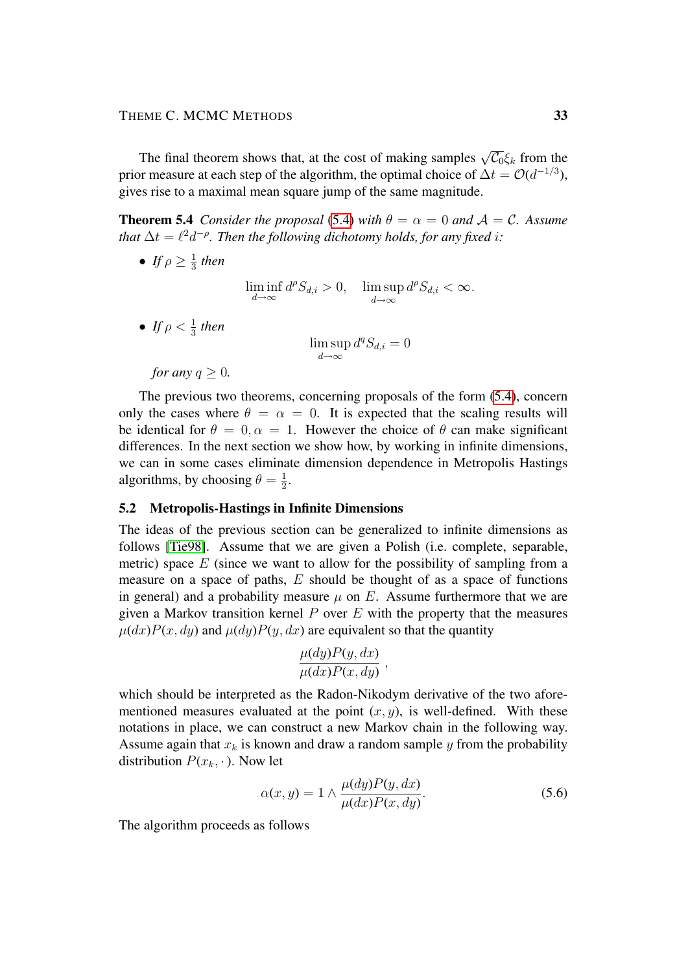The final theorem shows that, at the cost of making samples  $\sqrt{\mathcal{C}_0} \xi_k$  from the prior measure at each step of the algorithm, the optimal choice of  $\Delta t = \mathcal{O}(d^{-1/3})$ , gives rise to a maximal mean square jump of the same magnitude.

**Theorem 5.4** *Consider the proposal* [\(5.4\)](#page-30-1) *with*  $\theta = \alpha = 0$  *and*  $\mathcal{A} = \mathcal{C}$ *. Assume that*  $\Delta t = \ell^2 d^{-\rho}$ . Then the following dichotomy holds, for any fixed i:

 $\bullet$  *If*  $\rho \geq \frac{1}{3}$  $rac{1}{3}$  then

$$
\liminf_{d \to \infty} d^{\rho} S_{d,i} > 0, \quad \limsup_{d \to \infty} d^{\rho} S_{d,i} < \infty.
$$

• *If*  $\rho < \frac{1}{3}$  then

$$
\limsup_{d \to \infty} d^q S_{d,i} = 0
$$

*for any*  $q > 0$ *.* 

The previous two theorems, concerning proposals of the form [\(5.4\)](#page-30-1), concern only the cases where  $\theta = \alpha = 0$ . It is expected that the scaling results will be identical for  $\theta = 0, \alpha = 1$ . However the choice of  $\theta$  can make significant differences. In the next section we show how, by working in infinite dimensions, we can in some cases eliminate dimension dependence in Metropolis Hastings algorithms, by choosing  $\theta = \frac{1}{2}$  $\frac{1}{2}$ .

## <span id="page-32-0"></span>5.2 Metropolis-Hastings in Infinite Dimensions

The ideas of the previous section can be generalized to infinite dimensions as follows [\[Tie98\]](#page-40-5). Assume that we are given a Polish (i.e. complete, separable, metric) space  $E$  (since we want to allow for the possibility of sampling from a measure on a space of paths,  $E$  should be thought of as a space of functions in general) and a probability measure  $\mu$  on E. Assume furthermore that we are given a Markov transition kernel  $P$  over  $E$  with the property that the measures  $\mu(dx)P(x, dy)$  and  $\mu(dy)P(y, dx)$  are equivalent so that the quantity

$$
\frac{\mu(dy)P(y, dx)}{\mu(dx)P(x, dy)},
$$

which should be interpreted as the Radon-Nikodym derivative of the two aforementioned measures evaluated at the point  $(x, y)$ , is well-defined. With these notations in place, we can construct a new Markov chain in the following way. Assume again that  $x_k$  is known and draw a random sample y from the probability distribution  $P(x_k, \cdot)$ . Now let

$$
\alpha(x, y) = 1 \wedge \frac{\mu(dy)P(y, dx)}{\mu(dx)P(x, dy)}.
$$
\n(5.6)

The algorithm proceeds as follows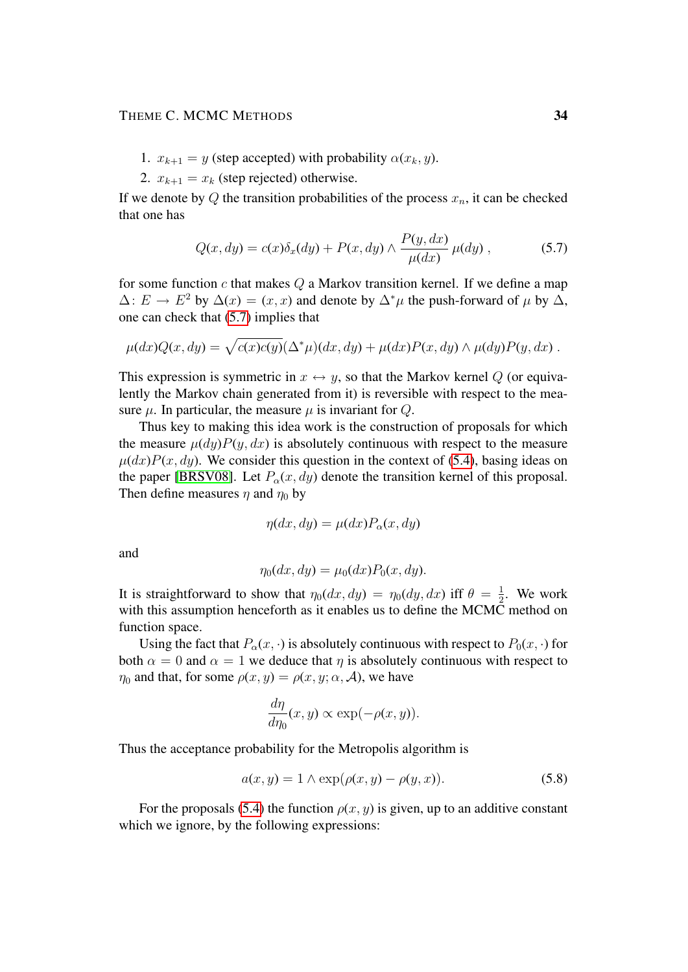- 1.  $x_{k+1} = y$  (step accepted) with probability  $\alpha(x_k, y)$ .
- 2.  $x_{k+1} = x_k$  (step rejected) otherwise.

If we denote by Q the transition probabilities of the process  $x_n$ , it can be checked that one has

<span id="page-33-0"></span>
$$
Q(x, dy) = c(x)\delta_x(dy) + P(x, dy) \wedge \frac{P(y, dx)}{\mu(dx)} \mu(dy), \qquad (5.7)
$$

for some function  $c$  that makes  $Q$  a Markov transition kernel. If we define a map  $\Delta: E \to E^2$  by  $\Delta(x) = (x, x)$  and denote by  $\Delta^*\mu$  the push-forward of  $\mu$  by  $\Delta$ , one can check that [\(5.7\)](#page-33-0) implies that

$$
\mu(dx)Q(x,dy) = \sqrt{c(x)c(y)}(\Delta^*\mu)(dx,dy) + \mu(dx)P(x,dy) \wedge \mu(dy)P(y,dx) .
$$

This expression is symmetric in  $x \leftrightarrow y$ , so that the Markov kernel Q (or equivalently the Markov chain generated from it) is reversible with respect to the measure  $\mu$ . In particular, the measure  $\mu$  is invariant for  $Q$ .

Thus key to making this idea work is the construction of proposals for which the measure  $\mu(dy)P(y, dx)$  is absolutely continuous with respect to the measure  $\mu(dx)P(x, dy)$ . We consider this question in the context of [\(5.4\)](#page-30-1), basing ideas on the paper [\[BRSV08\]](#page-38-7). Let  $P<sub>o</sub>(x, dy)$  denote the transition kernel of this proposal. Then define measures  $\eta$  and  $\eta_0$  by

$$
\eta(dx, dy) = \mu(dx) P_{\alpha}(x, dy)
$$

and

$$
\eta_0(dx, dy) = \mu_0(dx) P_0(x, dy).
$$

It is straightforward to show that  $\eta_0(dx, dy) = \eta_0(dy, dx)$  iff  $\theta = \frac{1}{2}$  $\frac{1}{2}$ . We work with this assumption henceforth as it enables us to define the MCMC method on function space.

Using the fact that  $P_{\alpha}(x, \cdot)$  is absolutely continuous with respect to  $P_0(x, \cdot)$  for both  $\alpha = 0$  and  $\alpha = 1$  we deduce that  $\eta$  is absolutely continuous with respect to  $\eta_0$  and that, for some  $\rho(x, y) = \rho(x, y; \alpha, \mathcal{A})$ , we have

<span id="page-33-1"></span>
$$
\frac{d\eta}{d\eta_0}(x,y) \propto \exp(-\rho(x,y)).
$$

Thus the acceptance probability for the Metropolis algorithm is

$$
a(x, y) = 1 \wedge \exp(\rho(x, y) - \rho(y, x)). \tag{5.8}
$$

For the proposals [\(5.4\)](#page-30-1) the function  $\rho(x, y)$  is given, up to an additive constant which we ignore, by the following expressions: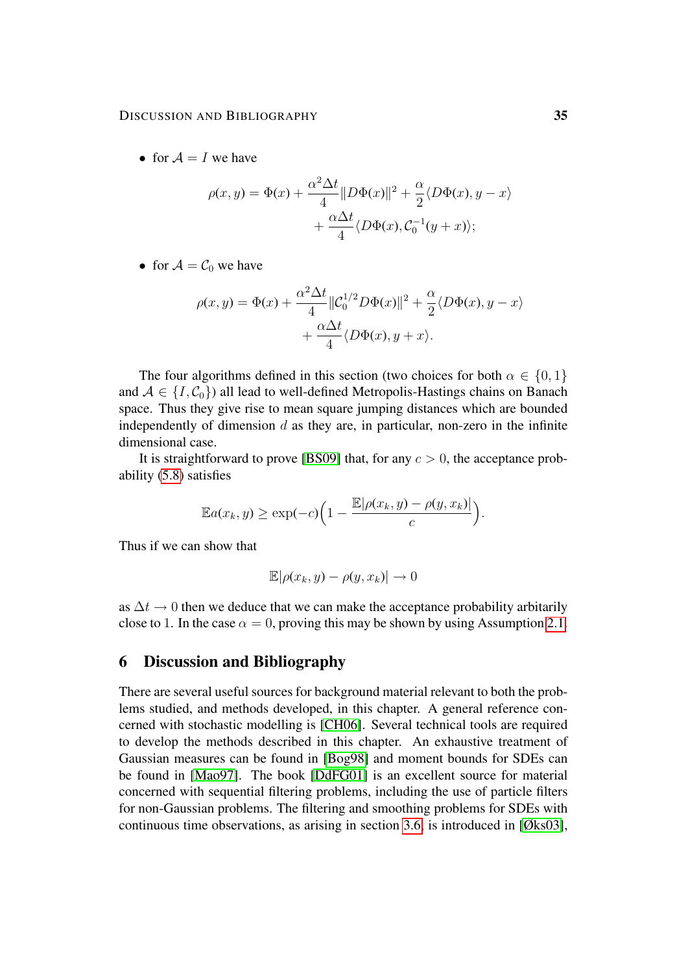• for  $A = I$  we have

$$
\rho(x,y) = \Phi(x) + \frac{\alpha^2 \Delta t}{4} ||D\Phi(x)||^2 + \frac{\alpha}{2} \langle D\Phi(x), y - x \rangle
$$

$$
+ \frac{\alpha \Delta t}{4} \langle D\Phi(x), C_0^{-1}(y + x) \rangle;
$$

• for  $A = C_0$  we have

$$
\rho(x,y) = \Phi(x) + \frac{\alpha^2 \Delta t}{4} ||C_0^{1/2} D\Phi(x)||^2 + \frac{\alpha}{2} \langle D\Phi(x), y - x \rangle
$$

$$
+ \frac{\alpha \Delta t}{4} \langle D\Phi(x), y + x \rangle.
$$

The four algorithms defined in this section (two choices for both  $\alpha \in \{0, 1\}$ ) and  $A \in \{I, C_0\}$  all lead to well-defined Metropolis-Hastings chains on Banach space. Thus they give rise to mean square jumping distances which are bounded independently of dimension  $d$  as they are, in particular, non-zero in the infinite dimensional case.

It is straightforward to prove [\[BS09\]](#page-38-8) that, for any  $c > 0$ , the acceptance probability [\(5.8\)](#page-33-1) satisfies

$$
\mathbb{E}a(x_k, y) \ge \exp(-c)\left(1 - \frac{\mathbb{E}|\rho(x_k, y) - \rho(y, x_k)|}{c}\right).
$$

Thus if we can show that

$$
\mathbb{E}|\rho(x_k, y) - \rho(y, x_k)| \to 0
$$

as  $\Delta t \rightarrow 0$  then we deduce that we can make the acceptance probability arbitarily close to 1. In the case  $\alpha = 0$ , proving this may be shown by using Assumption [2.1.](#page-3-0)

## <span id="page-34-0"></span>6 Discussion and Bibliography

There are several useful sources for background material relevant to both the problems studied, and methods developed, in this chapter. A general reference concerned with stochastic modelling is [\[CH06\]](#page-38-9). Several technical tools are required to develop the methods described in this chapter. An exhaustive treatment of Gaussian measures can be found in [\[Bog98\]](#page-38-1) and moment bounds for SDEs can be found in [\[Mao97\]](#page-39-9). The book [\[DdFG01\]](#page-38-0) is an excellent source for material concerned with sequential filtering problems, including the use of particle filters for non-Gaussian problems. The filtering and smoothing problems for SDEs with continuous time observations, as arising in section [3.6,](#page-19-0) is introduced in [\[Øks03\]](#page-40-6),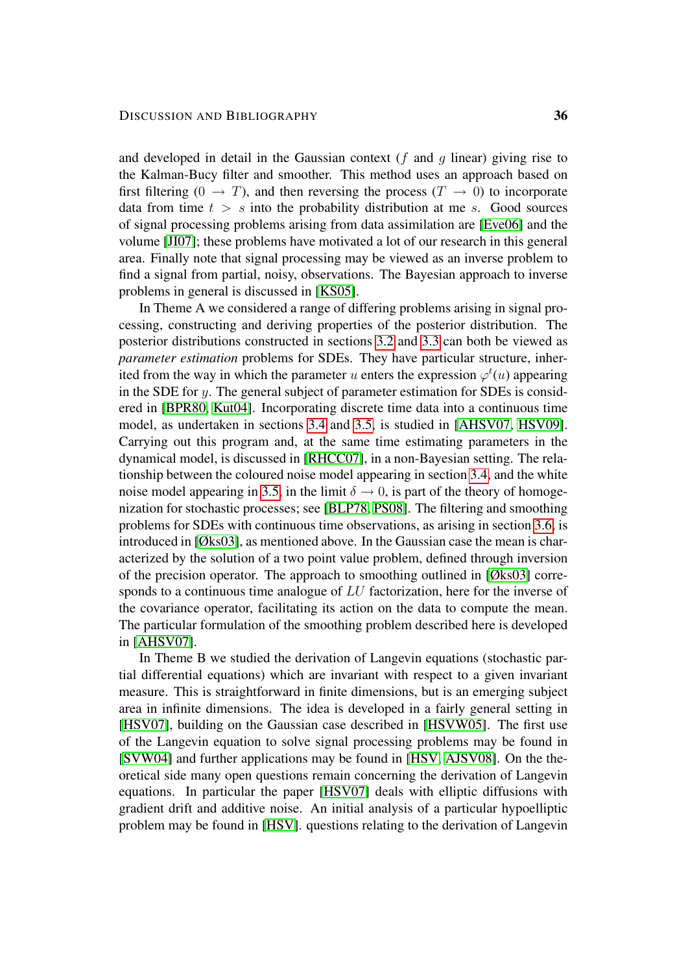and developed in detail in the Gaussian context ( $f$  and  $q$  linear) giving rise to the Kalman-Bucy filter and smoother. This method uses an approach based on first filtering (0  $\rightarrow$  T), and then reversing the process (T  $\rightarrow$  0) to incorporate data from time  $t > s$  into the probability distribution at me s. Good sources of signal processing problems arising from data assimilation are [\[Eve06\]](#page-38-3) and the volume [\[JI07\]](#page-39-10); these problems have motivated a lot of our research in this general area. Finally note that signal processing may be viewed as an inverse problem to find a signal from partial, noisy, observations. The Bayesian approach to inverse problems in general is discussed in [\[KS05\]](#page-39-11).

In Theme A we considered a range of differing problems arising in signal processing, constructing and deriving properties of the posterior distribution. The posterior distributions constructed in sections [3.2](#page-8-0) and [3.3](#page-11-0) can both be viewed as *parameter estimation* problems for SDEs. They have particular structure, inherited from the way in which the parameter u enters the expression  $\varphi^t(u)$  appearing in the SDE for  $y$ . The general subject of parameter estimation for SDEs is considered in [\[BPR80,](#page-38-10) [Kut04\]](#page-39-12). Incorporating discrete time data into a continuous time model, as undertaken in sections [3.4](#page-13-0) and [3.5,](#page-15-0) is studied in [\[AHSV07,](#page-37-0) [HSV09\]](#page-39-13). Carrying out this program and, at the same time estimating parameters in the dynamical model, is discussed in [\[RHCC07\]](#page-40-7), in a non-Bayesian setting. The relationship between the coloured noise model appearing in section [3.4,](#page-13-0) and the white noise model appearing in [3.5,](#page-15-0) in the limit  $\delta \rightarrow 0$ , is part of the theory of homogenization for stochastic processes; see [\[BLP78,](#page-38-11) [PS08\]](#page-40-8). The filtering and smoothing problems for SDEs with continuous time observations, as arising in section [3.6,](#page-19-0) is introduced in [\[Øks03\]](#page-40-6), as mentioned above. In the Gaussian case the mean is characterized by the solution of a two point value problem, defined through inversion of the precision operator. The approach to smoothing outlined in [\[Øks03\]](#page-40-6) corresponds to a continuous time analogue of LU factorization, here for the inverse of the covariance operator, facilitating its action on the data to compute the mean. The particular formulation of the smoothing problem described here is developed in [\[AHSV07\]](#page-37-0).

In Theme B we studied the derivation of Langevin equations (stochastic partial differential equations) which are invariant with respect to a given invariant measure. This is straightforward in finite dimensions, but is an emerging subject area in infinite dimensions. The idea is developed in a fairly general setting in [\[HSV07\]](#page-39-5), building on the Gaussian case described in [\[HSVW05\]](#page-39-0). The first use of the Langevin equation to solve signal processing problems may be found in [\[SVW04\]](#page-40-9) and further applications may be found in [\[HSV,](#page-39-14) [AJSV08\]](#page-38-12). On the theoretical side many open questions remain concerning the derivation of Langevin equations. In particular the paper [\[HSV07\]](#page-39-5) deals with elliptic diffusions with gradient drift and additive noise. An initial analysis of a particular hypoelliptic problem may be found in [\[HSV\]](#page-39-14). questions relating to the derivation of Langevin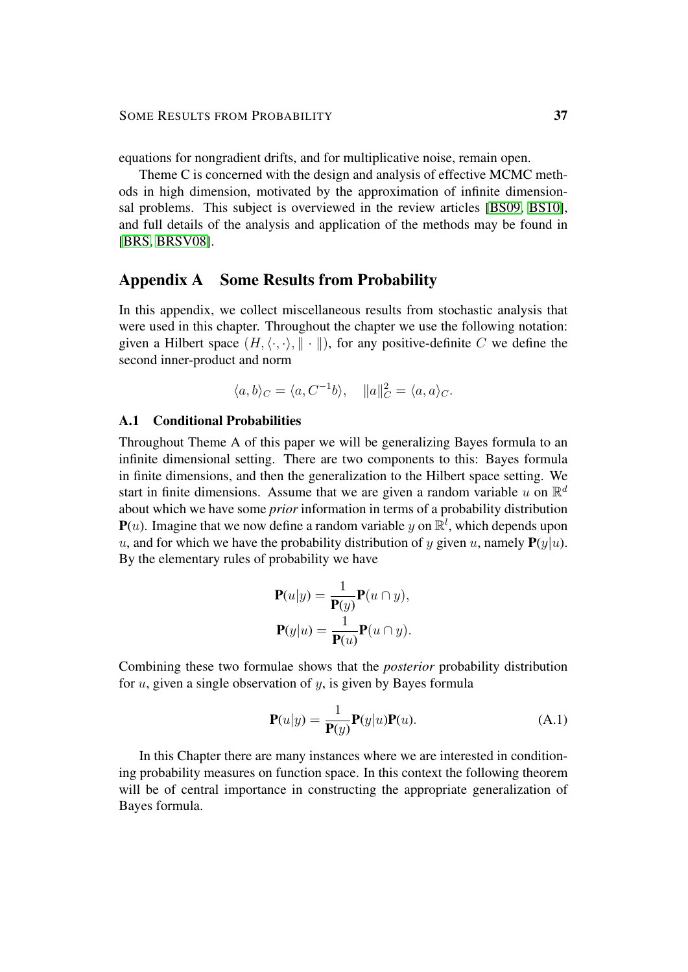equations for nongradient drifts, and for multiplicative noise, remain open.

Theme C is concerned with the design and analysis of effective MCMC methods in high dimension, motivated by the approximation of infinite dimensionsal problems. This subject is overviewed in the review articles [\[BS09,](#page-38-8) [BS10\]](#page-38-13), and full details of the analysis and application of the methods may be found in [\[BRS,](#page-38-6) [BRSV08\]](#page-38-7).

## <span id="page-36-0"></span>Appendix A Some Results from Probability

In this appendix, we collect miscellaneous results from stochastic analysis that were used in this chapter. Throughout the chapter we use the following notation: given a Hilbert space  $(H, \langle \cdot, \cdot \rangle, \| \cdot \|)$ , for any positive-definite C we define the second inner-product and norm

$$
\langle a, b \rangle_C = \langle a, C^{-1}b \rangle, \quad ||a||_C^2 = \langle a, a \rangle_C.
$$

#### A.1 Conditional Probabilities

Throughout Theme A of this paper we will be generalizing Bayes formula to an infinite dimensional setting. There are two components to this: Bayes formula in finite dimensions, and then the generalization to the Hilbert space setting. We start in finite dimensions. Assume that we are given a random variable u on  $\mathbb{R}^d$ about which we have some *prior* information in terms of a probability distribution  $P(u)$ . Imagine that we now define a random variable y on  $\mathbb{R}^l$ , which depends upon u, and for which we have the probability distribution of y given u, namely  $P(y|u)$ . By the elementary rules of probability we have

$$
\mathbf{P}(u|y) = \frac{1}{\mathbf{P}(y)} \mathbf{P}(u \cap y),
$$

$$
\mathbf{P}(y|u) = \frac{1}{\mathbf{P}(u)} \mathbf{P}(u \cap y).
$$

Combining these two formulae shows that the *posterior* probability distribution for  $u$ , given a single observation of  $y$ , is given by Bayes formula

<span id="page-36-1"></span>
$$
\mathbf{P}(u|y) = \frac{1}{\mathbf{P}(y)} \mathbf{P}(y|u)\mathbf{P}(u).
$$
 (A.1)

In this Chapter there are many instances where we are interested in conditioning probability measures on function space. In this context the following theorem will be of central importance in constructing the appropriate generalization of Bayes formula.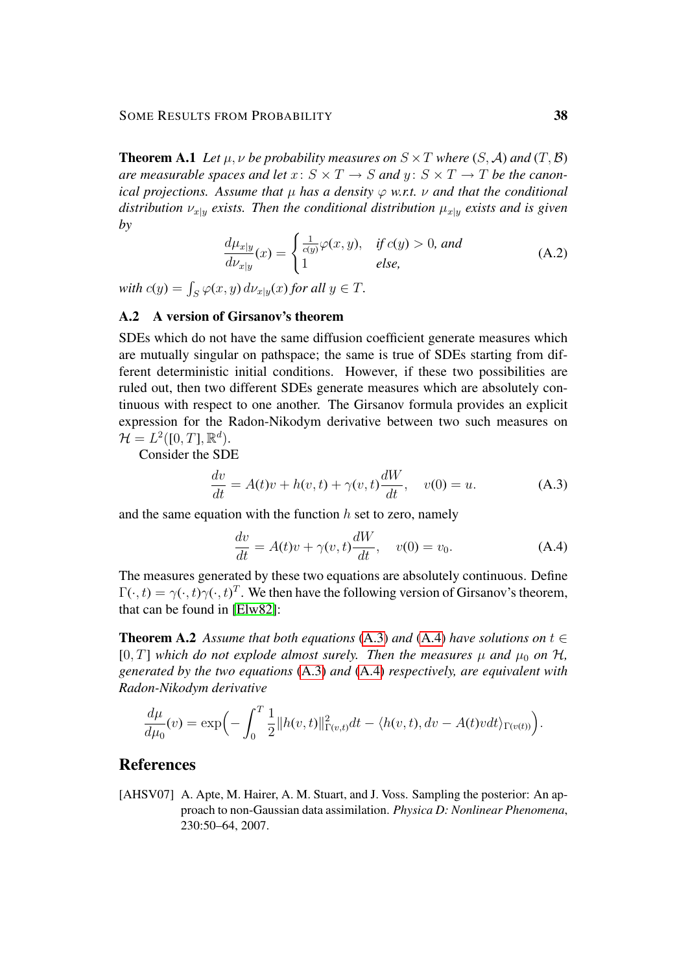**Theorem A.1** Let  $\mu$ ,  $\nu$  be probability measures on  $S \times T$  where  $(S, \mathcal{A})$  and  $(T, \mathcal{B})$ *are measurable spaces and let*  $x: S \times T \rightarrow S$  *and*  $y: S \times T \rightarrow T$  *be the canonical projections. Assume that*  $\mu$  *has a density*  $\varphi$  *w.r.t.*  $\nu$  *and that the conditional distribution*  $\nu_{x|y}$  *exists. Then the conditional distribution*  $\mu_{x|y}$  *exists and is given by*

$$
\frac{d\mu_{x|y}}{d\nu_{x|y}}(x) = \begin{cases} \frac{1}{c(y)}\varphi(x,y), & \text{if } c(y) > 0, \text{ and} \\ 1 & \text{else,} \end{cases}
$$
 (A.2)

with  $c(y) = \int_S \varphi(x, y) d\nu_{x|y}(x)$  *for all*  $y \in T$ *.* 

## A.2 A version of Girsanov's theorem

SDEs which do not have the same diffusion coefficient generate measures which are mutually singular on pathspace; the same is true of SDEs starting from different deterministic initial conditions. However, if these two possibilities are ruled out, then two different SDEs generate measures which are absolutely continuous with respect to one another. The Girsanov formula provides an explicit expression for the Radon-Nikodym derivative between two such measures on  $\mathcal{H} = L^2([0,T], \mathbb{R}^d).$ 

Consider the SDE

<span id="page-37-1"></span>
$$
\frac{dv}{dt} = A(t)v + h(v, t) + \gamma(v, t)\frac{dW}{dt}, \quad v(0) = u.
$$
\n(A.3)

and the same equation with the function  $h$  set to zero, namely

<span id="page-37-2"></span>
$$
\frac{dv}{dt} = A(t)v + \gamma(v, t)\frac{dW}{dt}, \quad v(0) = v_0.
$$
\n(A.4)

The measures generated by these two equations are absolutely continuous. Define  $\Gamma(\cdot,t) = \gamma(\cdot,t)\gamma(\cdot,t)^T$ . We then have the following version of Girsanov's theorem, that can be found in [\[Elw82\]](#page-38-14):

**Theorem A.2** *Assume that both equations* [\(A.3\)](#page-37-1) *and* [\(A.4\)](#page-37-2) *have solutions on*  $t \in$ [0, T] which do not explode almost surely. Then the measures  $\mu$  and  $\mu_0$  on  $\mathcal{H}$ , *generated by the two equations* [\(A.3\)](#page-37-1) *and* [\(A.4\)](#page-37-2) *respectively, are equivalent with Radon-Nikodym derivative*

$$
\frac{d\mu}{d\mu_0}(v) = \exp\left(-\int_0^T \frac{1}{2} ||h(v,t)||^2_{\Gamma(v,t)} dt - \langle h(v,t), dv - A(t)v dt \rangle_{\Gamma(v(t))}\right).
$$

## References

<span id="page-37-0"></span>[AHSV07] A. Apte, M. Hairer, A. M. Stuart, and J. Voss. Sampling the posterior: An approach to non-Gaussian data assimilation. *Physica D: Nonlinear Phenomena*, 230:50–64, 2007.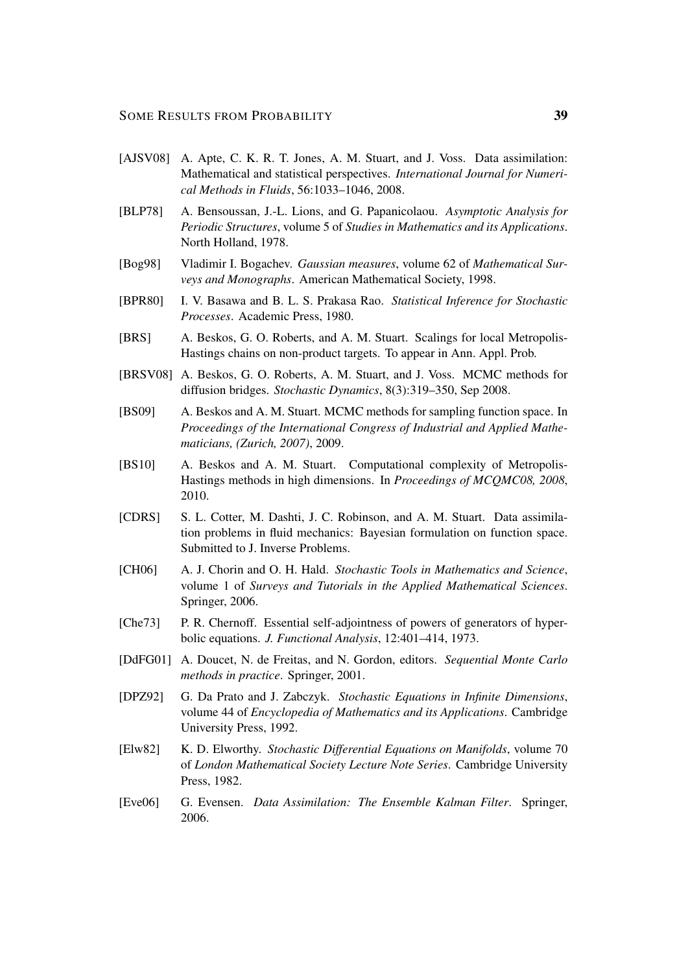- <span id="page-38-12"></span>[AJSV08] A. Apte, C. K. R. T. Jones, A. M. Stuart, and J. Voss. Data assimilation: Mathematical and statistical perspectives. *International Journal for Numerical Methods in Fluids*, 56:1033–1046, 2008.
- <span id="page-38-11"></span>[BLP78] A. Bensoussan, J.-L. Lions, and G. Papanicolaou. *Asymptotic Analysis for Periodic Structures*, volume 5 of *Studies in Mathematics and its Applications*. North Holland, 1978.
- <span id="page-38-1"></span>[Bog98] Vladimir I. Bogachev. *Gaussian measures*, volume 62 of *Mathematical Surveys and Monographs*. American Mathematical Society, 1998.
- <span id="page-38-10"></span>[BPR80] I. V. Basawa and B. L. S. Prakasa Rao. *Statistical Inference for Stochastic Processes*. Academic Press, 1980.
- <span id="page-38-6"></span>[BRS] A. Beskos, G. O. Roberts, and A. M. Stuart. Scalings for local Metropolis-Hastings chains on non-product targets. To appear in Ann. Appl. Prob.
- <span id="page-38-7"></span>[BRSV08] A. Beskos, G. O. Roberts, A. M. Stuart, and J. Voss. MCMC methods for diffusion bridges. *Stochastic Dynamics*, 8(3):319–350, Sep 2008.
- <span id="page-38-8"></span>[BS09] A. Beskos and A. M. Stuart. MCMC methods for sampling function space. In *Proceedings of the International Congress of Industrial and Applied Mathematicians, (Zurich, 2007)*, 2009.
- <span id="page-38-13"></span>[BS10] A. Beskos and A. M. Stuart. Computational complexity of Metropolis-Hastings methods in high dimensions. In *Proceedings of MCQMC08, 2008*, 2010.
- <span id="page-38-2"></span>[CDRS] S. L. Cotter, M. Dashti, J. C. Robinson, and A. M. Stuart. Data assimilation problems in fluid mechanics: Bayesian formulation on function space. Submitted to J. Inverse Problems.
- <span id="page-38-9"></span>[CH06] A. J. Chorin and O. H. Hald. *Stochastic Tools in Mathematics and Science*, volume 1 of *Surveys and Tutorials in the Applied Mathematical Sciences*. Springer, 2006.
- <span id="page-38-4"></span>[Che73] P. R. Chernoff. Essential self-adjointness of powers of generators of hyperbolic equations. *J. Functional Analysis*, 12:401–414, 1973.
- <span id="page-38-0"></span>[DdFG01] A. Doucet, N. de Freitas, and N. Gordon, editors. *Sequential Monte Carlo methods in practice*. Springer, 2001.
- <span id="page-38-5"></span>[DPZ92] G. Da Prato and J. Zabczyk. *Stochastic Equations in Infinite Dimensions*, volume 44 of *Encyclopedia of Mathematics and its Applications*. Cambridge University Press, 1992.
- <span id="page-38-14"></span>[Elw82] K. D. Elworthy. *Stochastic Differential Equations on Manifolds*, volume 70 of *London Mathematical Society Lecture Note Series*. Cambridge University Press, 1982.
- <span id="page-38-3"></span>[Eve06] G. Evensen. *Data Assimilation: The Ensemble Kalman Filter*. Springer, 2006.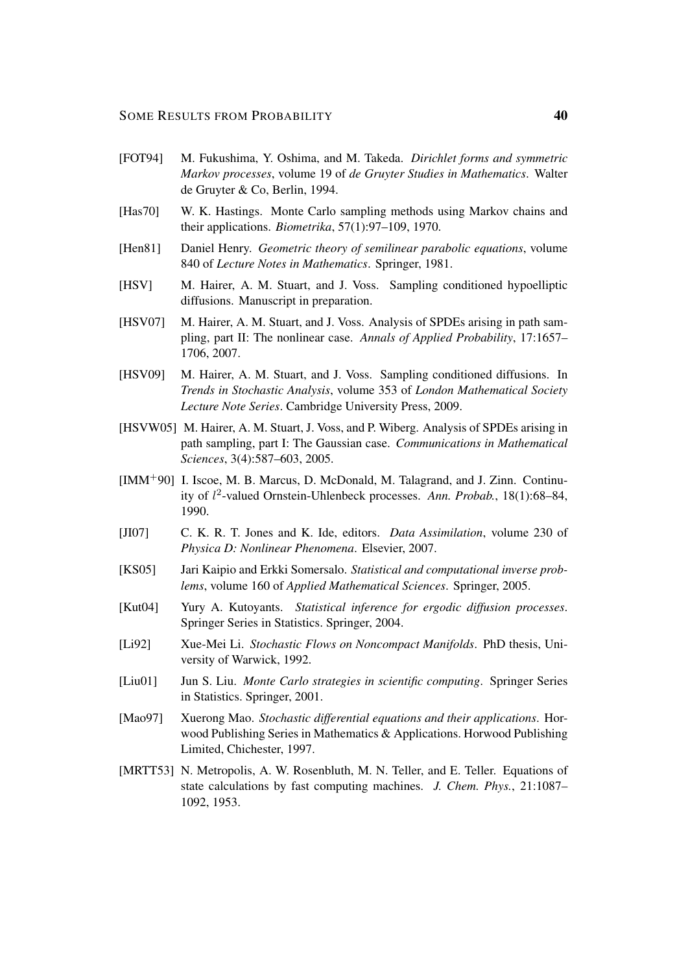- <span id="page-39-2"></span>[FOT94] M. Fukushima, Y. Oshima, and M. Takeda. *Dirichlet forms and symmetric Markov processes*, volume 19 of *de Gruyter Studies in Mathematics*. Walter de Gruyter & Co, Berlin, 1994.
- <span id="page-39-6"></span>[Has70] W. K. Hastings. Monte Carlo sampling methods using Markov chains and their applications. *Biometrika*, 57(1):97–109, 1970.
- <span id="page-39-3"></span>[Hen81] Daniel Henry. *Geometric theory of semilinear parabolic equations*, volume 840 of *Lecture Notes in Mathematics*. Springer, 1981.
- <span id="page-39-14"></span>[HSV] M. Hairer, A. M. Stuart, and J. Voss. Sampling conditioned hypoelliptic diffusions. Manuscript in preparation.
- <span id="page-39-5"></span>[HSV07] M. Hairer, A. M. Stuart, and J. Voss. Analysis of SPDEs arising in path sampling, part II: The nonlinear case. *Annals of Applied Probability*, 17:1657– 1706, 2007.
- <span id="page-39-13"></span>[HSV09] M. Hairer, A. M. Stuart, and J. Voss. Sampling conditioned diffusions. In *Trends in Stochastic Analysis*, volume 353 of *London Mathematical Society Lecture Note Series*. Cambridge University Press, 2009.
- <span id="page-39-0"></span>[HSVW05] M. Hairer, A. M. Stuart, J. Voss, and P. Wiberg. Analysis of SPDEs arising in path sampling, part I: The Gaussian case. *Communications in Mathematical Sciences*, 3(4):587–603, 2005.
- <span id="page-39-4"></span>[IMM+90] I. Iscoe, M. B. Marcus, D. McDonald, M. Talagrand, and J. Zinn. Continuity of l 2 -valued Ornstein-Uhlenbeck processes. *Ann. Probab.*, 18(1):68–84, 1990.
- <span id="page-39-10"></span>[JI07] C. K. R. T. Jones and K. Ide, editors. *Data Assimilation*, volume 230 of *Physica D: Nonlinear Phenomena*. Elsevier, 2007.
- <span id="page-39-11"></span>[KS05] Jari Kaipio and Erkki Somersalo. *Statistical and computational inverse problems*, volume 160 of *Applied Mathematical Sciences*. Springer, 2005.
- <span id="page-39-12"></span>[Kut04] Yury A. Kutoyants. *Statistical inference for ergodic diffusion processes*. Springer Series in Statistics. Springer, 2004.
- <span id="page-39-1"></span>[Li92] Xue-Mei Li. *Stochastic Flows on Noncompact Manifolds*. PhD thesis, University of Warwick, 1992.
- <span id="page-39-8"></span>[Liu01] Jun S. Liu. *Monte Carlo strategies in scientific computing*. Springer Series in Statistics. Springer, 2001.
- <span id="page-39-9"></span>[Mao97] Xuerong Mao. *Stochastic differential equations and their applications*. Horwood Publishing Series in Mathematics & Applications. Horwood Publishing Limited, Chichester, 1997.
- <span id="page-39-7"></span>[MRTT53] N. Metropolis, A. W. Rosenbluth, M. N. Teller, and E. Teller. Equations of state calculations by fast computing machines. *J. Chem. Phys.*, 21:1087– 1092, 1953.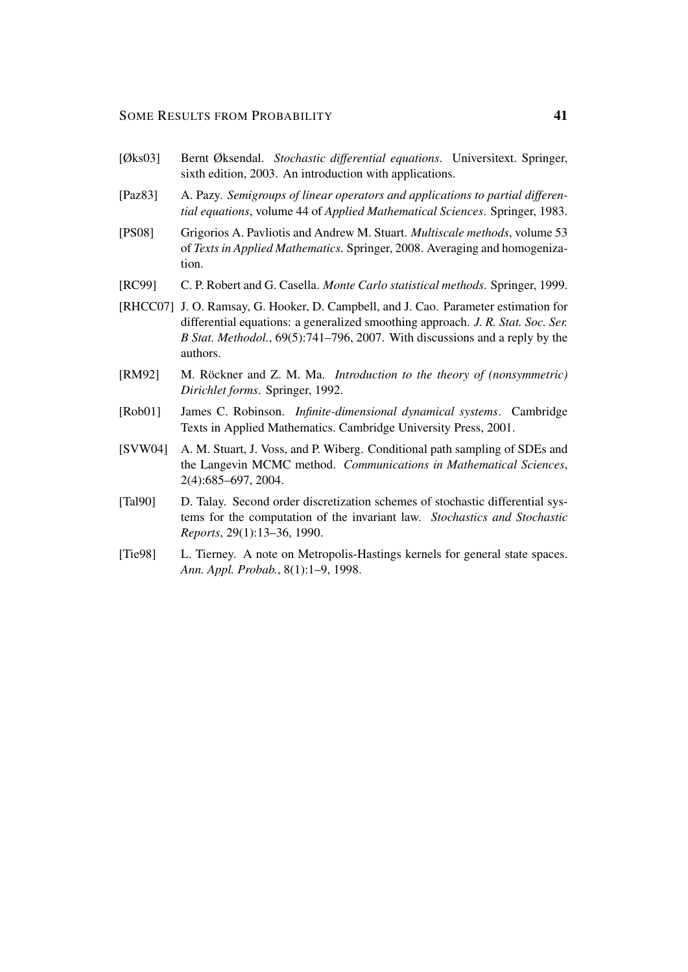#### SOME RESULTS FROM PROBABILITY 41

- <span id="page-40-6"></span>[Øks03] Bernt Øksendal. *Stochastic differential equations*. Universitext. Springer, sixth edition, 2003. An introduction with applications.
- <span id="page-40-3"></span>[Paz83] A. Pazy. *Semigroups of linear operators and applications to partial differential equations*, volume 44 of *Applied Mathematical Sciences*. Springer, 1983.
- <span id="page-40-8"></span>[PS08] Grigorios A. Pavliotis and Andrew M. Stuart. *Multiscale methods*, volume 53 of *Texts in Applied Mathematics*. Springer, 2008. Averaging and homogenization.
- <span id="page-40-0"></span>[RC99] C. P. Robert and G. Casella. *Monte Carlo statistical methods*. Springer, 1999.
- <span id="page-40-7"></span>[RHCC07] J. O. Ramsay, G. Hooker, D. Campbell, and J. Cao. Parameter estimation for differential equations: a generalized smoothing approach. *J. R. Stat. Soc. Ser. B Stat. Methodol.*, 69(5):741–796, 2007. With discussions and a reply by the authors.
- <span id="page-40-2"></span>[RM92] M. Röckner and Z. M. Ma. *Introduction to the theory of (nonsymmetric) Dirichlet forms*. Springer, 1992.
- <span id="page-40-4"></span>[Rob01] James C. Robinson. *Infinite-dimensional dynamical systems*. Cambridge Texts in Applied Mathematics. Cambridge University Press, 2001.
- <span id="page-40-9"></span>[SVW04] A. M. Stuart, J. Voss, and P. Wiberg. Conditional path sampling of SDEs and the Langevin MCMC method. *Communications in Mathematical Sciences*, 2(4):685–697, 2004.
- <span id="page-40-1"></span>[Tal90] D. Talay. Second order discretization schemes of stochastic differential systems for the computation of the invariant law. *Stochastics and Stochastic Reports*, 29(1):13–36, 1990.
- <span id="page-40-5"></span>[Tie98] L. Tierney. A note on Metropolis-Hastings kernels for general state spaces. *Ann. Appl. Probab.*, 8(1):1–9, 1998.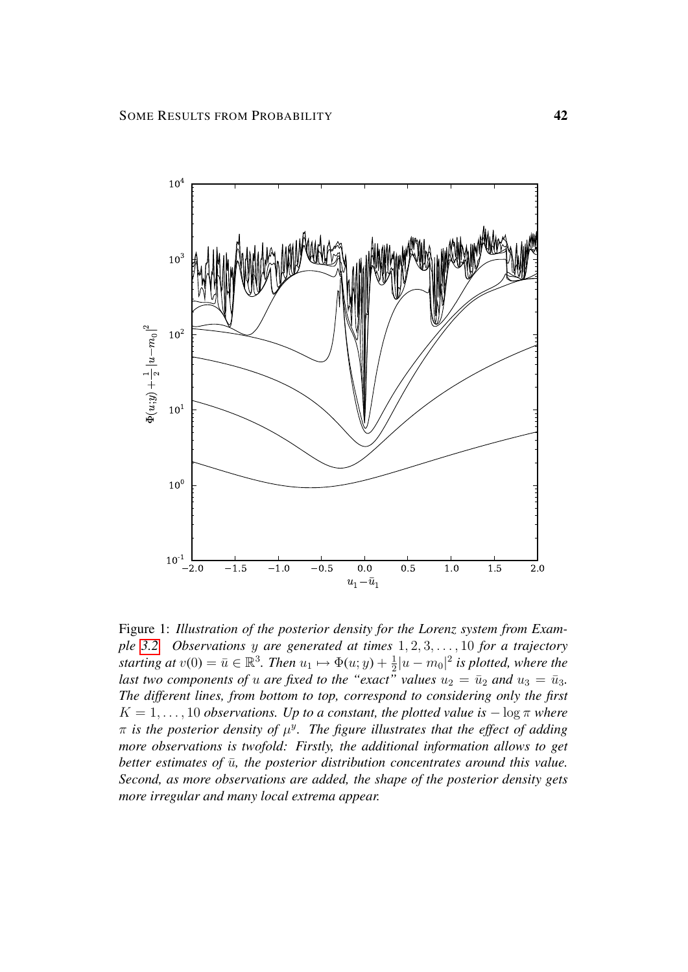

<span id="page-41-0"></span>Figure 1: *Illustration of the posterior density for the Lorenz system from Example [3.2.](#page-3-1) Observations* y *are generated at times* 1, 2, 3, . . . , 10 *for a trajectory starting at*  $v(0) = \bar{u} \in \mathbb{R}^3$ . *Then*  $u_1 \mapsto \Phi(u; y) + \frac{1}{2}$  $\frac{1}{2}|u - m_0|^2$  is plotted, where the *last two components of u are fixed to the "exact" values*  $u_2 = \bar{u}_2$  *and*  $u_3 = \bar{u}_3$ . *The different lines, from bottom to top, correspond to considering only the first*  $K = 1, \ldots, 10$  *observations. Up to a constant, the plotted value is*  $-\log \pi$  *where*  $\pi$  is the posterior density of  $\mu^y$ . The figure illustrates that the effect of adding *more observations is twofold: Firstly, the additional information allows to get better estimates of*  $\bar{u}$ *, the posterior distribution concentrates around this value. Second, as more observations are added, the shape of the posterior density gets more irregular and many local extrema appear.*